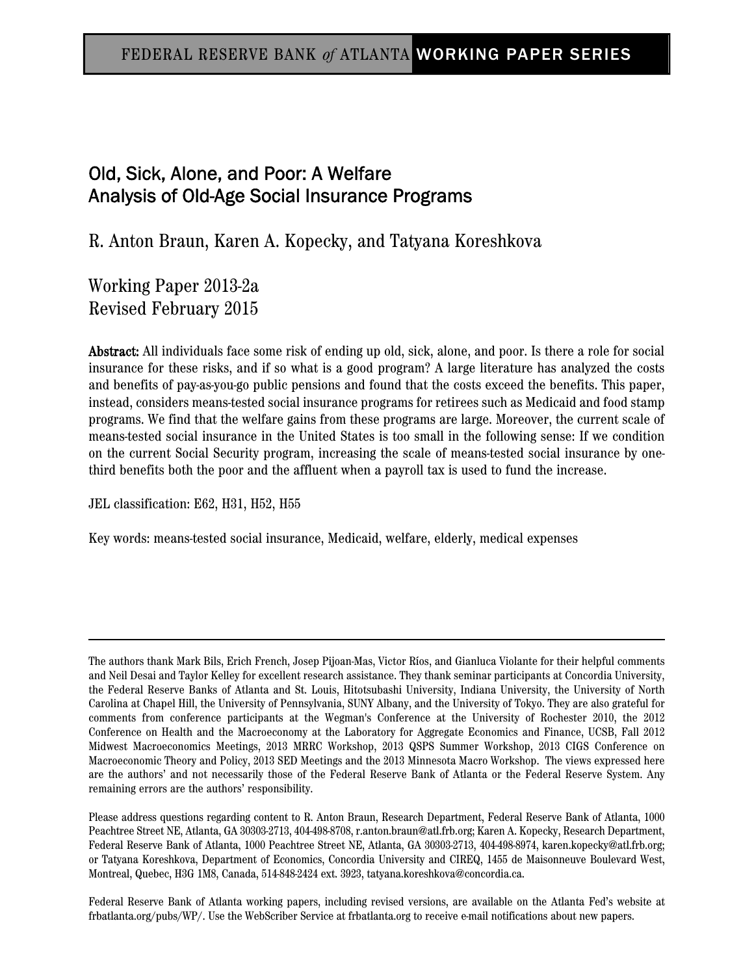# Old, Sick, Alone, and Poor: A Welfare Analysis of Old-Age Social Insurance Programs

R. Anton Braun, Karen A. Kopecky, and Tatyana Koreshkova

Working Paper 2013-2a Revised February 2015

Abstract: All individuals face some risk of ending up old, sick, alone, and poor. Is there a role for social insurance for these risks, and if so what is a good program? A large literature has analyzed the costs and benefits of pay-as-you-go public pensions and found that the costs exceed the benefits. This paper, instead, considers means-tested social insurance programs for retirees such as Medicaid and food stamp programs. We find that the welfare gains from these programs are large. Moreover, the current scale of means-tested social insurance in the United States is too small in the following sense: If we condition on the current Social Security program, increasing the scale of means-tested social insurance by onethird benefits both the poor and the affluent when a payroll tax is used to fund the increase.

JEL classification: E62, H31, H52, H55

Key words: means-tested social insurance, Medicaid, welfare, elderly, medical expenses

Please address questions regarding content to R. Anton Braun, Research Department, Federal Reserve Bank of Atlanta, 1000 Peachtree Street NE, Atlanta, GA 30303-2713, 404-498-8708, r.anton.braun@atl.frb.org; Karen A. Kopecky, Research Department, Federal Reserve Bank of Atlanta, 1000 Peachtree Street NE, Atlanta, GA 30303-2713, 404-498-8974, karen.kopecky@atl.frb.org; or Tatyana Koreshkova, Department of Economics, Concordia University and CIREQ, 1455 de Maisonneuve Boulevard West, Montreal, Quebec, H3G 1M8, Canada, 514-848-2424 ext. 3923, tatyana.koreshkova@concordia.ca.

Federal Reserve Bank of Atlanta working papers, including revised versions, are available on the Atlanta Fed's website at frbatlanta.org/pubs/WP/. Use the WebScriber Service at frbatlanta.org to receive e-mail notifications about new papers.

The authors thank Mark Bils, Erich French, Josep Pijoan-Mas, Victor Ríos, and Gianluca Violante for their helpful comments and Neil Desai and Taylor Kelley for excellent research assistance. They thank seminar participants at Concordia University, the Federal Reserve Banks of Atlanta and St. Louis, Hitotsubashi University, Indiana University, the University of North Carolina at Chapel Hill, the University of Pennsylvania, SUNY Albany, and the University of Tokyo. They are also grateful for comments from conference participants at the Wegman's Conference at the University of Rochester 2010, the 2012 Conference on Health and the Macroeconomy at the Laboratory for Aggregate Economics and Finance, UCSB, Fall 2012 Midwest Macroeconomics Meetings, 2013 MRRC Workshop, 2013 QSPS Summer Workshop, 2013 CIGS Conference on Macroeconomic Theory and Policy, 2013 SED Meetings and the 2013 Minnesota Macro Workshop. The views expressed here are the authors' and not necessarily those of the Federal Reserve Bank of Atlanta or the Federal Reserve System. Any remaining errors are the authors' responsibility.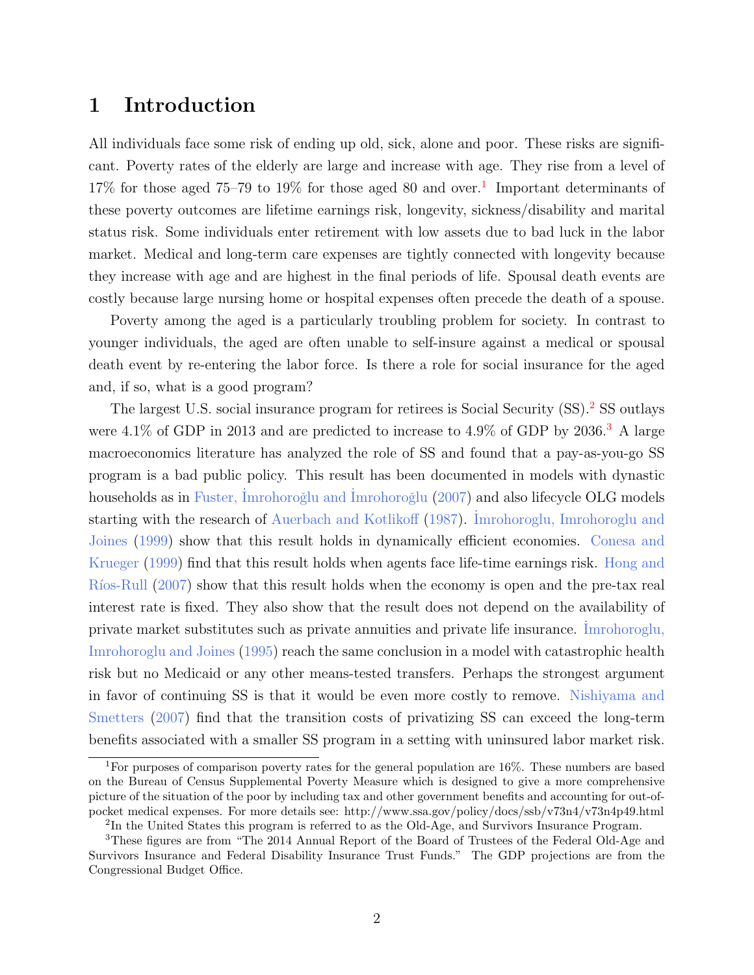## 1 Introduction

All individuals face some risk of ending up old, sick, alone and poor. These risks are significant. Poverty rates of the elderly are large and increase with age. They rise from a level of  $17\%$  $17\%$  for those aged  $75-79$  to  $19\%$  for those aged 80 and over.<sup>1</sup> Important determinants of these poverty outcomes are lifetime earnings risk, longevity, sickness/disability and marital status risk. Some individuals enter retirement with low assets due to bad luck in the labor market. Medical and long-term care expenses are tightly connected with longevity because they increase with age and are highest in the final periods of life. Spousal death events are costly because large nursing home or hospital expenses often precede the death of a spouse.

Poverty among the aged is a particularly troubling problem for society. In contrast to younger individuals, the aged are often unable to self-insure against a medical or spousal death event by re-entering the labor force. Is there a role for social insurance for the aged and, if so, what is a good program?

The largest U.S. social insurance program for retirees is Social Security (SS).<sup>[2](#page-1-1)</sup> SS outlays were 4.1% of GDP in 201[3](#page-1-2) and are predicted to increase to 4.9% of GDP by 2036.<sup>3</sup> A large macroeconomics literature has analyzed the role of SS and found that a pay-as-you-go SS program is a bad public policy. This result has been documented in models with dynastic households as in Fuster, Imrohoroğlu and Imrohoroğlu [\(2007\)](#page-40-0) and also lifecycle OLG models starting with the research of [Auerbach and Kotlikoff](#page-40-1) [\(1987\)](#page-40-1). [˙Imrohoroglu, Imrohoroglu and](#page-41-0) [Joines](#page-41-0) [\(1999\)](#page-41-0) show that this result holds in dynamically efficient economies. [Conesa and](#page-40-2) [Krueger](#page-40-2) [\(1999\)](#page-40-2) find that this result holds when agents face life-time earnings risk. [Hong and](#page-41-1) Ríos-Rull [\(2007\)](#page-41-1) show that this result holds when the economy is open and the pre-tax real interest rate is fixed. They also show that the result does not depend on the availability of private market substitutes such as private annuities and private life insurance. [˙Imrohoroglu,](#page-41-2) [Imrohoroglu and Joines](#page-41-2) [\(1995\)](#page-41-2) reach the same conclusion in a model with catastrophic health risk but no Medicaid or any other means-tested transfers. Perhaps the strongest argument in favor of continuing SS is that it would be even more costly to remove. [Nishiyama and](#page-42-0) [Smetters](#page-42-0) [\(2007\)](#page-42-0) find that the transition costs of privatizing SS can exceed the long-term benefits associated with a smaller SS program in a setting with uninsured labor market risk.

<span id="page-1-0"></span><sup>&</sup>lt;sup>1</sup>For purposes of comparison poverty rates for the general population are  $16\%$ . These numbers are based on the Bureau of Census Supplemental Poverty Measure which is designed to give a more comprehensive picture of the situation of the poor by including tax and other government benefits and accounting for out-ofpocket medical expenses. For more details see: http://www.ssa.gov/policy/docs/ssb/v73n4/v73n4p49.html

<span id="page-1-2"></span><span id="page-1-1"></span><sup>&</sup>lt;sup>2</sup>In the United States this program is referred to as the Old-Age, and Survivors Insurance Program.

<sup>3</sup>These figures are from "The 2014 Annual Report of the Board of Trustees of the Federal Old-Age and Survivors Insurance and Federal Disability Insurance Trust Funds." The GDP projections are from the Congressional Budget Office.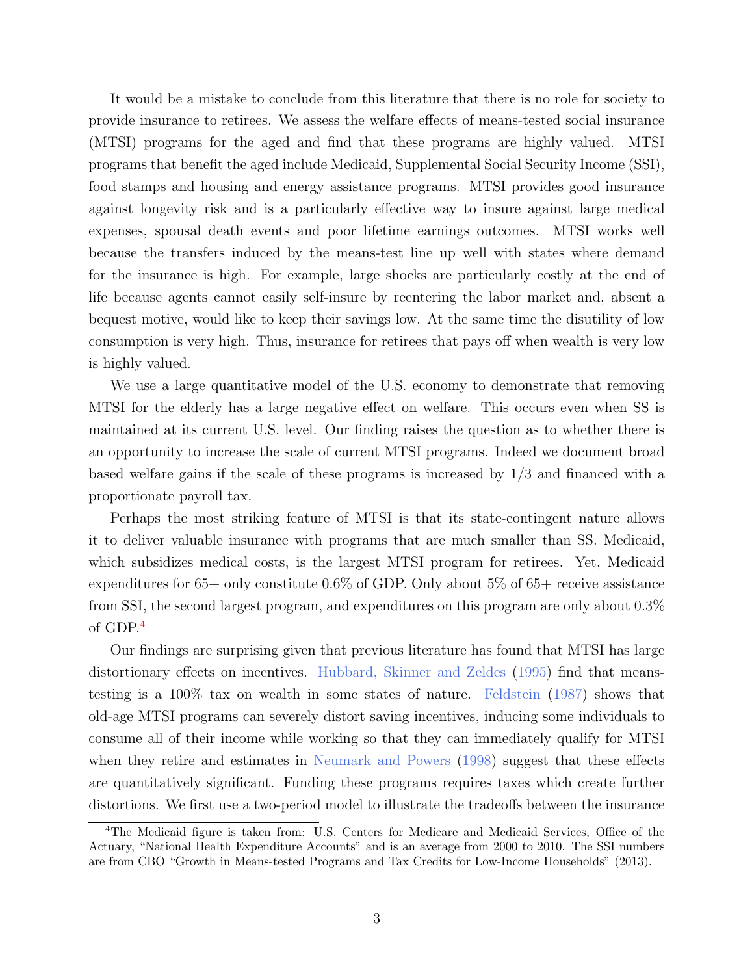It would be a mistake to conclude from this literature that there is no role for society to provide insurance to retirees. We assess the welfare effects of means-tested social insurance (MTSI) programs for the aged and find that these programs are highly valued. MTSI programs that benefit the aged include Medicaid, Supplemental Social Security Income (SSI), food stamps and housing and energy assistance programs. MTSI provides good insurance against longevity risk and is a particularly effective way to insure against large medical expenses, spousal death events and poor lifetime earnings outcomes. MTSI works well because the transfers induced by the means-test line up well with states where demand for the insurance is high. For example, large shocks are particularly costly at the end of life because agents cannot easily self-insure by reentering the labor market and, absent a bequest motive, would like to keep their savings low. At the same time the disutility of low consumption is very high. Thus, insurance for retirees that pays off when wealth is very low is highly valued.

We use a large quantitative model of the U.S. economy to demonstrate that removing MTSI for the elderly has a large negative effect on welfare. This occurs even when SS is maintained at its current U.S. level. Our finding raises the question as to whether there is an opportunity to increase the scale of current MTSI programs. Indeed we document broad based welfare gains if the scale of these programs is increased by 1/3 and financed with a proportionate payroll tax.

Perhaps the most striking feature of MTSI is that its state-contingent nature allows it to deliver valuable insurance with programs that are much smaller than SS. Medicaid, which subsidizes medical costs, is the largest MTSI program for retirees. Yet, Medicaid expenditures for  $65+$  only constitute 0.6% of GDP. Only about 5% of  $65+$  receive assistance from SSI, the second largest program, and expenditures on this program are only about 0.3% of GDP.[4](#page-2-0)

Our findings are surprising given that previous literature has found that MTSI has large distortionary effects on incentives. [Hubbard, Skinner and Zeldes](#page-41-3) [\(1995\)](#page-41-3) find that meanstesting is a 100% tax on wealth in some states of nature. [Feldstein](#page-40-3) [\(1987\)](#page-40-3) shows that old-age MTSI programs can severely distort saving incentives, inducing some individuals to consume all of their income while working so that they can immediately qualify for MTSI when they retire and estimates in [Neumark and Powers](#page-42-1) [\(1998\)](#page-42-1) suggest that these effects are quantitatively significant. Funding these programs requires taxes which create further distortions. We first use a two-period model to illustrate the tradeoffs between the insurance

<span id="page-2-0"></span><sup>4</sup>The Medicaid figure is taken from: U.S. Centers for Medicare and Medicaid Services, Office of the Actuary, "National Health Expenditure Accounts" and is an average from 2000 to 2010. The SSI numbers are from CBO "Growth in Means-tested Programs and Tax Credits for Low-Income Households" (2013).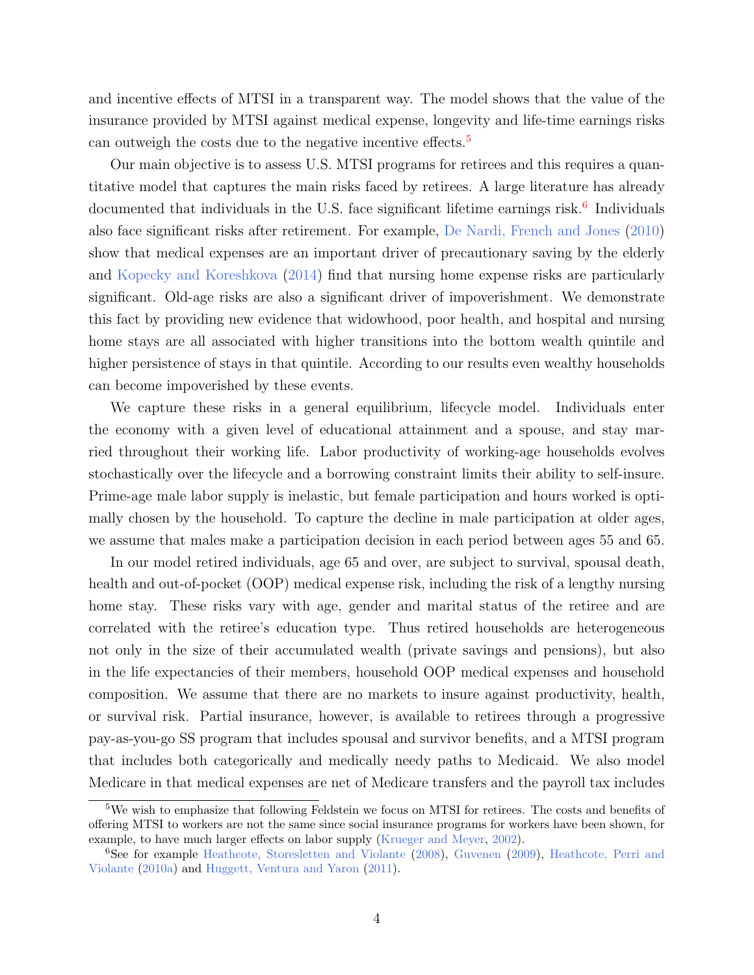and incentive effects of MTSI in a transparent way. The model shows that the value of the insurance provided by MTSI against medical expense, longevity and life-time earnings risks can outweigh the costs due to the negative incentive effects.<sup>[5](#page-3-0)</sup>

Our main objective is to assess U.S. MTSI programs for retirees and this requires a quantitative model that captures the main risks faced by retirees. A large literature has already documented that individuals in the U.S. face significant lifetime earnings risk.<sup>[6](#page-3-1)</sup> Individuals also face significant risks after retirement. For example, [De Nardi, French and Jones](#page-40-4) [\(2010\)](#page-40-4) show that medical expenses are an important driver of precautionary saving by the elderly and [Kopecky and Koreshkova](#page-41-4) [\(2014\)](#page-41-4) find that nursing home expense risks are particularly significant. Old-age risks are also a significant driver of impoverishment. We demonstrate this fact by providing new evidence that widowhood, poor health, and hospital and nursing home stays are all associated with higher transitions into the bottom wealth quintile and higher persistence of stays in that quintile. According to our results even wealthy households can become impoverished by these events.

We capture these risks in a general equilibrium, lifecycle model. Individuals enter the economy with a given level of educational attainment and a spouse, and stay married throughout their working life. Labor productivity of working-age households evolves stochastically over the lifecycle and a borrowing constraint limits their ability to self-insure. Prime-age male labor supply is inelastic, but female participation and hours worked is optimally chosen by the household. To capture the decline in male participation at older ages, we assume that males make a participation decision in each period between ages 55 and 65.

In our model retired individuals, age 65 and over, are subject to survival, spousal death, health and out-of-pocket (OOP) medical expense risk, including the risk of a lengthy nursing home stay. These risks vary with age, gender and marital status of the retiree and are correlated with the retiree's education type. Thus retired households are heterogeneous not only in the size of their accumulated wealth (private savings and pensions), but also in the life expectancies of their members, household OOP medical expenses and household composition. We assume that there are no markets to insure against productivity, health, or survival risk. Partial insurance, however, is available to retirees through a progressive pay-as-you-go SS program that includes spousal and survivor benefits, and a MTSI program that includes both categorically and medically needy paths to Medicaid. We also model Medicare in that medical expenses are net of Medicare transfers and the payroll tax includes

<span id="page-3-0"></span><sup>&</sup>lt;sup>5</sup>We wish to emphasize that following Feldstein we focus on MTSI for retirees. The costs and benefits of offering MTSI to workers are not the same since social insurance programs for workers have been shown, for example, to have much larger effects on labor supply [\(Krueger and Meyer,](#page-42-2) [2002\)](#page-42-2).

<span id="page-3-1"></span><sup>6</sup>See for example [Heathcote, Storesletten and Violante](#page-41-5) [\(2008\)](#page-41-5), [Guvenen](#page-40-5) [\(2009\)](#page-40-5), [Heathcote, Perri and](#page-40-6) [Violante](#page-40-6) [\(2010a\)](#page-40-6) and [Huggett, Ventura and Yaron](#page-41-6) [\(2011\)](#page-41-6).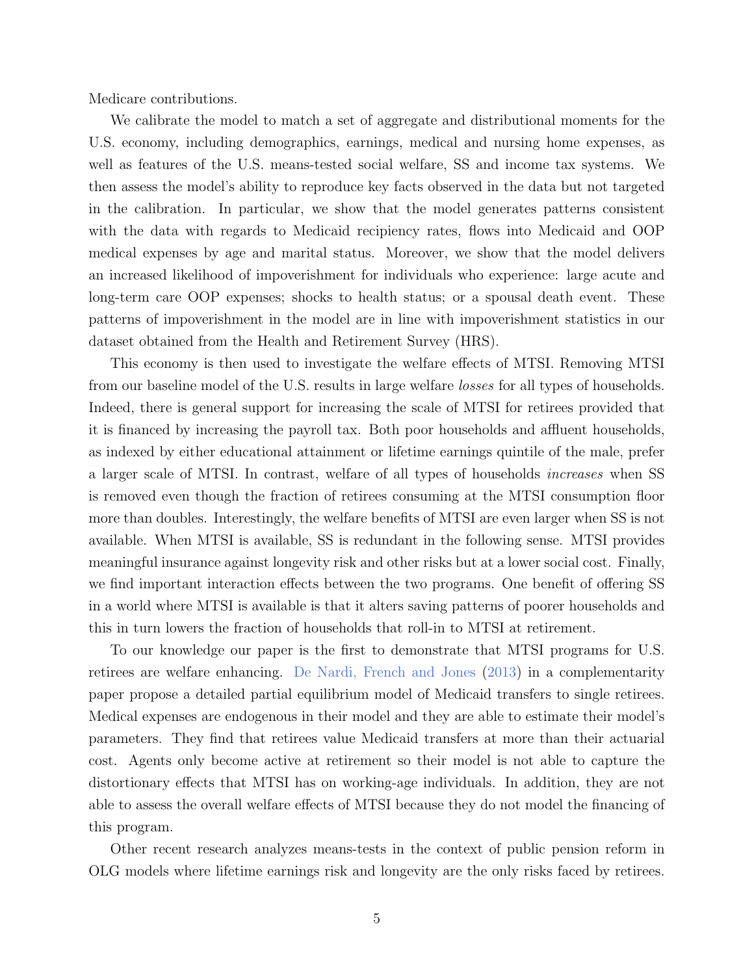Medicare contributions.

We calibrate the model to match a set of aggregate and distributional moments for the U.S. economy, including demographics, earnings, medical and nursing home expenses, as well as features of the U.S. means-tested social welfare, SS and income tax systems. We then assess the model's ability to reproduce key facts observed in the data but not targeted in the calibration. In particular, we show that the model generates patterns consistent with the data with regards to Medicaid recipiency rates, flows into Medicaid and OOP medical expenses by age and marital status. Moreover, we show that the model delivers an increased likelihood of impoverishment for individuals who experience: large acute and long-term care OOP expenses; shocks to health status; or a spousal death event. These patterns of impoverishment in the model are in line with impoverishment statistics in our dataset obtained from the Health and Retirement Survey (HRS).

This economy is then used to investigate the welfare effects of MTSI. Removing MTSI from our baseline model of the U.S. results in large welfare losses for all types of households. Indeed, there is general support for increasing the scale of MTSI for retirees provided that it is financed by increasing the payroll tax. Both poor households and affluent households, as indexed by either educational attainment or lifetime earnings quintile of the male, prefer a larger scale of MTSI. In contrast, welfare of all types of households increases when SS is removed even though the fraction of retirees consuming at the MTSI consumption floor more than doubles. Interestingly, the welfare benefits of MTSI are even larger when SS is not available. When MTSI is available, SS is redundant in the following sense. MTSI provides meaningful insurance against longevity risk and other risks but at a lower social cost. Finally, we find important interaction effects between the two programs. One benefit of offering SS in a world where MTSI is available is that it alters saving patterns of poorer households and this in turn lowers the fraction of households that roll-in to MTSI at retirement.

To our knowledge our paper is the first to demonstrate that MTSI programs for U.S. retirees are welfare enhancing. [De Nardi, French and Jones](#page-40-7) [\(2013\)](#page-40-7) in a complementarity paper propose a detailed partial equilibrium model of Medicaid transfers to single retirees. Medical expenses are endogenous in their model and they are able to estimate their model's parameters. They find that retirees value Medicaid transfers at more than their actuarial cost. Agents only become active at retirement so their model is not able to capture the distortionary effects that MTSI has on working-age individuals. In addition, they are not able to assess the overall welfare effects of MTSI because they do not model the financing of this program.

Other recent research analyzes means-tests in the context of public pension reform in OLG models where lifetime earnings risk and longevity are the only risks faced by retirees.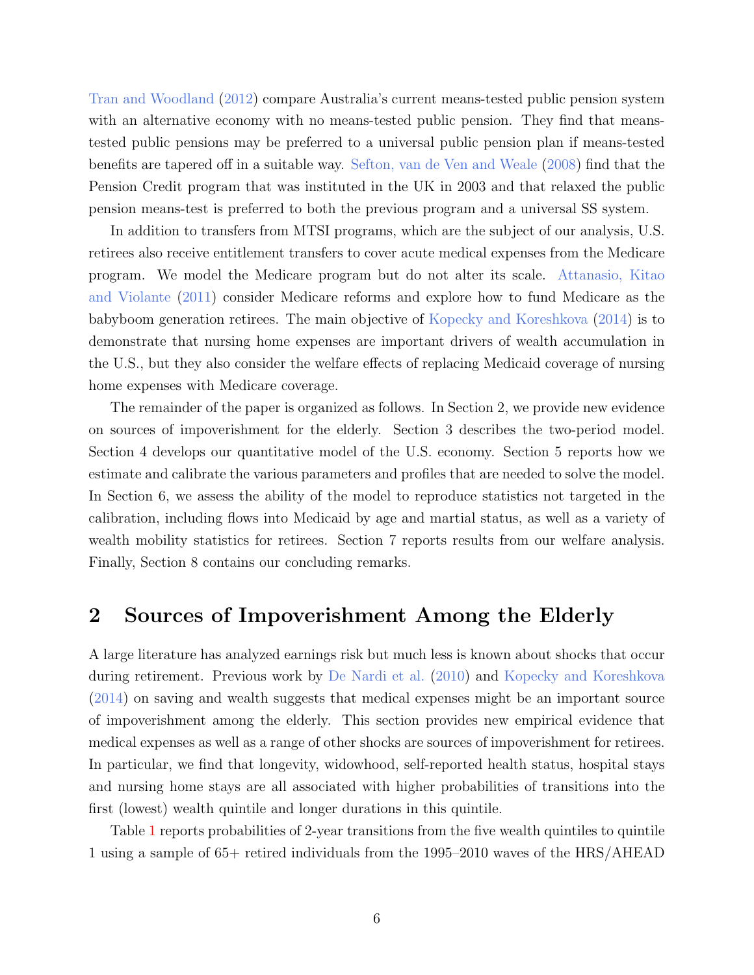[Tran and Woodland](#page-42-3) [\(2012\)](#page-42-3) compare Australia's current means-tested public pension system with an alternative economy with no means-tested public pension. They find that meanstested public pensions may be preferred to a universal public pension plan if means-tested benefits are tapered off in a suitable way. [Sefton, van de Ven and Weale](#page-42-4) [\(2008\)](#page-42-4) find that the Pension Credit program that was instituted in the UK in 2003 and that relaxed the public pension means-test is preferred to both the previous program and a universal SS system.

In addition to transfers from MTSI programs, which are the subject of our analysis, U.S. retirees also receive entitlement transfers to cover acute medical expenses from the Medicare program. We model the Medicare program but do not alter its scale. [Attanasio, Kitao](#page-40-8) [and Violante](#page-40-8) [\(2011\)](#page-40-8) consider Medicare reforms and explore how to fund Medicare as the babyboom generation retirees. The main objective of [Kopecky and Koreshkova](#page-41-4) [\(2014\)](#page-41-4) is to demonstrate that nursing home expenses are important drivers of wealth accumulation in the U.S., but they also consider the welfare effects of replacing Medicaid coverage of nursing home expenses with Medicare coverage.

The remainder of the paper is organized as follows. In Section 2, we provide new evidence on sources of impoverishment for the elderly. Section 3 describes the two-period model. Section 4 develops our quantitative model of the U.S. economy. Section 5 reports how we estimate and calibrate the various parameters and profiles that are needed to solve the model. In Section 6, we assess the ability of the model to reproduce statistics not targeted in the calibration, including flows into Medicaid by age and martial status, as well as a variety of wealth mobility statistics for retirees. Section 7 reports results from our welfare analysis. Finally, Section 8 contains our concluding remarks.

## <span id="page-5-0"></span>2 Sources of Impoverishment Among the Elderly

A large literature has analyzed earnings risk but much less is known about shocks that occur during retirement. Previous work by [De Nardi et al.](#page-40-4) [\(2010\)](#page-40-4) and [Kopecky and Koreshkova](#page-41-4) [\(2014\)](#page-41-4) on saving and wealth suggests that medical expenses might be an important source of impoverishment among the elderly. This section provides new empirical evidence that medical expenses as well as a range of other shocks are sources of impoverishment for retirees. In particular, we find that longevity, widowhood, self-reported health status, hospital stays and nursing home stays are all associated with higher probabilities of transitions into the first (lowest) wealth quintile and longer durations in this quintile.

Table [1](#page-6-0) reports probabilities of 2-year transitions from the five wealth quintiles to quintile 1 using a sample of 65+ retired individuals from the 1995–2010 waves of the HRS/AHEAD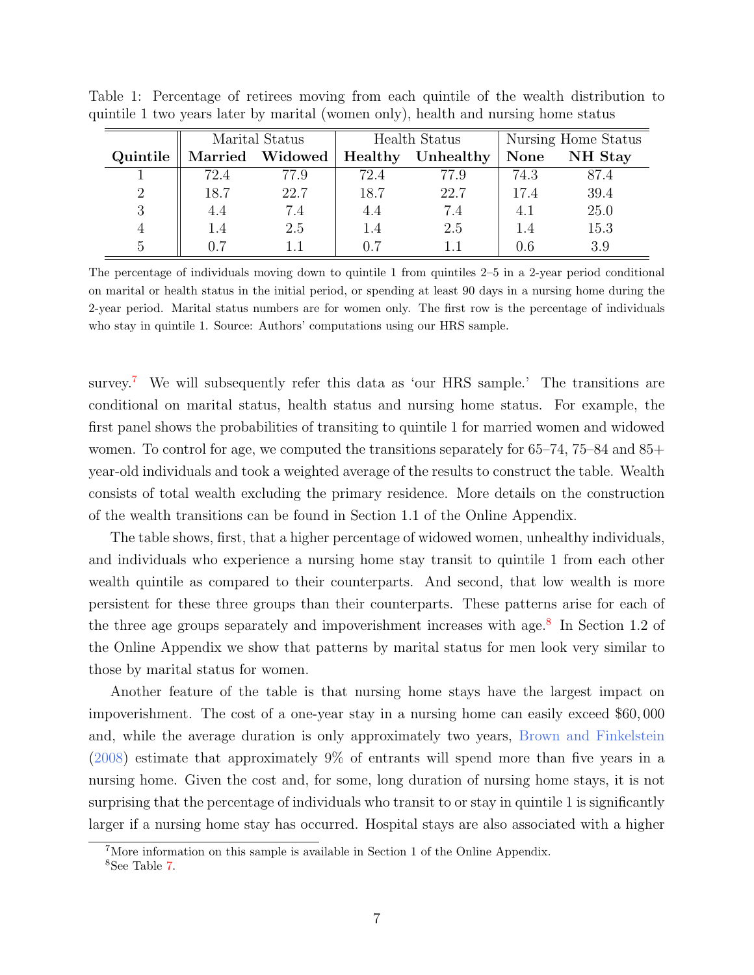|                         | Marital Status |                 |         | Health Status | Nursing Home Status |                |  |
|-------------------------|----------------|-----------------|---------|---------------|---------------------|----------------|--|
| Quintile                |                | Married Widowed | Healthy | Unhealthy     | <b>None</b>         | <b>NH</b> Stay |  |
|                         | 72.4           | 77.9            | 72.4    | 77.9          | 74.3                | 87.4           |  |
| $\overline{2}$          | 18.7           | 22.7            | 18.7    | 22.7          | 17.4                | 39.4           |  |
| 3                       | 4.4            | 7.4             | 4.4     | 7.4           | 4.1                 | 25.0           |  |
| $\overline{4}$          | 1.4            | 2.5             | 1.4     | 2.5           | 1.4                 | 15.3           |  |
| $\overline{\mathbf{5}}$ | 07             | 11              | በ 7     |               | 0.6                 | 3.9            |  |

<span id="page-6-0"></span>Table 1: Percentage of retirees moving from each quintile of the wealth distribution to quintile 1 two years later by marital (women only), health and nursing home status

The percentage of individuals moving down to quintile 1 from quintiles 2–5 in a 2-year period conditional on marital or health status in the initial period, or spending at least 90 days in a nursing home during the 2-year period. Marital status numbers are for women only. The first row is the percentage of individuals who stay in quintile 1. Source: Authors' computations using our HRS sample.

survey.<sup>[7](#page-6-1)</sup> We will subsequently refer this data as 'our HRS sample.' The transitions are conditional on marital status, health status and nursing home status. For example, the first panel shows the probabilities of transiting to quintile 1 for married women and widowed women. To control for age, we computed the transitions separately for 65–74, 75–84 and 85+ year-old individuals and took a weighted average of the results to construct the table. Wealth consists of total wealth excluding the primary residence. More details on the construction of the wealth transitions can be found in Section 1.1 of the Online Appendix.

The table shows, first, that a higher percentage of widowed women, unhealthy individuals, and individuals who experience a nursing home stay transit to quintile 1 from each other wealth quintile as compared to their counterparts. And second, that low wealth is more persistent for these three groups than their counterparts. These patterns arise for each of the three age groups separately and impoverishment increases with age.<sup>[8](#page-6-2)</sup> In Section 1.2 of the Online Appendix we show that patterns by marital status for men look very similar to those by marital status for women.

Another feature of the table is that nursing home stays have the largest impact on impoverishment. The cost of a one-year stay in a nursing home can easily exceed \$60, 000 and, while the average duration is only approximately two years, [Brown and Finkelstein](#page-40-9) [\(2008\)](#page-40-9) estimate that approximately 9% of entrants will spend more than five years in a nursing home. Given the cost and, for some, long duration of nursing home stays, it is not surprising that the percentage of individuals who transit to or stay in quintile 1 is significantly larger if a nursing home stay has occurred. Hospital stays are also associated with a higher

<span id="page-6-1"></span><sup>7</sup>More information on this sample is available in Section 1 of the Online Appendix.

<span id="page-6-2"></span><sup>8</sup>See Table [7.](#page-29-0)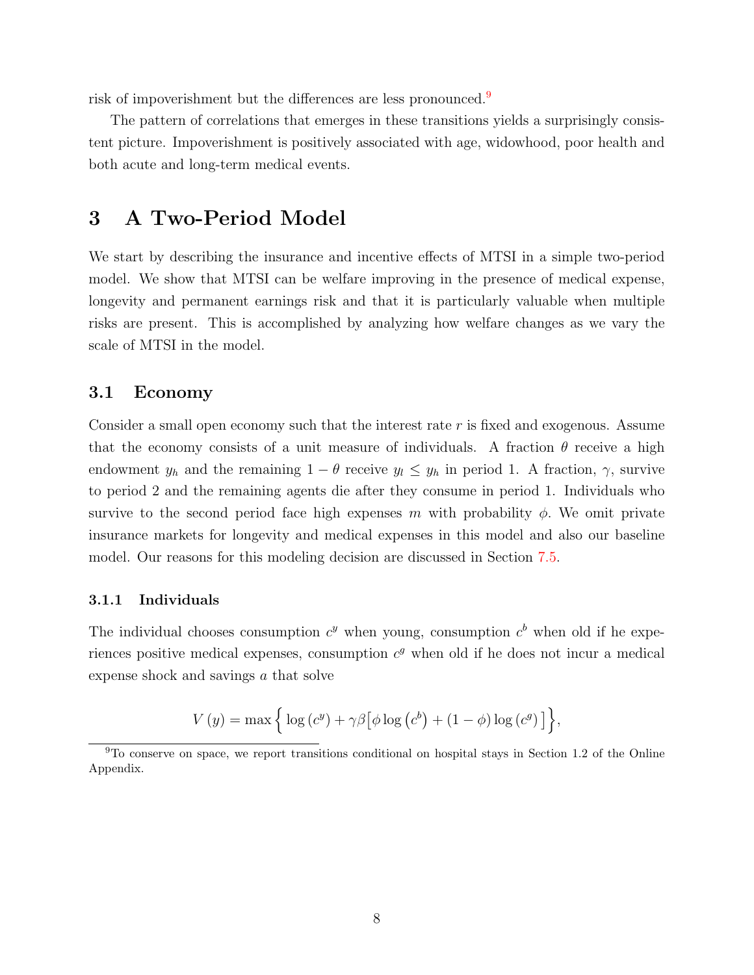risk of impoverishment but the differences are less pronounced.[9](#page-7-0)

The pattern of correlations that emerges in these transitions yields a surprisingly consistent picture. Impoverishment is positively associated with age, widowhood, poor health and both acute and long-term medical events.

# <span id="page-7-1"></span>3 A Two-Period Model

We start by describing the insurance and incentive effects of MTSI in a simple two-period model. We show that MTSI can be welfare improving in the presence of medical expense, longevity and permanent earnings risk and that it is particularly valuable when multiple risks are present. This is accomplished by analyzing how welfare changes as we vary the scale of MTSI in the model.

## 3.1 Economy

Consider a small open economy such that the interest rate r is fixed and exogenous. Assume that the economy consists of a unit measure of individuals. A fraction  $\theta$  receive a high endowment  $y_h$  and the remaining  $1 - \theta$  receive  $y_l \leq y_h$  in period 1. A fraction,  $\gamma$ , survive to period 2 and the remaining agents die after they consume in period 1. Individuals who survive to the second period face high expenses m with probability  $\phi$ . We omit private insurance markets for longevity and medical expenses in this model and also our baseline model. Our reasons for this modeling decision are discussed in Section [7.5.](#page-37-0)

#### 3.1.1 Individuals

The individual chooses consumption  $c^y$  when young, consumption  $c^b$  when old if he experiences positive medical expenses, consumption  $c<sup>g</sup>$  when old if he does not incur a medical expense shock and savings a that solve

$$
V(y) = \max \left\{ \log (c^y) + \gamma \beta \left[ \phi \log (c^b) + (1 - \phi) \log (c^g) \right] \right\},\
$$

<span id="page-7-0"></span><sup>9</sup>To conserve on space, we report transitions conditional on hospital stays in Section 1.2 of the Online Appendix.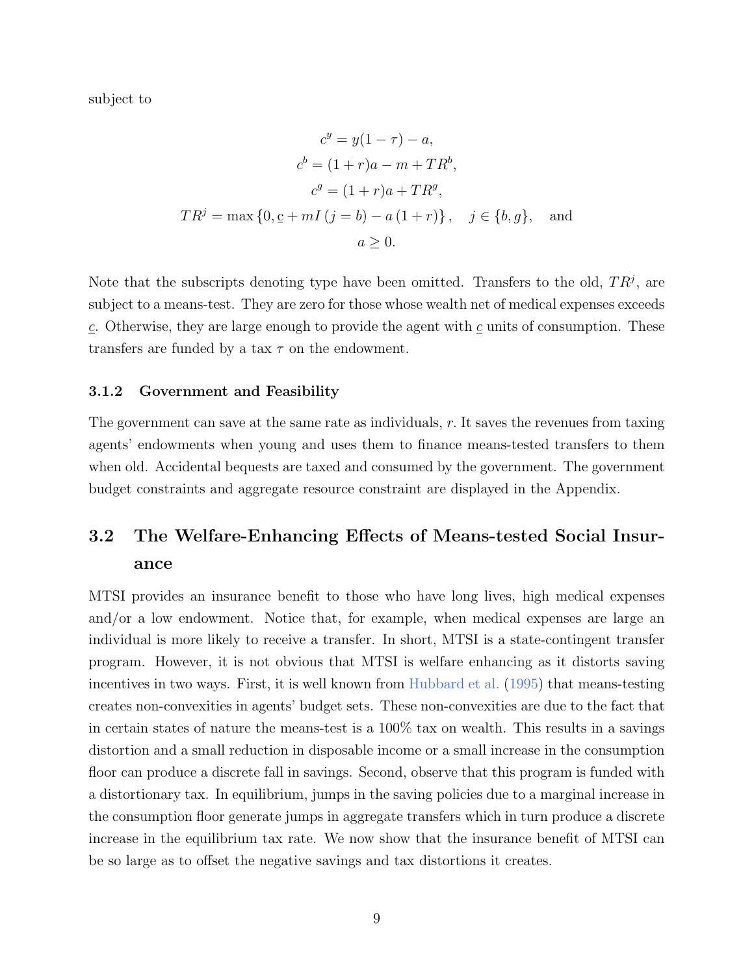subject to

$$
c^{y} = y(1 - \tau) - a,
$$
  
\n
$$
c^{b} = (1 + r)a - m + TR^{b},
$$
  
\n
$$
c^{g} = (1 + r)a + TR^{g},
$$
  
\n
$$
TR^{j} = \max \{0, \underline{c} + mI (j = b) - a (1 + r)\}, \quad j \in \{b, g\}, \text{ and}
$$
  
\n
$$
a \ge 0.
$$

Note that the subscripts denoting type have been omitted. Transfers to the old,  $TR<sup>j</sup>$ , are subject to a means-test. They are zero for those whose wealth net of medical expenses exceeds c. Otherwise, they are large enough to provide the agent with  $c$  units of consumption. These transfers are funded by a tax  $\tau$  on the endowment.

#### 3.1.2 Government and Feasibility

The government can save at the same rate as individuals,  $r$ . It saves the revenues from taxing agents' endowments when young and uses them to finance means-tested transfers to them when old. Accidental bequests are taxed and consumed by the government. The government budget constraints and aggregate resource constraint are displayed in the Appendix.

# 3.2 The Welfare-Enhancing Effects of Means-tested Social Insurance

MTSI provides an insurance benefit to those who have long lives, high medical expenses and/or a low endowment. Notice that, for example, when medical expenses are large an individual is more likely to receive a transfer. In short, MTSI is a state-contingent transfer program. However, it is not obvious that MTSI is welfare enhancing as it distorts saving incentives in two ways. First, it is well known from [Hubbard et al.](#page-41-3) [\(1995\)](#page-41-3) that means-testing creates non-convexities in agents' budget sets. These non-convexities are due to the fact that in certain states of nature the means-test is a 100% tax on wealth. This results in a savings distortion and a small reduction in disposable income or a small increase in the consumption floor can produce a discrete fall in savings. Second, observe that this program is funded with a distortionary tax. In equilibrium, jumps in the saving policies due to a marginal increase in the consumption floor generate jumps in aggregate transfers which in turn produce a discrete increase in the equilibrium tax rate. We now show that the insurance benefit of MTSI can be so large as to offset the negative savings and tax distortions it creates.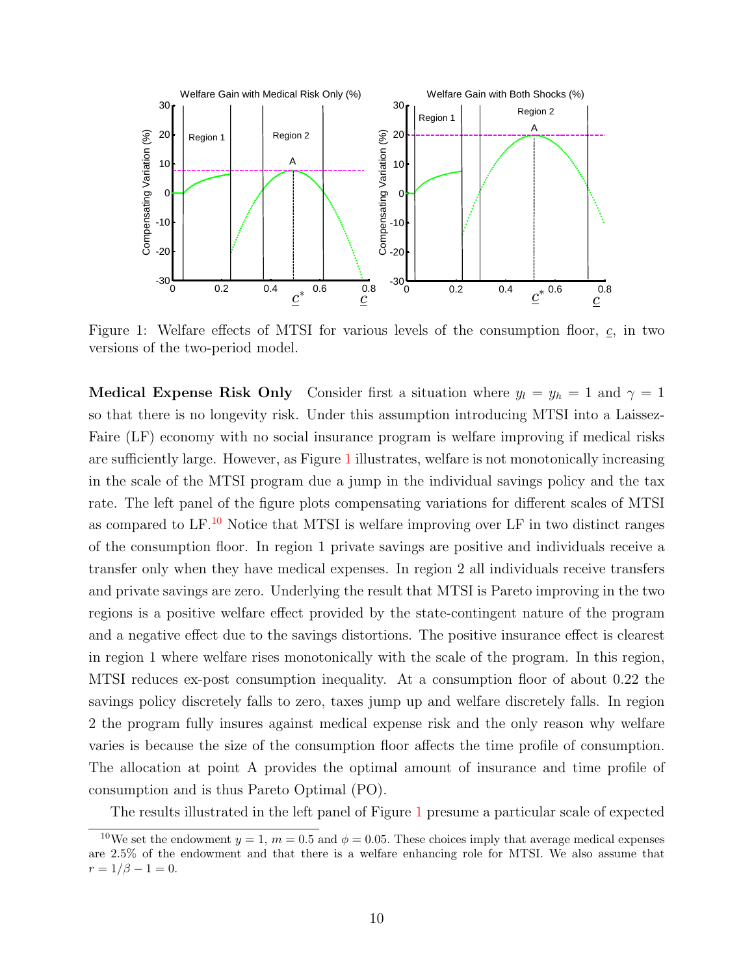<span id="page-9-0"></span>

Figure 1: Welfare effects of MTSI for various levels of the consumption floor,  $c$ , in two versions of the two-period model.

**Medical Expense Risk Only** Consider first a situation where  $y_l = y_h = 1$  and  $\gamma = 1$ so that there is no longevity risk. Under this assumption introducing MTSI into a Laissez-Faire (LF) economy with no social insurance program is welfare improving if medical risks are sufficiently large. However, as Figure [1](#page-9-0) illustrates, welfare is not monotonically increasing in the scale of the MTSI program due a jump in the individual savings policy and the tax rate. The left panel of the figure plots compensating variations for different scales of MTSI as compared to LF.[10](#page-9-1) Notice that MTSI is welfare improving over LF in two distinct ranges of the consumption floor. In region 1 private savings are positive and individuals receive a transfer only when they have medical expenses. In region 2 all individuals receive transfers and private savings are zero. Underlying the result that MTSI is Pareto improving in the two regions is a positive welfare effect provided by the state-contingent nature of the program and a negative effect due to the savings distortions. The positive insurance effect is clearest in region 1 where welfare rises monotonically with the scale of the program. In this region, MTSI reduces ex-post consumption inequality. At a consumption floor of about 0.22 the savings policy discretely falls to zero, taxes jump up and welfare discretely falls. In region 2 the program fully insures against medical expense risk and the only reason why welfare varies is because the size of the consumption floor affects the time profile of consumption. The allocation at point A provides the optimal amount of insurance and time profile of consumption and is thus Pareto Optimal (PO).

<span id="page-9-1"></span>The results illustrated in the left panel of Figure [1](#page-9-0) presume a particular scale of expected

<sup>&</sup>lt;sup>10</sup>We set the endowment  $y = 1$ ,  $m = 0.5$  and  $\phi = 0.05$ . These choices imply that average medical expenses are 2.5% of the endowment and that there is a welfare enhancing role for MTSI. We also assume that  $r = 1/\beta - 1 = 0.$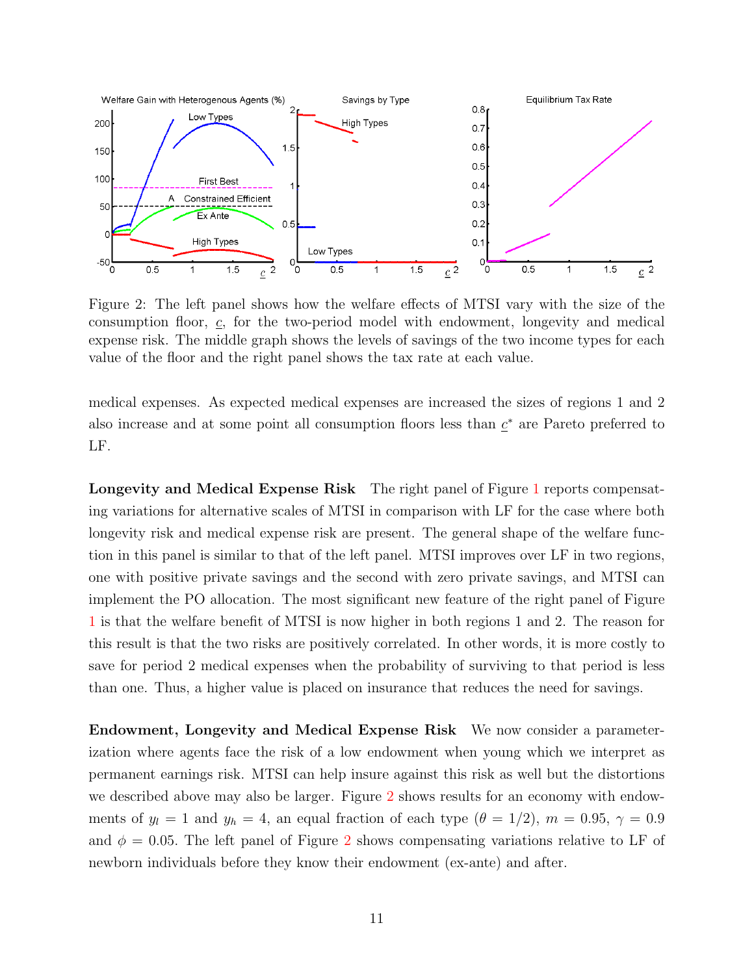<span id="page-10-0"></span>

Figure 2: The left panel shows how the welfare effects of MTSI vary with the size of the consumption floor,  $c$ , for the two-period model with endowment, longevity and medical expense risk. The middle graph shows the levels of savings of the two income types for each value of the floor and the right panel shows the tax rate at each value.

medical expenses. As expected medical expenses are increased the sizes of regions 1 and 2 also increase and at some point all consumption floors less than  $\underline{c}^*$  are Pareto preferred to LF.

Longevity and Medical Expense Risk The right panel of Figure [1](#page-9-0) reports compensating variations for alternative scales of MTSI in comparison with LF for the case where both longevity risk and medical expense risk are present. The general shape of the welfare function in this panel is similar to that of the left panel. MTSI improves over LF in two regions, one with positive private savings and the second with zero private savings, and MTSI can implement the PO allocation. The most significant new feature of the right panel of Figure [1](#page-9-0) is that the welfare benefit of MTSI is now higher in both regions 1 and 2. The reason for this result is that the two risks are positively correlated. In other words, it is more costly to save for period 2 medical expenses when the probability of surviving to that period is less than one. Thus, a higher value is placed on insurance that reduces the need for savings.

Endowment, Longevity and Medical Expense Risk We now consider a parameterization where agents face the risk of a low endowment when young which we interpret as permanent earnings risk. MTSI can help insure against this risk as well but the distortions we described above may also be larger. Figure [2](#page-10-0) shows results for an economy with endowments of  $y_l = 1$  and  $y_h = 4$ , an equal fraction of each type  $(\theta = 1/2)$ ,  $m = 0.95$ ,  $\gamma = 0.9$ and  $\phi = 0.05$ . The left panel of Figure [2](#page-10-0) shows compensating variations relative to LF of newborn individuals before they know their endowment (ex-ante) and after.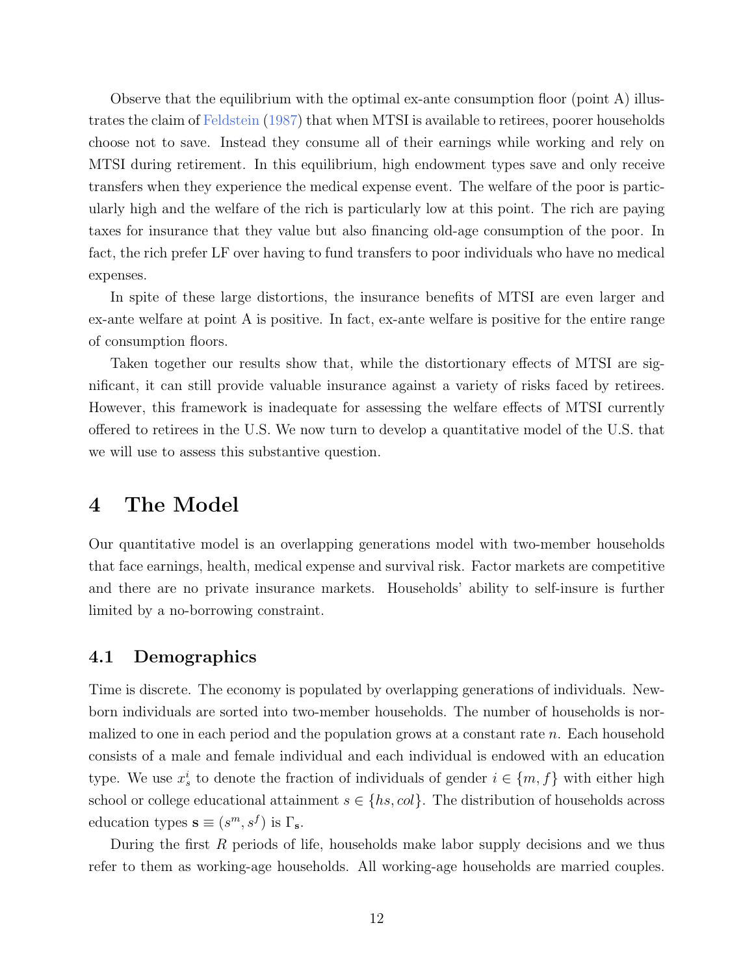Observe that the equilibrium with the optimal ex-ante consumption floor (point A) illustrates the claim of [Feldstein](#page-40-3) [\(1987\)](#page-40-3) that when MTSI is available to retirees, poorer households choose not to save. Instead they consume all of their earnings while working and rely on MTSI during retirement. In this equilibrium, high endowment types save and only receive transfers when they experience the medical expense event. The welfare of the poor is particularly high and the welfare of the rich is particularly low at this point. The rich are paying taxes for insurance that they value but also financing old-age consumption of the poor. In fact, the rich prefer LF over having to fund transfers to poor individuals who have no medical expenses.

In spite of these large distortions, the insurance benefits of MTSI are even larger and ex-ante welfare at point A is positive. In fact, ex-ante welfare is positive for the entire range of consumption floors.

Taken together our results show that, while the distortionary effects of MTSI are significant, it can still provide valuable insurance against a variety of risks faced by retirees. However, this framework is inadequate for assessing the welfare effects of MTSI currently offered to retirees in the U.S. We now turn to develop a quantitative model of the U.S. that we will use to assess this substantive question.

# 4 The Model

Our quantitative model is an overlapping generations model with two-member households that face earnings, health, medical expense and survival risk. Factor markets are competitive and there are no private insurance markets. Households' ability to self-insure is further limited by a no-borrowing constraint.

### 4.1 Demographics

Time is discrete. The economy is populated by overlapping generations of individuals. Newborn individuals are sorted into two-member households. The number of households is normalized to one in each period and the population grows at a constant rate  $n$ . Each household consists of a male and female individual and each individual is endowed with an education type. We use  $x_s^i$  to denote the fraction of individuals of gender  $i \in \{m, f\}$  with either high school or college educational attainment  $s \in \{hs, col\}$ . The distribution of households across education types  $\mathbf{s} \equiv (s^m, s^f)$  is  $\Gamma_{\mathbf{s}}$ .

During the first R periods of life, households make labor supply decisions and we thus refer to them as working-age households. All working-age households are married couples.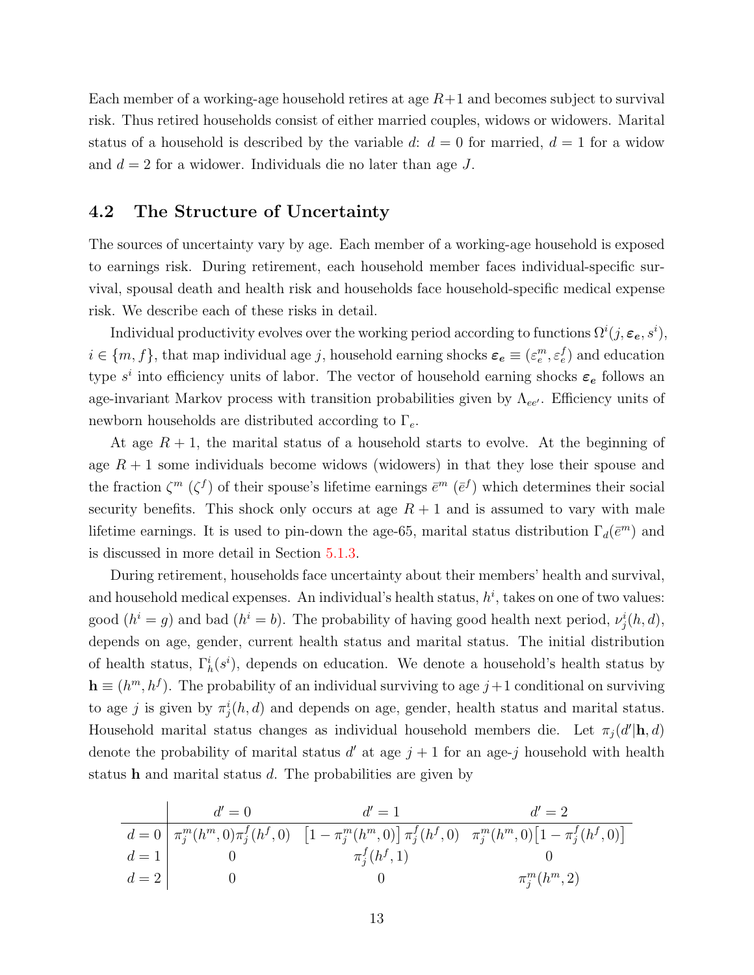Each member of a working-age household retires at age  $R+1$  and becomes subject to survival risk. Thus retired households consist of either married couples, widows or widowers. Marital status of a household is described by the variable d:  $d = 0$  for married,  $d = 1$  for a widow and  $d = 2$  for a widower. Individuals die no later than age J.

## <span id="page-12-0"></span>4.2 The Structure of Uncertainty

The sources of uncertainty vary by age. Each member of a working-age household is exposed to earnings risk. During retirement, each household member faces individual-specific survival, spousal death and health risk and households face household-specific medical expense risk. We describe each of these risks in detail.

Individual productivity evolves over the working period according to functions  $\Omega^{i}(j, \varepsilon_{e}, s^{i}),$  $i \in \{m, f\}$ , that map individual age j, household earning shocks  $\varepsilon_e \equiv (\varepsilon_e^m, \varepsilon_e^f)$  and education type  $s^i$  into efficiency units of labor. The vector of household earning shocks  $\varepsilon_e$  follows an age-invariant Markov process with transition probabilities given by  $\Lambda_{ee}$ . Efficiency units of newborn households are distributed according to  $\Gamma_e$ .

At age  $R + 1$ , the marital status of a household starts to evolve. At the beginning of age  $R + 1$  some individuals become widows (widowers) in that they lose their spouse and the fraction  $\zeta^m$  ( $\zeta^f$ ) of their spouse's lifetime earnings  $\bar{e}^m$  ( $\bar{e}^f$ ) which determines their social security benefits. This shock only occurs at age  $R + 1$  and is assumed to vary with male lifetime earnings. It is used to pin-down the age-65, marital status distribution  $\Gamma_d(\bar{e}^m)$  and is discussed in more detail in Section [5.1.3.](#page-21-0)

During retirement, households face uncertainty about their members' health and survival, and household medical expenses. An individual's health status,  $h^i$ , takes on one of two values: good  $(h^{i} = g)$  and bad  $(h^{i} = b)$ . The probability of having good health next period,  $\nu_{j}^{i}(h, d)$ , depends on age, gender, current health status and marital status. The initial distribution of health status,  $\Gamma_h^i(s^i)$ , depends on education. We denote a household's health status by  $h \equiv (h^m, h^f)$ . The probability of an individual surviving to age j+1 conditional on surviving to age j is given by  $\pi_j^i(h, d)$  and depends on age, gender, health status and marital status. Household marital status changes as individual household members die. Let  $\pi_j(d'|\mathbf{h}, d)$ denote the probability of marital status  $d'$  at age  $j + 1$  for an age-j household with health status  **and marital status**  $d$ **. The probabilities are given by** 

$$
\frac{d' = 0}{d = 0} \frac{d' = 1}{\pi_j^m(h^m, 0)\pi_j^f(h^f, 0)} \frac{d' = 1}{[1 - \pi_j^m(h^m, 0)]\pi_j^f(h^f, 0)} \frac{d' = 2}{\pi_j^f(h^f, 1)} \nd = 1
$$
\n
$$
\frac{d}{d = 2} \frac{d'}{0} \frac{1}{\pi_j^f(h^f, 1)} \frac{d'}{0} \frac{1}{\pi_j^m(h^m, 0)} \frac{1}{\pi_j^m(h^m, 2)}
$$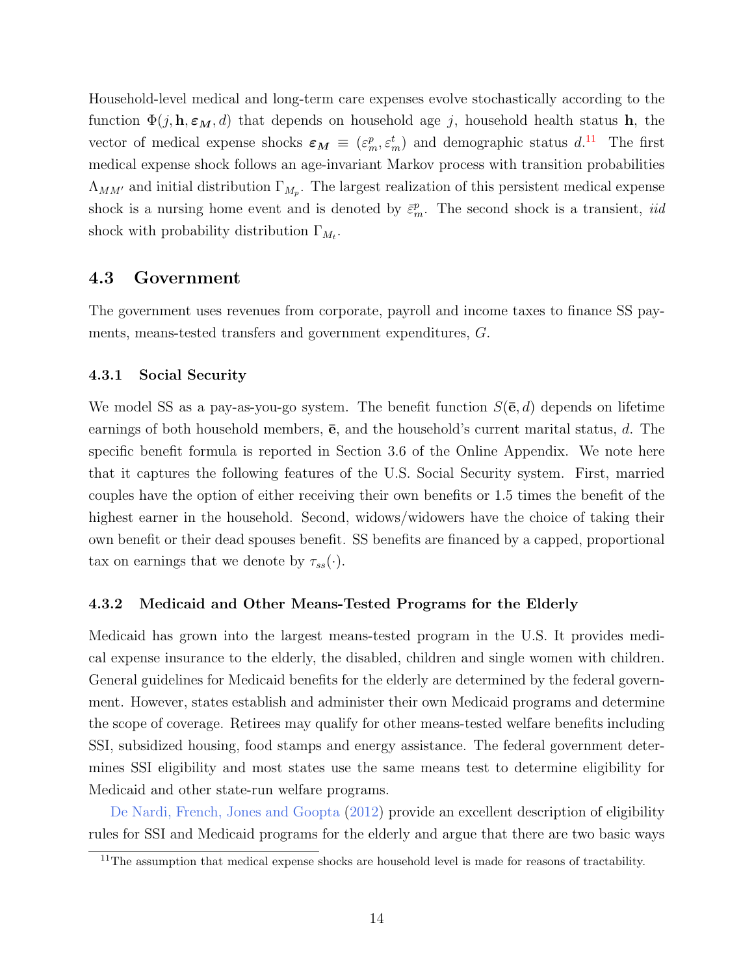Household-level medical and long-term care expenses evolve stochastically according to the function  $\Phi(j, h, \epsilon_M, d)$  that depends on household age j, household health status h, the vector of medical expense shocks  $\varepsilon_M \equiv (\varepsilon_m^p, \varepsilon_m^t)$  and demographic status  $d^{11}$  $d^{11}$  $d^{11}$ . The first medical expense shock follows an age-invariant Markov process with transition probabilities  $\Lambda_{MM'}$  and initial distribution  $\Gamma_{M_p}$ . The largest realization of this persistent medical expense shock is a nursing home event and is denoted by  $\bar{\varepsilon}_m^p$ . The second shock is a transient, *iid* shock with probability distribution  $\Gamma_{M_t}$ .

## 4.3 Government

The government uses revenues from corporate, payroll and income taxes to finance SS payments, means-tested transfers and government expenditures, G.

#### 4.3.1 Social Security

We model SS as a pay-as-you-go system. The benefit function  $S(\bar{e}, d)$  depends on lifetime earnings of both household members,  $\bar{e}$ , and the household's current marital status, d. The specific benefit formula is reported in Section 3.6 of the Online Appendix. We note here that it captures the following features of the U.S. Social Security system. First, married couples have the option of either receiving their own benefits or 1.5 times the benefit of the highest earner in the household. Second, widows/widowers have the choice of taking their own benefit or their dead spouses benefit. SS benefits are financed by a capped, proportional tax on earnings that we denote by  $\tau_{ss}(\cdot)$ .

#### 4.3.2 Medicaid and Other Means-Tested Programs for the Elderly

Medicaid has grown into the largest means-tested program in the U.S. It provides medical expense insurance to the elderly, the disabled, children and single women with children. General guidelines for Medicaid benefits for the elderly are determined by the federal government. However, states establish and administer their own Medicaid programs and determine the scope of coverage. Retirees may qualify for other means-tested welfare benefits including SSI, subsidized housing, food stamps and energy assistance. The federal government determines SSI eligibility and most states use the same means test to determine eligibility for Medicaid and other state-run welfare programs.

[De Nardi, French, Jones and Goopta](#page-40-10) [\(2012\)](#page-40-10) provide an excellent description of eligibility rules for SSI and Medicaid programs for the elderly and argue that there are two basic ways

<span id="page-13-0"></span><sup>&</sup>lt;sup>11</sup>The assumption that medical expense shocks are household level is made for reasons of tractability.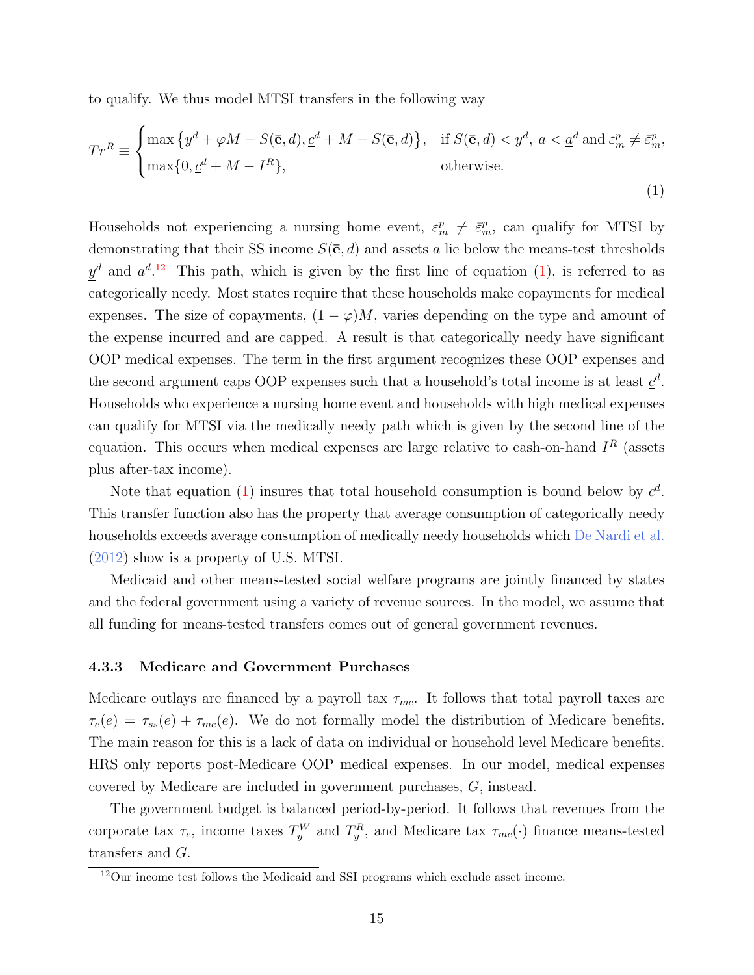to qualify. We thus model MTSI transfers in the following way

<span id="page-14-1"></span>
$$
Tr^{R} \equiv \begin{cases} \max \{ \underline{y}^{d} + \varphi M - S(\bar{\mathbf{e}}, d), \underline{c}^{d} + M - S(\bar{\mathbf{e}}, d) \}, & \text{if } S(\bar{\mathbf{e}}, d) < \underline{y}^{d}, a < \underline{a}^{d} \text{ and } \varepsilon_{m}^{p} \neq \bar{\varepsilon}_{m}^{p}, \\ \max \{ 0, \underline{c}^{d} + M - I^{R} \}, & \text{otherwise.} \end{cases}
$$
(1)

Households not experiencing a nursing home event,  $\varepsilon_m^p \neq \overline{\varepsilon}_m^p$ , can qualify for MTSI by demonstrating that their SS income  $S(\bar{\mathbf{e}}, d)$  and assets a lie below the means-test thresholds  $y^d$  and  $\underline{a}^{d}$ .<sup>[12](#page-14-0)</sup> This path, which is given by the first line of equation [\(1\)](#page-14-1), is referred to as categorically needy. Most states require that these households make copayments for medical expenses. The size of copayments,  $(1 - \varphi)M$ , varies depending on the type and amount of the expense incurred and are capped. A result is that categorically needy have significant OOP medical expenses. The term in the first argument recognizes these OOP expenses and the second argument caps OOP expenses such that a household's total income is at least  $\underline{c}^d$ . Households who experience a nursing home event and households with high medical expenses can qualify for MTSI via the medically needy path which is given by the second line of the equation. This occurs when medical expenses are large relative to cash-on-hand  $I<sup>R</sup>$  (assets plus after-tax income).

Note that equation [\(1\)](#page-14-1) insures that total household consumption is bound below by  $\underline{c}^d$ . This transfer function also has the property that average consumption of categorically needy households exceeds average consumption of medically needy households which [De Nardi et al.](#page-40-10) [\(2012\)](#page-40-10) show is a property of U.S. MTSI.

Medicaid and other means-tested social welfare programs are jointly financed by states and the federal government using a variety of revenue sources. In the model, we assume that all funding for means-tested transfers comes out of general government revenues.

#### 4.3.3 Medicare and Government Purchases

Medicare outlays are financed by a payroll tax  $\tau_{mc}$ . It follows that total payroll taxes are  $\tau_e(e) = \tau_{ss}(e) + \tau_{mc}(e)$ . We do not formally model the distribution of Medicare benefits. The main reason for this is a lack of data on individual or household level Medicare benefits. HRS only reports post-Medicare OOP medical expenses. In our model, medical expenses covered by Medicare are included in government purchases, G, instead.

The government budget is balanced period-by-period. It follows that revenues from the corporate tax  $\tau_c$ , income taxes  $T_y^W$  and  $T_y^R$ , and Medicare tax  $\tau_{mc}(\cdot)$  finance means-tested transfers and G.

<span id="page-14-0"></span> $12$ Our income test follows the Medicaid and SSI programs which exclude asset income.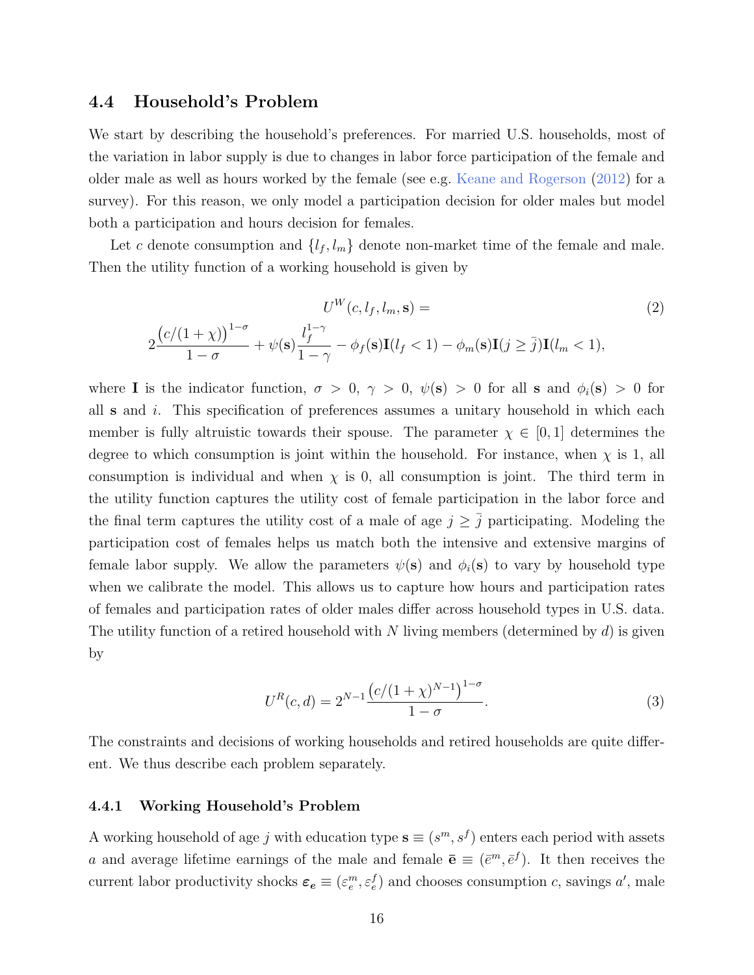#### 4.4 Household's Problem

We start by describing the household's preferences. For married U.S. households, most of the variation in labor supply is due to changes in labor force participation of the female and older male as well as hours worked by the female (see e.g. [Keane and Rogerson](#page-41-7) [\(2012\)](#page-41-7) for a survey). For this reason, we only model a participation decision for older males but model both a participation and hours decision for females.

Let c denote consumption and  $\{l_f, l_m\}$  denote non-market time of the female and male. Then the utility function of a working household is given by

$$
U^{W}(c, l_{f}, l_{m}, \mathbf{s}) =
$$
  

$$
2\frac{(c/(1+\chi))^{1-\sigma}}{1-\sigma} + \psi(\mathbf{s})\frac{l_{f}^{1-\gamma}}{1-\gamma} - \phi_{f}(\mathbf{s})\mathbf{I}(l_{f} < 1) - \phi_{m}(\mathbf{s})\mathbf{I}(j \ge \bar{j})\mathbf{I}(l_{m} < 1),
$$
\n
$$
(2)
$$

where **I** is the indicator function,  $\sigma > 0$ ,  $\gamma > 0$ ,  $\psi(\mathbf{s}) > 0$  for all **s** and  $\phi_i(\mathbf{s}) > 0$  for all **s** and i. This specification of preferences assumes a unitary household in which each member is fully altruistic towards their spouse. The parameter  $\chi \in [0,1]$  determines the degree to which consumption is joint within the household. For instance, when  $\chi$  is 1, all consumption is individual and when  $\chi$  is 0, all consumption is joint. The third term in the utility function captures the utility cost of female participation in the labor force and the final term captures the utility cost of a male of age  $j \geq j$  participating. Modeling the participation cost of females helps us match both the intensive and extensive margins of female labor supply. We allow the parameters  $\psi(\mathbf{s})$  and  $\phi_i(\mathbf{s})$  to vary by household type when we calibrate the model. This allows us to capture how hours and participation rates of females and participation rates of older males differ across household types in U.S. data. The utility function of a retired household with N living members (determined by  $d$ ) is given by

$$
U^{R}(c,d) = 2^{N-1} \frac{\left(c/(1+\chi)^{N-1}\right)^{1-\sigma}}{1-\sigma}.
$$
\n(3)

The constraints and decisions of working households and retired households are quite different. We thus describe each problem separately.

#### 4.4.1 Working Household's Problem

A working household of age j with education type  $\mathbf{s} \equiv (s^m, s^f)$  enters each period with assets a and average lifetime earnings of the male and female  $\bar{\mathbf{e}} \equiv (\bar{e}^m, \bar{e}^f)$ . It then receives the current labor productivity shocks  $\varepsilon_e \equiv (\varepsilon_e^m, \varepsilon_e^f)$  and chooses consumption c, savings a', male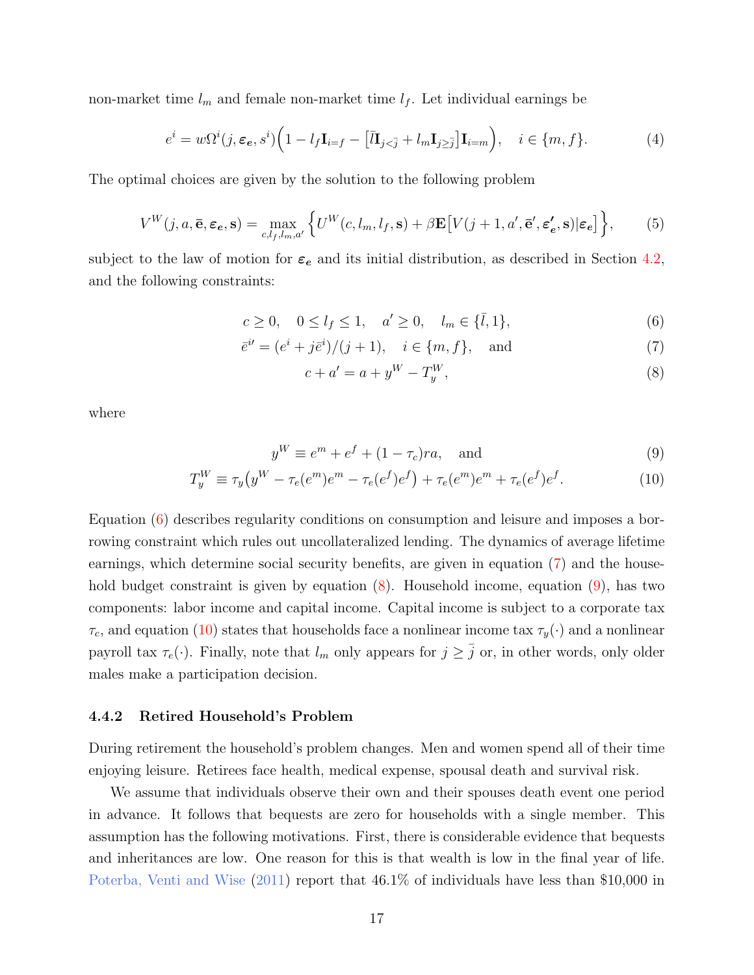non-market time  $l_m$  and female non-market time  $l_f$ . Let individual earnings be

$$
e^{i} = w\Omega^{i}(j, \varepsilon_{e}, s^{i}) \Big( 1 - l_{f} \mathbf{I}_{i=f} - \left[ \bar{l} \mathbf{I}_{j < \bar{j}} + l_{m} \mathbf{I}_{j \ge \bar{j}} \right] \mathbf{I}_{i=m} \Big), \quad i \in \{m, f\}.
$$
 (4)

The optimal choices are given by the solution to the following problem

$$
V^{W}(j, a, \bar{\mathbf{e}}, \varepsilon_{e}, \mathbf{s}) = \max_{c, l_f, l_m, a'} \left\{ U^{W}(c, l_m, l_f, \mathbf{s}) + \beta \mathbf{E} \left[ V(j+1, a', \bar{\mathbf{e}}', \varepsilon'_{e}, \mathbf{s}) | \varepsilon_{e} \right] \right\},\tag{5}
$$

subject to the law of motion for  $\varepsilon_e$  and its initial distribution, as described in Section [4.2,](#page-12-0) and the following constraints:

- $c \geq 0$ ,  $0 \leq l_f \leq 1$ ,  $a' \geq 0$ ,  $l_m \in \{\bar{l}, 1\}$ , (6)
- $\bar{e}^{i} = (e^{i} + j\bar{e}^{i})/(j+1), \quad i \in \{m, f\}, \text{ and}$  (7)

<span id="page-16-4"></span><span id="page-16-3"></span><span id="page-16-2"></span><span id="page-16-1"></span><span id="page-16-0"></span>
$$
c + a' = a + yW - T_yW,
$$
\n
$$
(8)
$$

where

$$
y^W \equiv e^m + e^f + (1 - \tau_c)ra, \quad \text{and} \tag{9}
$$

$$
T_y^W \equiv \tau_y \left( y^W - \tau_e(e^m)e^m - \tau_e(e^f)e^f \right) + \tau_e(e^m)e^m + \tau_e(e^f)e^f. \tag{10}
$$

Equation [\(6\)](#page-16-0) describes regularity conditions on consumption and leisure and imposes a borrowing constraint which rules out uncollateralized lending. The dynamics of average lifetime earnings, which determine social security benefits, are given in equation [\(7\)](#page-16-1) and the household budget constraint is given by equation  $(8)$ . Household income, equation  $(9)$ , has two components: labor income and capital income. Capital income is subject to a corporate tax  $\tau_c$ , and equation [\(10\)](#page-16-4) states that households face a nonlinear income tax  $\tau_y(\cdot)$  and a nonlinear payroll tax  $\tau_e(\cdot)$ . Finally, note that  $l_m$  only appears for  $j \geq \overline{j}$  or, in other words, only older males make a participation decision.

#### 4.4.2 Retired Household's Problem

During retirement the household's problem changes. Men and women spend all of their time enjoying leisure. Retirees face health, medical expense, spousal death and survival risk.

We assume that individuals observe their own and their spouses death event one period in advance. It follows that bequests are zero for households with a single member. This assumption has the following motivations. First, there is considerable evidence that bequests and inheritances are low. One reason for this is that wealth is low in the final year of life. [Poterba, Venti and Wise](#page-42-5) [\(2011\)](#page-42-5) report that 46.1% of individuals have less than \$10,000 in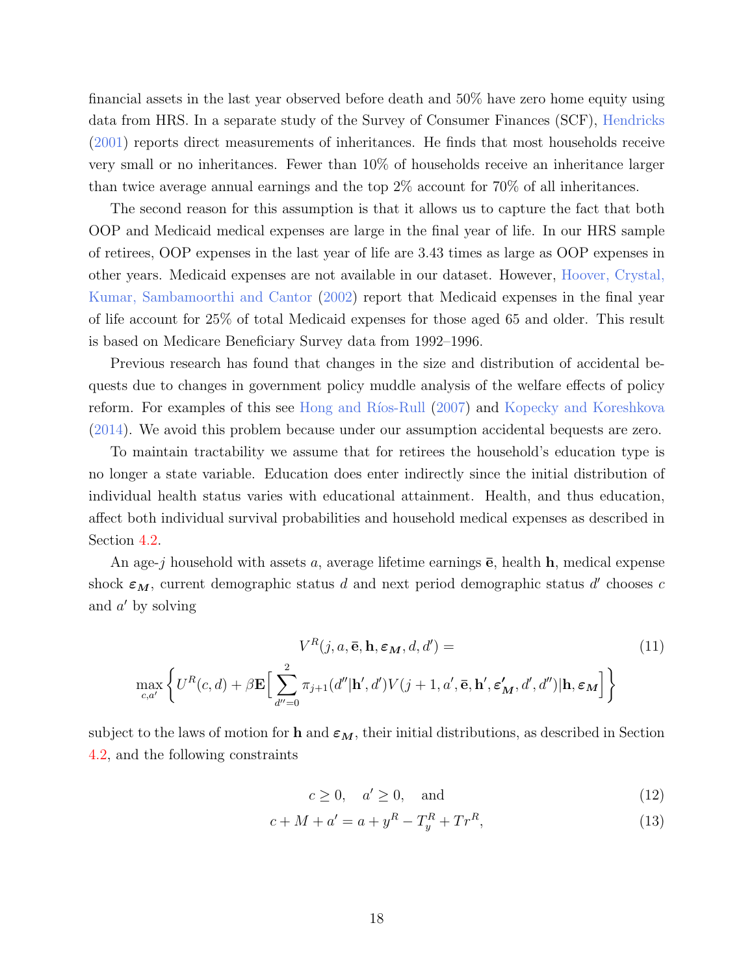financial assets in the last year observed before death and 50% have zero home equity using data from HRS. In a separate study of the Survey of Consumer Finances (SCF), [Hendricks](#page-41-8) [\(2001\)](#page-41-8) reports direct measurements of inheritances. He finds that most households receive very small or no inheritances. Fewer than 10% of households receive an inheritance larger than twice average annual earnings and the top 2% account for 70% of all inheritances.

The second reason for this assumption is that it allows us to capture the fact that both OOP and Medicaid medical expenses are large in the final year of life. In our HRS sample of retirees, OOP expenses in the last year of life are 3.43 times as large as OOP expenses in other years. Medicaid expenses are not available in our dataset. However, [Hoover, Crystal,](#page-41-9) [Kumar, Sambamoorthi and Cantor](#page-41-9) [\(2002\)](#page-41-9) report that Medicaid expenses in the final year of life account for 25% of total Medicaid expenses for those aged 65 and older. This result is based on Medicare Beneficiary Survey data from 1992–1996.

Previous research has found that changes in the size and distribution of accidental bequests due to changes in government policy muddle analysis of the welfare effects of policy reform. For examples of this see Hong and Ríos-Rull [\(2007\)](#page-41-1) and [Kopecky and Koreshkova](#page-41-4) [\(2014\)](#page-41-4). We avoid this problem because under our assumption accidental bequests are zero.

To maintain tractability we assume that for retirees the household's education type is no longer a state variable. Education does enter indirectly since the initial distribution of individual health status varies with educational attainment. Health, and thus education, affect both individual survival probabilities and household medical expenses as described in Section [4.2.](#page-12-0)

An age-j household with assets a, average lifetime earnings  $\bar{e}$ , health h, medical expense shock  $\varepsilon_M$ , current demographic status d and next period demographic status d' chooses c and  $a'$  by solving

$$
V^{R}(j, a, \bar{\mathbf{e}}, \mathbf{h}, \varepsilon_{\mathbf{M}}, d, d') =
$$
\n
$$
\max_{c, a'} \left\{ U^{R}(c, d) + \beta \mathbf{E} \Big[ \sum_{d''=0}^{2} \pi_{j+1}(d''|\mathbf{h}', d') V(j+1, a', \bar{\mathbf{e}}, \mathbf{h}', \varepsilon'_{\mathbf{M}}, d', d'') | \mathbf{h}, \varepsilon_{\mathbf{M}} \Big] \right\}
$$
\n(11)

subject to the laws of motion for h and  $\varepsilon_M$ , their initial distributions, as described in Section [4.2,](#page-12-0) and the following constraints

<span id="page-17-0"></span>
$$
c \ge 0, \quad a' \ge 0, \quad \text{and} \tag{12}
$$

$$
c + M + a' = a + yR - T_yR + TrR,
$$
\n(13)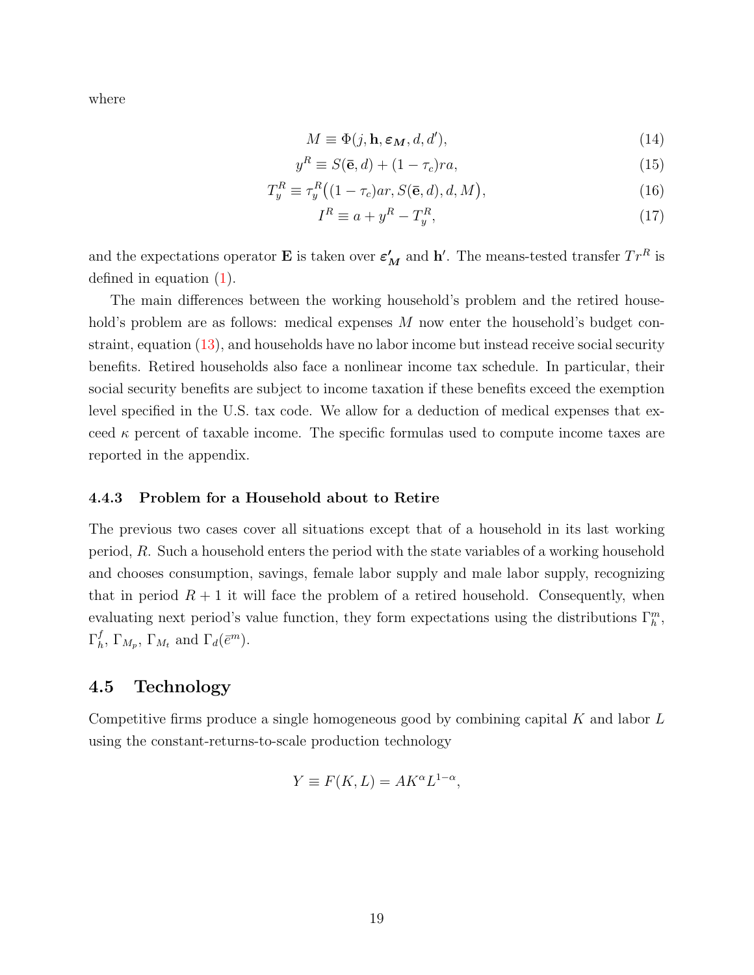where

$$
M \equiv \Phi(j, \mathbf{h}, \varepsilon_M, d, d'),\tag{14}
$$

$$
y^R \equiv S(\bar{\mathbf{e}}, d) + (1 - \tau_c)ra,\tag{15}
$$

$$
T_y^R \equiv \tau_y^R \big( (1 - \tau_c) a r, S(\bar{\mathbf{e}}, d), d, M \big), \tag{16}
$$

$$
I^R \equiv a + y^R - T_y^R,\tag{17}
$$

and the expectations operator **E** is taken over  $\epsilon_M'$  and  $h'$ . The means-tested transfer  $Tr^R$  is defined in equation [\(1\)](#page-14-1).

The main differences between the working household's problem and the retired household's problem are as follows: medical expenses M now enter the household's budget constraint, equation [\(13\)](#page-17-0), and households have no labor income but instead receive social security benefits. Retired households also face a nonlinear income tax schedule. In particular, their social security benefits are subject to income taxation if these benefits exceed the exemption level specified in the U.S. tax code. We allow for a deduction of medical expenses that exceed  $\kappa$  percent of taxable income. The specific formulas used to compute income taxes are reported in the appendix.

#### 4.4.3 Problem for a Household about to Retire

The previous two cases cover all situations except that of a household in its last working period, R. Such a household enters the period with the state variables of a working household and chooses consumption, savings, female labor supply and male labor supply, recognizing that in period  $R + 1$  it will face the problem of a retired household. Consequently, when evaluating next period's value function, they form expectations using the distributions  $\Gamma_h^m$ ,  $\Gamma_h^f$  $_{h}^{f}$ ,  $\Gamma_{M_p}$ ,  $\Gamma_{M_t}$  and  $\Gamma_d(\bar{e}^m)$ .

#### 4.5 Technology

Competitive firms produce a single homogeneous good by combining capital  $K$  and labor  $L$ using the constant-returns-to-scale production technology

$$
Y \equiv F(K, L) = AK^{\alpha}L^{1-\alpha},
$$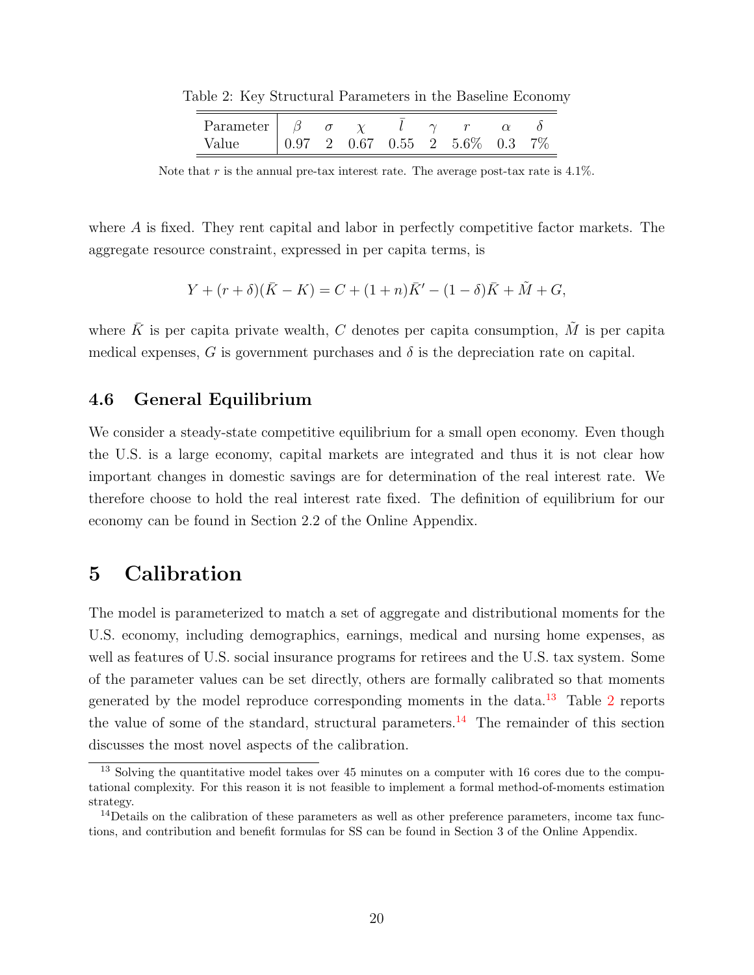<span id="page-19-1"></span>Table 2: Key Structural Parameters in the Baseline Economy

| Parameter $ \beta $ |  |  |                                                                                    |  |
|---------------------|--|--|------------------------------------------------------------------------------------|--|
| Value               |  |  | $\vert 0.97 \quad 2 \quad 0.67 \quad 0.55 \quad 2 \quad 5.6\% \quad 0.3 \quad 7\%$ |  |

Note that  $r$  is the annual pre-tax interest rate. The average post-tax rate is  $4.1\%$ .

where A is fixed. They rent capital and labor in perfectly competitive factor markets. The aggregate resource constraint, expressed in per capita terms, is

$$
Y + (r + \delta)(\bar{K} - K) = C + (1 + n)\bar{K}' - (1 - \delta)\bar{K} + \tilde{M} + G,
$$

where  $\bar{K}$  is per capita private wealth, C denotes per capita consumption,  $\tilde{M}$  is per capita medical expenses, G is government purchases and  $\delta$  is the depreciation rate on capital.

#### 4.6 General Equilibrium

We consider a steady-state competitive equilibrium for a small open economy. Even though the U.S. is a large economy, capital markets are integrated and thus it is not clear how important changes in domestic savings are for determination of the real interest rate. We therefore choose to hold the real interest rate fixed. The definition of equilibrium for our economy can be found in Section 2.2 of the Online Appendix.

# 5 Calibration

The model is parameterized to match a set of aggregate and distributional moments for the U.S. economy, including demographics, earnings, medical and nursing home expenses, as well as features of U.S. social insurance programs for retirees and the U.S. tax system. Some of the parameter values can be set directly, others are formally calibrated so that moments generated by the model reproduce corresponding moments in the data.<sup>[13](#page-19-0)</sup> Table [2](#page-19-1) reports the value of some of the standard, structural parameters.<sup>[14](#page-19-2)</sup> The remainder of this section discusses the most novel aspects of the calibration.

<span id="page-19-0"></span> $\frac{13}{13}$  Solving the quantitative model takes over 45 minutes on a computer with 16 cores due to the computational complexity. For this reason it is not feasible to implement a formal method-of-moments estimation strategy.

<span id="page-19-2"></span><sup>&</sup>lt;sup>14</sup>Details on the calibration of these parameters as well as other preference parameters, income tax functions, and contribution and benefit formulas for SS can be found in Section 3 of the Online Appendix.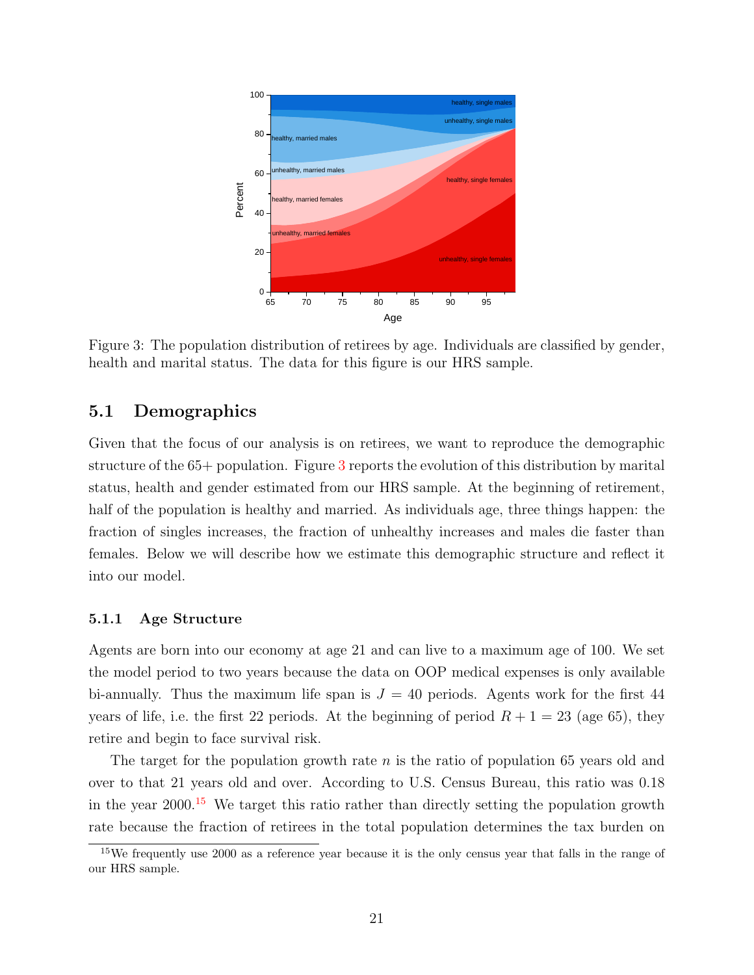<span id="page-20-0"></span>

Figure 3: The population distribution of retirees by age. Individuals are classified by gender, health and marital status. The data for this figure is our HRS sample.

## 5.1 Demographics

Given that the focus of our analysis is on retirees, we want to reproduce the demographic structure of the 65+ population. Figure [3](#page-20-0) reports the evolution of this distribution by marital status, health and gender estimated from our HRS sample. At the beginning of retirement, half of the population is healthy and married. As individuals age, three things happen: the fraction of singles increases, the fraction of unhealthy increases and males die faster than females. Below we will describe how we estimate this demographic structure and reflect it into our model.

#### 5.1.1 Age Structure

Agents are born into our economy at age 21 and can live to a maximum age of 100. We set the model period to two years because the data on OOP medical expenses is only available bi-annually. Thus the maximum life span is  $J = 40$  periods. Agents work for the first 44 years of life, i.e. the first 22 periods. At the beginning of period  $R + 1 = 23$  (age 65), they retire and begin to face survival risk.

The target for the population growth rate  $n$  is the ratio of population 65 years old and over to that 21 years old and over. According to U.S. Census Bureau, this ratio was 0.18 in the year  $2000<sup>15</sup>$  $2000<sup>15</sup>$  $2000<sup>15</sup>$  We target this ratio rather than directly setting the population growth rate because the fraction of retirees in the total population determines the tax burden on

<span id="page-20-1"></span><sup>15</sup>We frequently use 2000 as a reference year because it is the only census year that falls in the range of our HRS sample.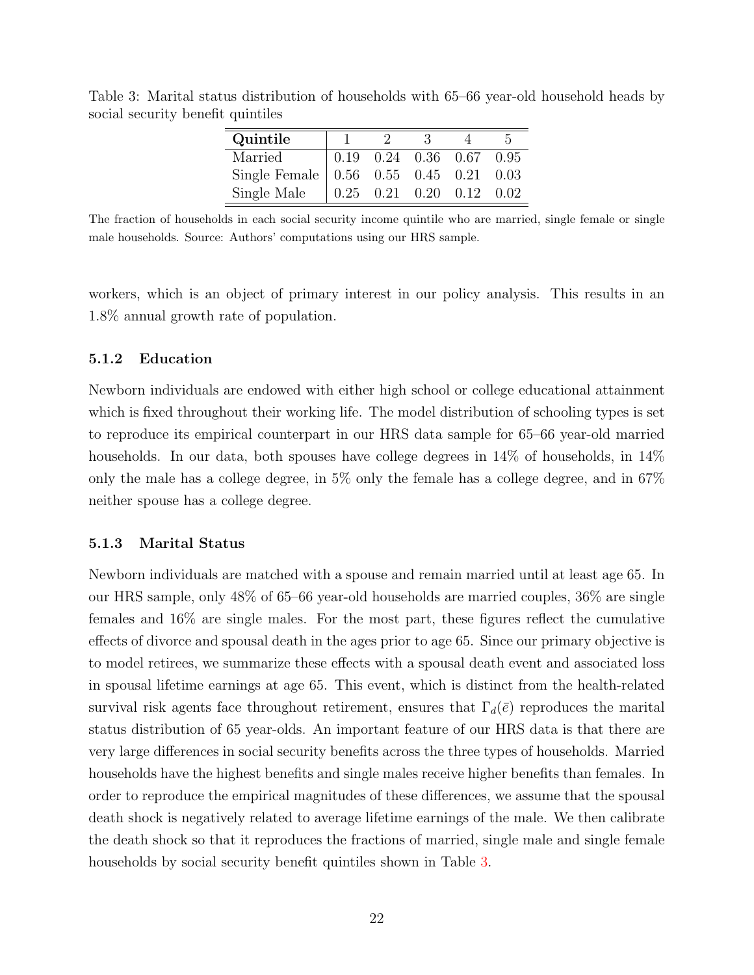| Quintile                                                                   |  |                                         |      |
|----------------------------------------------------------------------------|--|-----------------------------------------|------|
|                                                                            |  |                                         |      |
| Married 0.19 0.24 0.36 0.67 0.95<br>Single Female 0.56 0.55 0.45 0.21 0.03 |  |                                         |      |
| Single Male                                                                |  | $0.25 \quad 0.21 \quad 0.20 \quad 0.12$ | 0.02 |

<span id="page-21-1"></span>Table 3: Marital status distribution of households with 65–66 year-old household heads by social security benefit quintiles

The fraction of households in each social security income quintile who are married, single female or single male households. Source: Authors' computations using our HRS sample.

workers, which is an object of primary interest in our policy analysis. This results in an 1.8% annual growth rate of population.

#### 5.1.2 Education

Newborn individuals are endowed with either high school or college educational attainment which is fixed throughout their working life. The model distribution of schooling types is set to reproduce its empirical counterpart in our HRS data sample for 65–66 year-old married households. In our data, both spouses have college degrees in  $14\%$  of households, in  $14\%$ only the male has a college degree, in 5% only the female has a college degree, and in 67% neither spouse has a college degree.

#### <span id="page-21-0"></span>5.1.3 Marital Status

Newborn individuals are matched with a spouse and remain married until at least age 65. In our HRS sample, only 48% of 65–66 year-old households are married couples, 36% are single females and 16% are single males. For the most part, these figures reflect the cumulative effects of divorce and spousal death in the ages prior to age 65. Since our primary objective is to model retirees, we summarize these effects with a spousal death event and associated loss in spousal lifetime earnings at age 65. This event, which is distinct from the health-related survival risk agents face throughout retirement, ensures that  $\Gamma_d(\bar{e})$  reproduces the marital status distribution of 65 year-olds. An important feature of our HRS data is that there are very large differences in social security benefits across the three types of households. Married households have the highest benefits and single males receive higher benefits than females. In order to reproduce the empirical magnitudes of these differences, we assume that the spousal death shock is negatively related to average lifetime earnings of the male. We then calibrate the death shock so that it reproduces the fractions of married, single male and single female households by social security benefit quintiles shown in Table [3.](#page-21-1)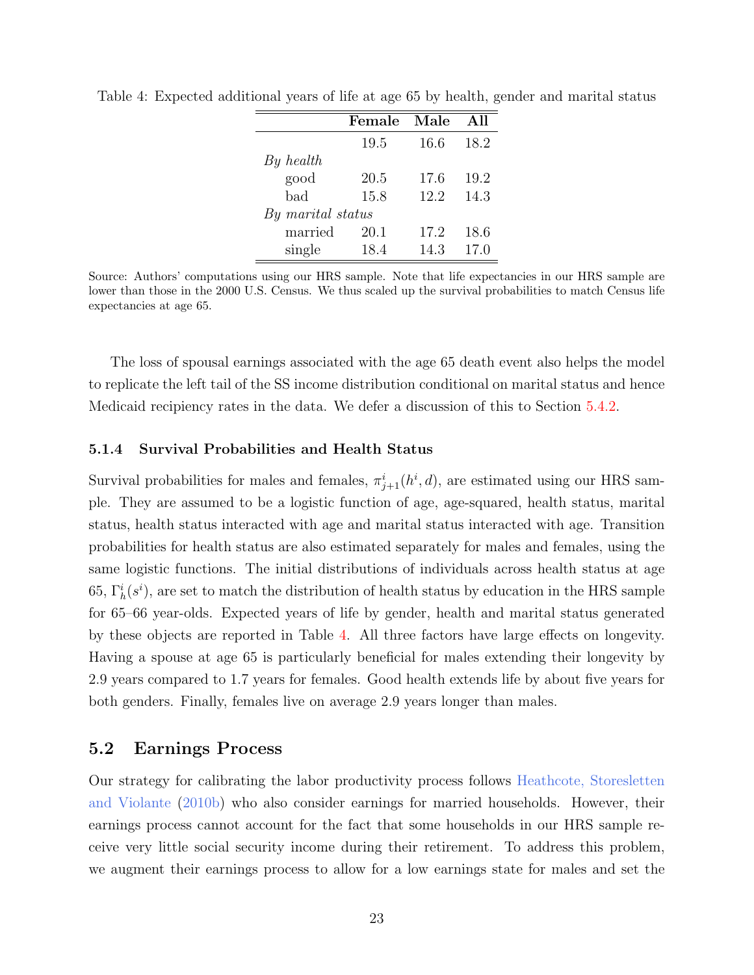|                   | Female | Male | $\Delta$ ll |
|-------------------|--------|------|-------------|
|                   | 19.5   | 16.6 | 18.2        |
| $By$ health       |        |      |             |
| good              | 20.5   | 17.6 | 19.2        |
| bad               | 15.8   | 12.2 | 14.3        |
| By marital status |        |      |             |
| married           | 20.1   | 17.2 | 18.6        |
| single            | 18.4   | 14.3 | 17.0        |

<span id="page-22-0"></span>Table 4: Expected additional years of life at age 65 by health, gender and marital status

Source: Authors' computations using our HRS sample. Note that life expectancies in our HRS sample are lower than those in the 2000 U.S. Census. We thus scaled up the survival probabilities to match Census life expectancies at age 65.

The loss of spousal earnings associated with the age 65 death event also helps the model to replicate the left tail of the SS income distribution conditional on marital status and hence Medicaid recipiency rates in the data. We defer a discussion of this to Section [5.4.2.](#page-26-0)

#### 5.1.4 Survival Probabilities and Health Status

Survival probabilities for males and females,  $\pi_{j+1}^i(h^i, d)$ , are estimated using our HRS sample. They are assumed to be a logistic function of age, age-squared, health status, marital status, health status interacted with age and marital status interacted with age. Transition probabilities for health status are also estimated separately for males and females, using the same logistic functions. The initial distributions of individuals across health status at age 65,  $\Gamma_h^i(s^i)$ , are set to match the distribution of health status by education in the HRS sample for 65–66 year-olds. Expected years of life by gender, health and marital status generated by these objects are reported in Table [4.](#page-22-0) All three factors have large effects on longevity. Having a spouse at age 65 is particularly beneficial for males extending their longevity by 2.9 years compared to 1.7 years for females. Good health extends life by about five years for both genders. Finally, females live on average 2.9 years longer than males.

#### 5.2 Earnings Process

Our strategy for calibrating the labor productivity process follows [Heathcote, Storesletten](#page-41-10) [and Violante](#page-41-10) [\(2010b\)](#page-41-10) who also consider earnings for married households. However, their earnings process cannot account for the fact that some households in our HRS sample receive very little social security income during their retirement. To address this problem, we augment their earnings process to allow for a low earnings state for males and set the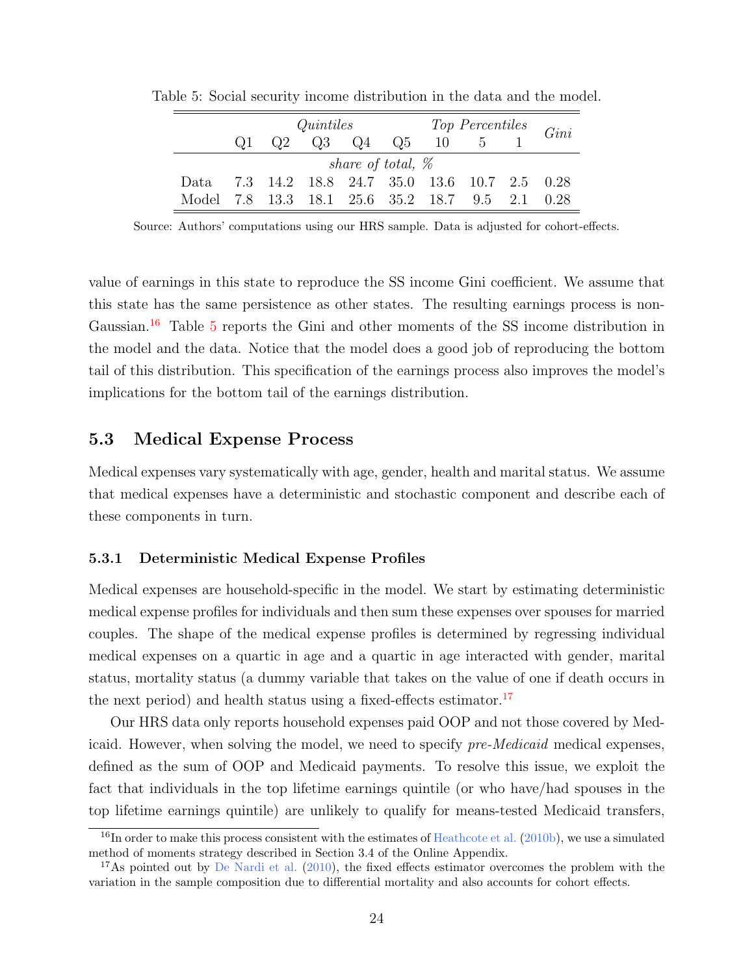| Quintiles                                       |  |    |  | $\overline{Top}$ Percentiles $Gini$ |  |              |  |  |
|-------------------------------------------------|--|----|--|-------------------------------------|--|--------------|--|--|
|                                                 |  | Q2 |  | $Q3 \tQ4 \tQ5$                      |  | $10\qquad 5$ |  |  |
|                                                 |  |    |  | share of total, $\%$                |  |              |  |  |
| Data 7.3 14.2 18.8 24.7 35.0 13.6 10.7 2.5 0.28 |  |    |  |                                     |  |              |  |  |
| Model 7.8 13.3 18.1 25.6 35.2 18.7 9.5 2.1 0.28 |  |    |  |                                     |  |              |  |  |

<span id="page-23-1"></span>Table 5: Social security income distribution in the data and the model.

Source: Authors' computations using our HRS sample. Data is adjusted for cohort-effects.

value of earnings in this state to reproduce the SS income Gini coefficient. We assume that this state has the same persistence as other states. The resulting earnings process is non-Gaussian.[16](#page-23-0) Table [5](#page-23-1) reports the Gini and other moments of the SS income distribution in the model and the data. Notice that the model does a good job of reproducing the bottom tail of this distribution. This specification of the earnings process also improves the model's implications for the bottom tail of the earnings distribution.

## 5.3 Medical Expense Process

Medical expenses vary systematically with age, gender, health and marital status. We assume that medical expenses have a deterministic and stochastic component and describe each of these components in turn.

#### 5.3.1 Deterministic Medical Expense Profiles

Medical expenses are household-specific in the model. We start by estimating deterministic medical expense profiles for individuals and then sum these expenses over spouses for married couples. The shape of the medical expense profiles is determined by regressing individual medical expenses on a quartic in age and a quartic in age interacted with gender, marital status, mortality status (a dummy variable that takes on the value of one if death occurs in the next period) and health status using a fixed-effects estimator.<sup>[17](#page-23-2)</sup>

Our HRS data only reports household expenses paid OOP and not those covered by Medicaid. However, when solving the model, we need to specify pre-Medicaid medical expenses, defined as the sum of OOP and Medicaid payments. To resolve this issue, we exploit the fact that individuals in the top lifetime earnings quintile (or who have/had spouses in the top lifetime earnings quintile) are unlikely to qualify for means-tested Medicaid transfers,

<span id="page-23-0"></span> $16$ In order to make this process consistent with the estimates of [Heathcote et al.](#page-41-10) [\(2010b\)](#page-41-10), we use a simulated method of moments strategy described in Section 3.4 of the Online Appendix.

<span id="page-23-2"></span><sup>&</sup>lt;sup>17</sup>As pointed out by [De Nardi et al.](#page-40-4)  $(2010)$ , the fixed effects estimator overcomes the problem with the variation in the sample composition due to differential mortality and also accounts for cohort effects.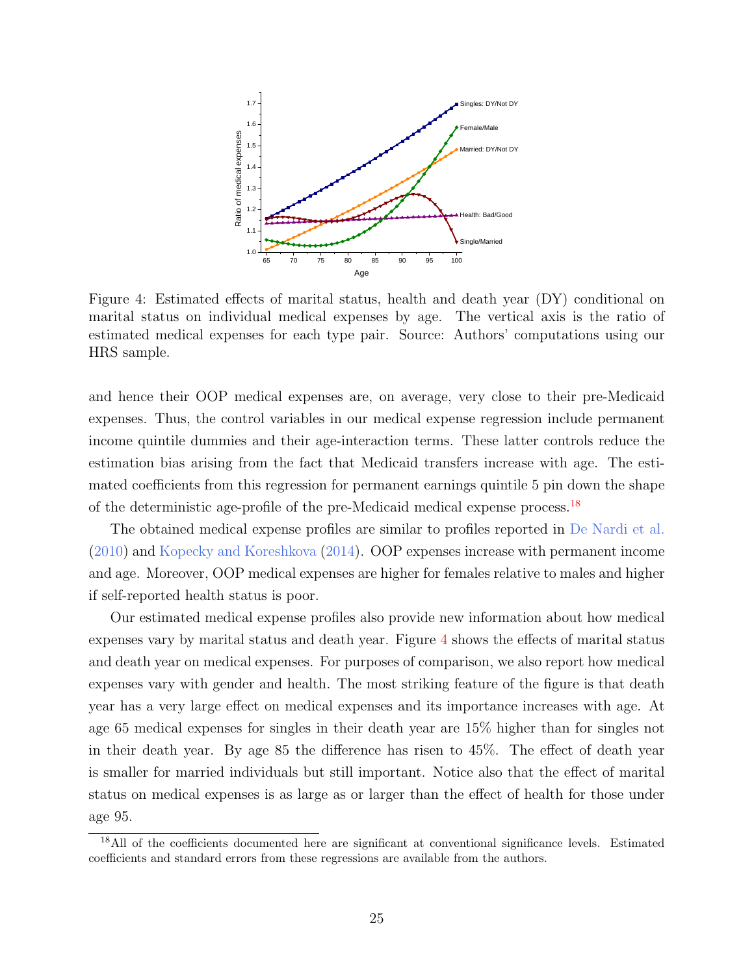<span id="page-24-1"></span>

Figure 4: Estimated effects of marital status, health and death year (DY) conditional on marital status on individual medical expenses by age. The vertical axis is the ratio of estimated medical expenses for each type pair. Source: Authors' computations using our HRS sample.

and hence their OOP medical expenses are, on average, very close to their pre-Medicaid expenses. Thus, the control variables in our medical expense regression include permanent income quintile dummies and their age-interaction terms. These latter controls reduce the estimation bias arising from the fact that Medicaid transfers increase with age. The estimated coefficients from this regression for permanent earnings quintile 5 pin down the shape of the deterministic age-profile of the pre-Medicaid medical expense process.[18](#page-24-0)

The obtained medical expense profiles are similar to profiles reported in [De Nardi et al.](#page-40-4) [\(2010\)](#page-40-4) and [Kopecky and Koreshkova](#page-41-4) [\(2014\)](#page-41-4). OOP expenses increase with permanent income and age. Moreover, OOP medical expenses are higher for females relative to males and higher if self-reported health status is poor.

Our estimated medical expense profiles also provide new information about how medical expenses vary by marital status and death year. Figure [4](#page-24-1) shows the effects of marital status and death year on medical expenses. For purposes of comparison, we also report how medical expenses vary with gender and health. The most striking feature of the figure is that death year has a very large effect on medical expenses and its importance increases with age. At age 65 medical expenses for singles in their death year are 15% higher than for singles not in their death year. By age 85 the difference has risen to 45%. The effect of death year is smaller for married individuals but still important. Notice also that the effect of marital status on medical expenses is as large as or larger than the effect of health for those under age 95.

<span id="page-24-0"></span><sup>&</sup>lt;sup>18</sup>All of the coefficients documented here are significant at conventional significance levels. Estimated coefficients and standard errors from these regressions are available from the authors.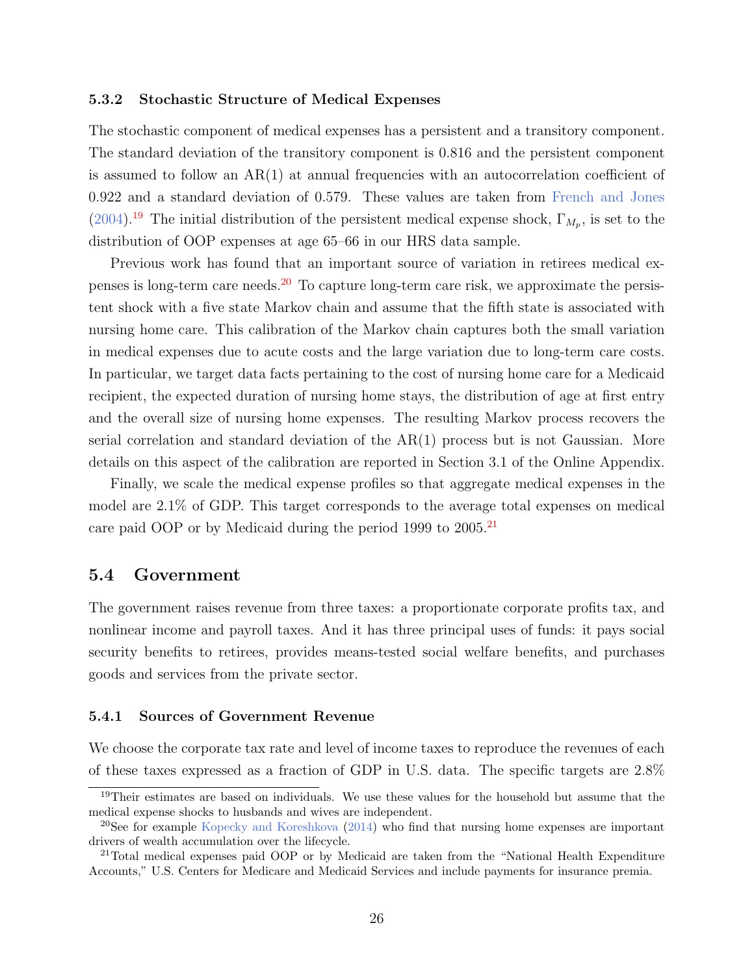#### 5.3.2 Stochastic Structure of Medical Expenses

The stochastic component of medical expenses has a persistent and a transitory component. The standard deviation of the transitory component is 0.816 and the persistent component is assumed to follow an  $AR(1)$  at annual frequencies with an autocorrelation coefficient of 0.922 and a standard deviation of 0.579. These values are taken from [French and Jones](#page-40-11) [\(2004\)](#page-40-11).<sup>[19](#page-25-0)</sup> The initial distribution of the persistent medical expense shock,  $\Gamma_{M_p}$ , is set to the distribution of OOP expenses at age 65–66 in our HRS data sample.

Previous work has found that an important source of variation in retirees medical ex-penses is long-term care needs.<sup>[20](#page-25-1)</sup> To capture long-term care risk, we approximate the persistent shock with a five state Markov chain and assume that the fifth state is associated with nursing home care. This calibration of the Markov chain captures both the small variation in medical expenses due to acute costs and the large variation due to long-term care costs. In particular, we target data facts pertaining to the cost of nursing home care for a Medicaid recipient, the expected duration of nursing home stays, the distribution of age at first entry and the overall size of nursing home expenses. The resulting Markov process recovers the serial correlation and standard deviation of the AR(1) process but is not Gaussian. More details on this aspect of the calibration are reported in Section 3.1 of the Online Appendix.

Finally, we scale the medical expense profiles so that aggregate medical expenses in the model are 2.1% of GDP. This target corresponds to the average total expenses on medical care paid OOP or by Medicaid during the period 1999 to 2005.<sup>[21](#page-25-2)</sup>

#### 5.4 Government

The government raises revenue from three taxes: a proportionate corporate profits tax, and nonlinear income and payroll taxes. And it has three principal uses of funds: it pays social security benefits to retirees, provides means-tested social welfare benefits, and purchases goods and services from the private sector.

#### 5.4.1 Sources of Government Revenue

We choose the corporate tax rate and level of income taxes to reproduce the revenues of each of these taxes expressed as a fraction of GDP in U.S. data. The specific targets are 2.8%

<span id="page-25-0"></span><sup>&</sup>lt;sup>19</sup>Their estimates are based on individuals. We use these values for the household but assume that the medical expense shocks to husbands and wives are independent.

<span id="page-25-1"></span> $^{20}$ See for example [Kopecky and Koreshkova](#page-41-4) [\(2014\)](#page-41-4) who find that nursing home expenses are important drivers of wealth accumulation over the lifecycle.

<span id="page-25-2"></span><sup>&</sup>lt;sup>21</sup>Total medical expenses paid OOP or by Medicaid are taken from the "National Health Expenditure" Accounts," U.S. Centers for Medicare and Medicaid Services and include payments for insurance premia.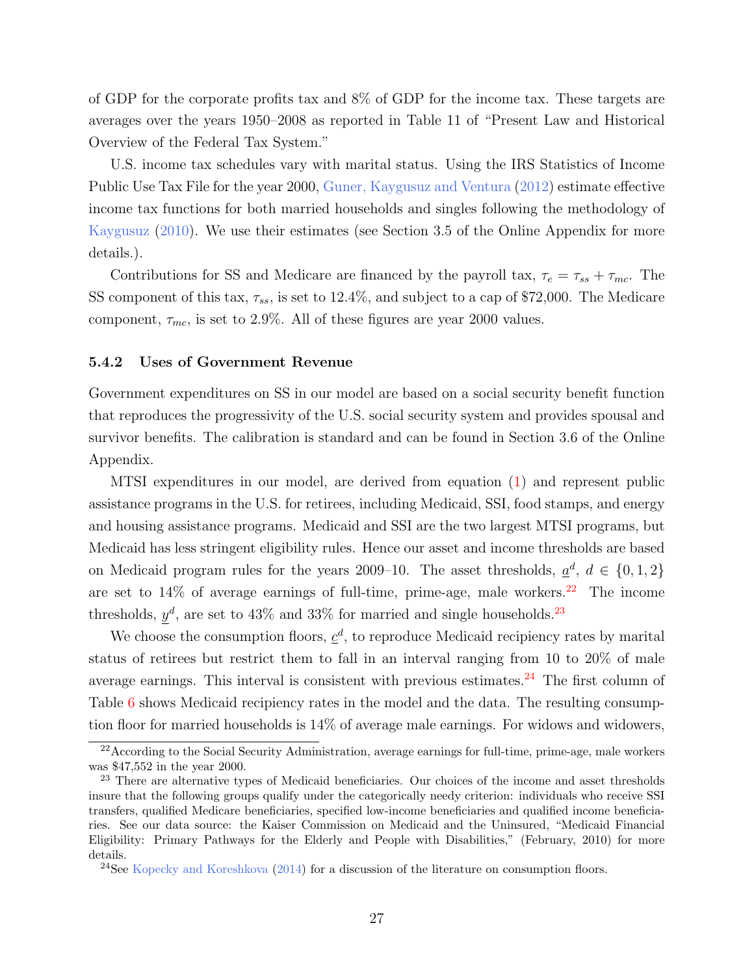of GDP for the corporate profits tax and 8% of GDP for the income tax. These targets are averages over the years 1950–2008 as reported in Table 11 of "Present Law and Historical Overview of the Federal Tax System."

U.S. income tax schedules vary with marital status. Using the IRS Statistics of Income Public Use Tax File for the year 2000, [Guner, Kaygusuz and Ventura](#page-40-12) [\(2012\)](#page-40-12) estimate effective income tax functions for both married households and singles following the methodology of [Kaygusuz](#page-41-11) [\(2010\)](#page-41-11). We use their estimates (see Section 3.5 of the Online Appendix for more details.).

Contributions for SS and Medicare are financed by the payroll tax,  $\tau_e = \tau_{ss} + \tau_{mc}$ . The SS component of this tax,  $\tau_{ss}$ , is set to 12.4%, and subject to a cap of \$72,000. The Medicare component,  $\tau_{mc}$ , is set to 2.9%. All of these figures are year 2000 values.

#### <span id="page-26-0"></span>5.4.2 Uses of Government Revenue

Government expenditures on SS in our model are based on a social security benefit function that reproduces the progressivity of the U.S. social security system and provides spousal and survivor benefits. The calibration is standard and can be found in Section 3.6 of the Online Appendix.

MTSI expenditures in our model, are derived from equation [\(1\)](#page-14-1) and represent public assistance programs in the U.S. for retirees, including Medicaid, SSI, food stamps, and energy and housing assistance programs. Medicaid and SSI are the two largest MTSI programs, but Medicaid has less stringent eligibility rules. Hence our asset and income thresholds are based on Medicaid program rules for the years 2009–10. The asset thresholds,  $\underline{a}^d$ ,  $d \in \{0, 1, 2\}$ are set to  $14\%$  of average earnings of full-time, prime-age, male workers.<sup>[22](#page-26-1)</sup> The income thresholds,  $y^d$ , are set to 43% and 33% for married and single households.<sup>[23](#page-26-2)</sup>

We choose the consumption floors,  $\underline{c}^d$ , to reproduce Medicaid recipiency rates by marital status of retirees but restrict them to fall in an interval ranging from 10 to 20% of male average earnings. This interval is consistent with previous estimates.<sup>[24](#page-26-3)</sup> The first column of Table [6](#page-27-0) shows Medicaid recipiency rates in the model and the data. The resulting consumption floor for married households is 14% of average male earnings. For widows and widowers,

<span id="page-26-1"></span><sup>22</sup>According to the Social Security Administration, average earnings for full-time, prime-age, male workers was \$47,552 in the year 2000.

<span id="page-26-2"></span><sup>&</sup>lt;sup>23</sup> There are alternative types of Medicaid beneficiaries. Our choices of the income and asset thresholds insure that the following groups qualify under the categorically needy criterion: individuals who receive SSI transfers, qualified Medicare beneficiaries, specified low-income beneficiaries and qualified income beneficiaries. See our data source: the Kaiser Commission on Medicaid and the Uninsured, "Medicaid Financial Eligibility: Primary Pathways for the Elderly and People with Disabilities," (February, 2010) for more details.

<span id="page-26-3"></span> $24$ See [Kopecky and Koreshkova](#page-41-4) [\(2014\)](#page-41-4) for a discussion of the literature on consumption floors.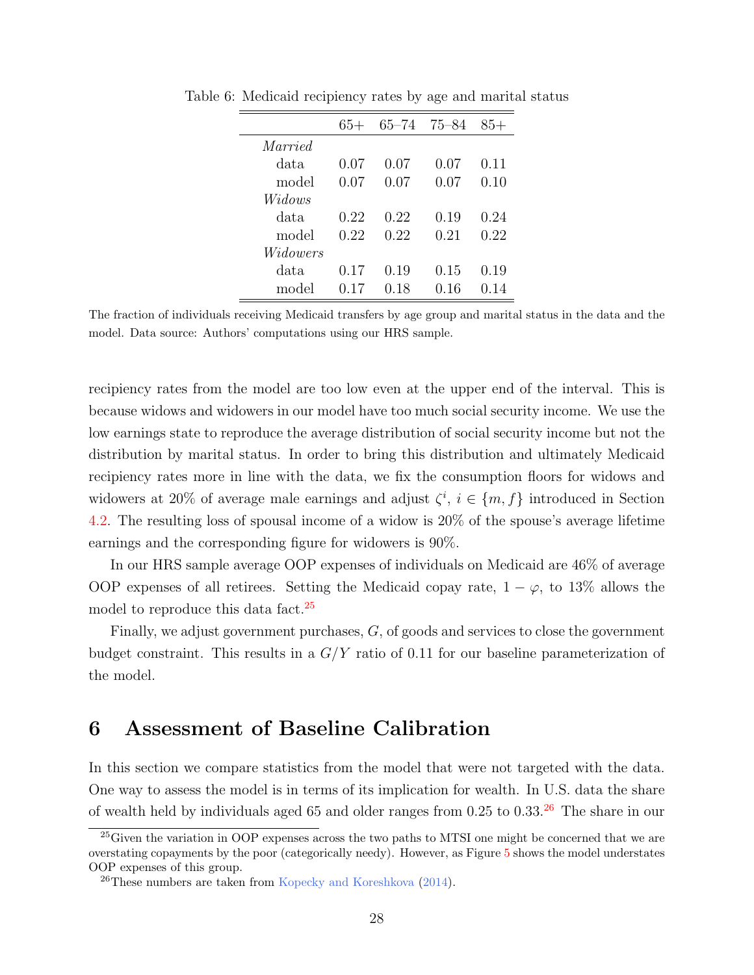|                | $65+$ | $65 - 74$ | 75–84 | 85+  |
|----------------|-------|-----------|-------|------|
| <i>Married</i> |       |           |       |      |
| data           | 0.07  | 0.07      | 0.07  | 0.11 |
| model          | 0.07  | 0.07      | 0.07  | 0.10 |
| Widows         |       |           |       |      |
| data           | 0.22  | 0.22      | 0.19  | 0.24 |
| model          | 0.22  | 0.22      | 0.21  | 0.22 |
| Widowers       |       |           |       |      |
| data           | 0.17  | 0.19      | 0.15  | 0.19 |
| model          | 0.17  | 0.18      | 0.16  | 0.14 |

<span id="page-27-0"></span>Table 6: Medicaid recipiency rates by age and marital status

The fraction of individuals receiving Medicaid transfers by age group and marital status in the data and the model. Data source: Authors' computations using our HRS sample.

recipiency rates from the model are too low even at the upper end of the interval. This is because widows and widowers in our model have too much social security income. We use the low earnings state to reproduce the average distribution of social security income but not the distribution by marital status. In order to bring this distribution and ultimately Medicaid recipiency rates more in line with the data, we fix the consumption floors for widows and widowers at 20% of average male earnings and adjust  $\zeta^i$ ,  $i \in \{m, f\}$  introduced in Section [4.2.](#page-12-0) The resulting loss of spousal income of a widow is 20% of the spouse's average lifetime earnings and the corresponding figure for widowers is 90%.

In our HRS sample average OOP expenses of individuals on Medicaid are 46% of average OOP expenses of all retirees. Setting the Medicaid copay rate,  $1 - \varphi$ , to 13% allows the model to reproduce this data fact.<sup>[25](#page-27-1)</sup>

Finally, we adjust government purchases, G, of goods and services to close the government budget constraint. This results in a  $G/Y$  ratio of 0.11 for our baseline parameterization of the model.

# 6 Assessment of Baseline Calibration

In this section we compare statistics from the model that were not targeted with the data. One way to assess the model is in terms of its implication for wealth. In U.S. data the share of wealth held by individuals aged 65 and older ranges from  $0.25$  to  $0.33<sup>26</sup>$  $0.33<sup>26</sup>$  $0.33<sup>26</sup>$ . The share in our

<span id="page-27-1"></span><sup>&</sup>lt;sup>25</sup>Given the variation in OOP expenses across the two paths to MTSI one might be concerned that we are overstating copayments by the poor (categorically needy). However, as Figure [5](#page-28-0) shows the model understates OOP expenses of this group.

<span id="page-27-2"></span> $^{26}$ These numbers are taken from [Kopecky and Koreshkova](#page-41-4)  $(2014)$ .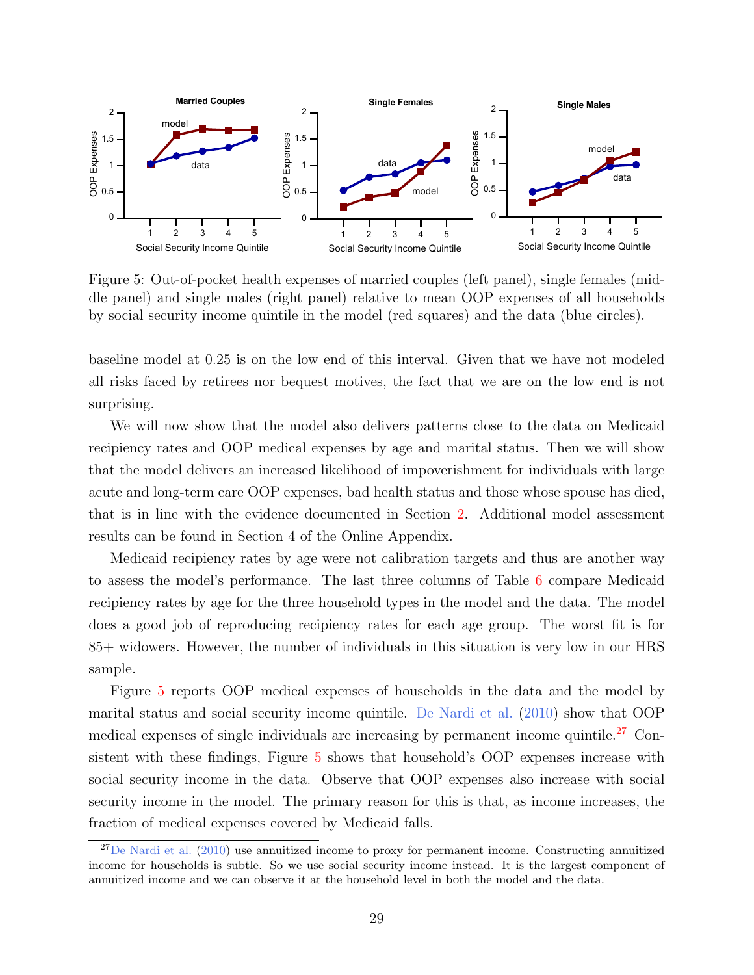<span id="page-28-0"></span>

Figure 5: Out-of-pocket health expenses of married couples (left panel), single females (middle panel) and single males (right panel) relative to mean OOP expenses of all households by social security income quintile in the model (red squares) and the data (blue circles).

baseline model at 0.25 is on the low end of this interval. Given that we have not modeled all risks faced by retirees nor bequest motives, the fact that we are on the low end is not surprising.

We will now show that the model also delivers patterns close to the data on Medicaid recipiency rates and OOP medical expenses by age and marital status. Then we will show that the model delivers an increased likelihood of impoverishment for individuals with large acute and long-term care OOP expenses, bad health status and those whose spouse has died, that is in line with the evidence documented in Section [2.](#page-5-0) Additional model assessment results can be found in Section 4 of the Online Appendix.

Medicaid recipiency rates by age were not calibration targets and thus are another way to assess the model's performance. The last three columns of Table [6](#page-27-0) compare Medicaid recipiency rates by age for the three household types in the model and the data. The model does a good job of reproducing recipiency rates for each age group. The worst fit is for 85+ widowers. However, the number of individuals in this situation is very low in our HRS sample.

Figure [5](#page-28-0) reports OOP medical expenses of households in the data and the model by marital status and social security income quintile. [De Nardi et al.](#page-40-4) [\(2010\)](#page-40-4) show that OOP medical expenses of single individuals are increasing by permanent income quintile.<sup>[27](#page-28-1)</sup> Consistent with these findings, Figure [5](#page-28-0) shows that household's OOP expenses increase with social security income in the data. Observe that OOP expenses also increase with social security income in the model. The primary reason for this is that, as income increases, the fraction of medical expenses covered by Medicaid falls.

<span id="page-28-1"></span> $^{27}$ [De Nardi et al.](#page-40-4) [\(2010\)](#page-40-4) use annuitized income to proxy for permanent income. Constructing annuitized income for households is subtle. So we use social security income instead. It is the largest component of annuitized income and we can observe it at the household level in both the model and the data.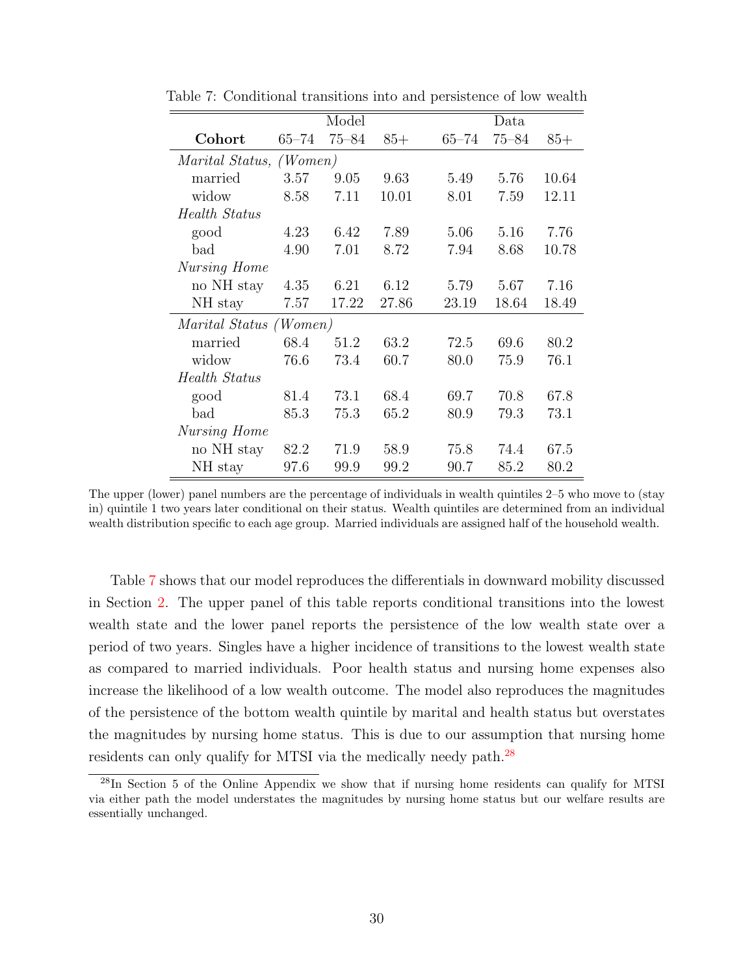|                         |           | Model     |       |           | Data      |       |
|-------------------------|-----------|-----------|-------|-----------|-----------|-------|
| Cohort                  | $65 - 74$ | $75 - 84$ | $85+$ | $65 - 74$ | $75 - 84$ | $85+$ |
| Marital Status, (Women) |           |           |       |           |           |       |
| married                 | 3.57      | 9.05      | 9.63  | 5.49      | 5.76      | 10.64 |
| widow                   | 8.58      | 7.11      | 10.01 | 8.01      | 7.59      | 12.11 |
| Health Status           |           |           |       |           |           |       |
| good                    | 4.23      | 6.42      | 7.89  | 5.06      | 5.16      | 7.76  |
| bad                     | 4.90      | 7.01      | 8.72  | 7.94      | 8.68      | 10.78 |
| Nursing Home            |           |           |       |           |           |       |
| no NH stay              | 4.35      | 6.21      | 6.12  | 5.79      | 5.67      | 7.16  |
| NH stay                 | 7.57      | 17.22     | 27.86 | 23.19     | 18.64     | 18.49 |
| Marital Status (Women)  |           |           |       |           |           |       |
| married                 | 68.4      | 51.2      | 63.2  | 72.5      | 69.6      | 80.2  |
| widow                   | 76.6      | 73.4      | 60.7  | 80.0      | 75.9      | 76.1  |
| <b>Health Status</b>    |           |           |       |           |           |       |
| good                    | 81.4      | 73.1      | 68.4  | 69.7      | 70.8      | 67.8  |
| bad                     | 85.3      | 75.3      | 65.2  | 80.9      | 79.3      | 73.1  |
| Nursing Home            |           |           |       |           |           |       |
| no NH stay              | 82.2      | 71.9      | 58.9  | 75.8      | 74.4      | 67.5  |
| NH stay                 | 97.6      | 99.9      | 99.2  | 90.7      | 85.2      | 80.2  |

<span id="page-29-0"></span>Table 7: Conditional transitions into and persistence of low wealth

The upper (lower) panel numbers are the percentage of individuals in wealth quintiles 2–5 who move to (stay in) quintile 1 two years later conditional on their status. Wealth quintiles are determined from an individual wealth distribution specific to each age group. Married individuals are assigned half of the household wealth.

Table [7](#page-29-0) shows that our model reproduces the differentials in downward mobility discussed in Section [2.](#page-5-0) The upper panel of this table reports conditional transitions into the lowest wealth state and the lower panel reports the persistence of the low wealth state over a period of two years. Singles have a higher incidence of transitions to the lowest wealth state as compared to married individuals. Poor health status and nursing home expenses also increase the likelihood of a low wealth outcome. The model also reproduces the magnitudes of the persistence of the bottom wealth quintile by marital and health status but overstates the magnitudes by nursing home status. This is due to our assumption that nursing home residents can only qualify for MTSI via the medically needy path.<sup>[28](#page-29-1)</sup>

<span id="page-29-1"></span><sup>&</sup>lt;sup>28</sup>In Section 5 of the Online Appendix we show that if nursing home residents can qualify for MTSI via either path the model understates the magnitudes by nursing home status but our welfare results are essentially unchanged.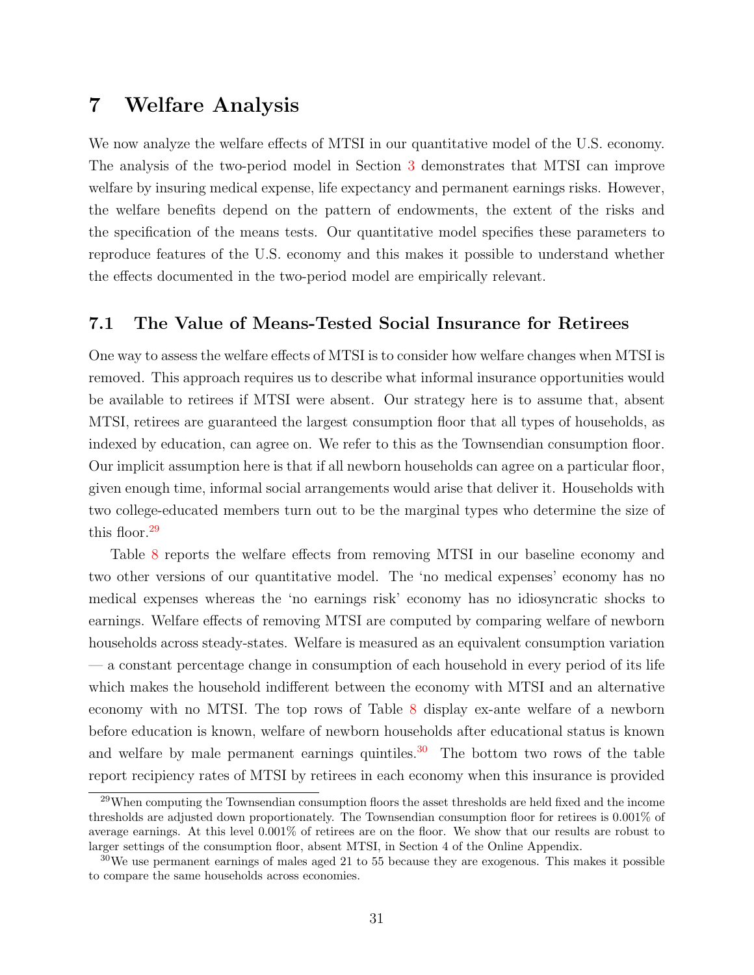# 7 Welfare Analysis

We now analyze the welfare effects of MTSI in our quantitative model of the U.S. economy. The analysis of the two-period model in Section [3](#page-7-1) demonstrates that MTSI can improve welfare by insuring medical expense, life expectancy and permanent earnings risks. However, the welfare benefits depend on the pattern of endowments, the extent of the risks and the specification of the means tests. Our quantitative model specifies these parameters to reproduce features of the U.S. economy and this makes it possible to understand whether the effects documented in the two-period model are empirically relevant.

### 7.1 The Value of Means-Tested Social Insurance for Retirees

One way to assess the welfare effects of MTSI is to consider how welfare changes when MTSI is removed. This approach requires us to describe what informal insurance opportunities would be available to retirees if MTSI were absent. Our strategy here is to assume that, absent MTSI, retirees are guaranteed the largest consumption floor that all types of households, as indexed by education, can agree on. We refer to this as the Townsendian consumption floor. Our implicit assumption here is that if all newborn households can agree on a particular floor, given enough time, informal social arrangements would arise that deliver it. Households with two college-educated members turn out to be the marginal types who determine the size of this floor.[29](#page-30-0)

Table [8](#page-31-0) reports the welfare effects from removing MTSI in our baseline economy and two other versions of our quantitative model. The 'no medical expenses' economy has no medical expenses whereas the 'no earnings risk' economy has no idiosyncratic shocks to earnings. Welfare effects of removing MTSI are computed by comparing welfare of newborn households across steady-states. Welfare is measured as an equivalent consumption variation — a constant percentage change in consumption of each household in every period of its life which makes the household indifferent between the economy with MTSI and an alternative economy with no MTSI. The top rows of Table [8](#page-31-0) display ex-ante welfare of a newborn before education is known, welfare of newborn households after educational status is known and welfare by male permanent earnings quintiles.<sup>[30](#page-30-1)</sup> The bottom two rows of the table report recipiency rates of MTSI by retirees in each economy when this insurance is provided

<span id="page-30-0"></span><sup>&</sup>lt;sup>29</sup>When computing the Townsendian consumption floors the asset thresholds are held fixed and the income thresholds are adjusted down proportionately. The Townsendian consumption floor for retirees is 0.001% of average earnings. At this level 0.001% of retirees are on the floor. We show that our results are robust to larger settings of the consumption floor, absent MTSI, in Section 4 of the Online Appendix.

<span id="page-30-1"></span><sup>30</sup>We use permanent earnings of males aged 21 to 55 because they are exogenous. This makes it possible to compare the same households across economies.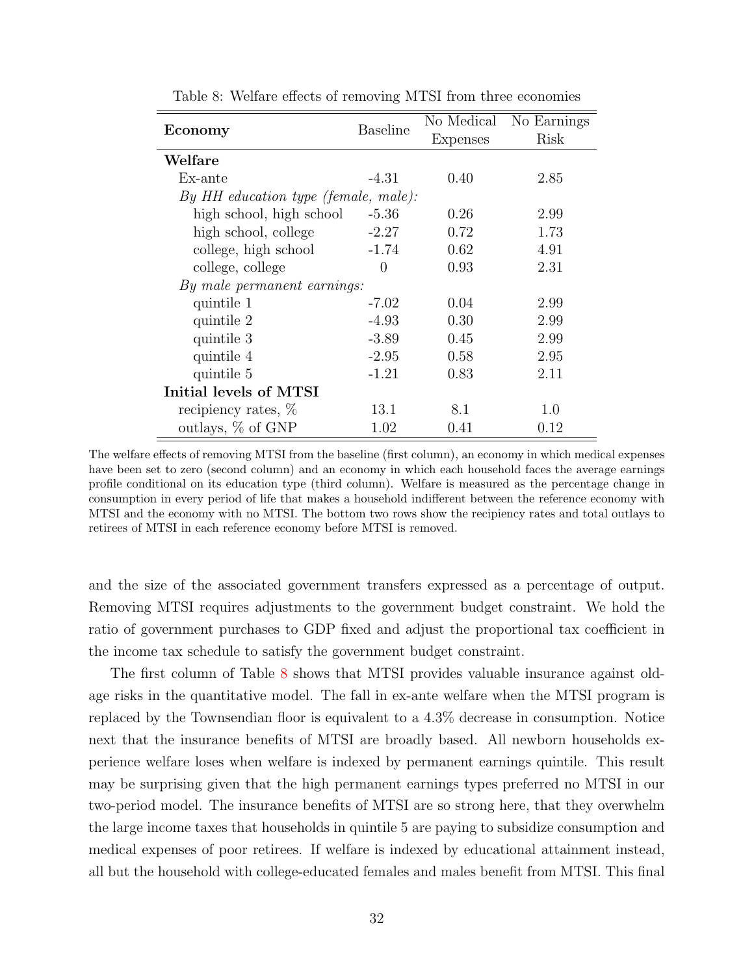<span id="page-31-0"></span>

|                                      | <b>Baseline</b> | No Medical | No Earnings |
|--------------------------------------|-----------------|------------|-------------|
| Economy                              |                 | Expenses   | Risk        |
| Welfare                              |                 |            |             |
| Ex-ante                              | $-4.31$         | 0.40       | 2.85        |
| By HH education type (female, male): |                 |            |             |
| high school, high school             | $-5.36$         | 0.26       | 2.99        |
| high school, college                 | $-2.27$         | 0.72       | 1.73        |
| college, high school                 | $-1.74$         | 0.62       | 4.91        |
| college, college                     | $\theta$        | 0.93       | 2.31        |
| By male permanent earnings:          |                 |            |             |
| quintile 1                           | $-7.02$         | 0.04       | 2.99        |
| quintile 2                           | $-4.93$         | 0.30       | 2.99        |
| quintile 3                           | $-3.89$         | 0.45       | 2.99        |
| quintile 4                           | $-2.95$         | 0.58       | 2.95        |
| quintile 5                           | $-1.21$         | 0.83       | 2.11        |
| Initial levels of MTSI               |                 |            |             |
| recipiency rates, $%$                | 13.1            | 8.1        | 1.0         |
| outlays, % of GNP                    | 1.02            | 0.41       | 0.12        |

Table 8: Welfare effects of removing MTSI from three economies

The welfare effects of removing MTSI from the baseline (first column), an economy in which medical expenses have been set to zero (second column) and an economy in which each household faces the average earnings profile conditional on its education type (third column). Welfare is measured as the percentage change in consumption in every period of life that makes a household indifferent between the reference economy with MTSI and the economy with no MTSI. The bottom two rows show the recipiency rates and total outlays to retirees of MTSI in each reference economy before MTSI is removed.

and the size of the associated government transfers expressed as a percentage of output. Removing MTSI requires adjustments to the government budget constraint. We hold the ratio of government purchases to GDP fixed and adjust the proportional tax coefficient in the income tax schedule to satisfy the government budget constraint.

The first column of Table [8](#page-31-0) shows that MTSI provides valuable insurance against oldage risks in the quantitative model. The fall in ex-ante welfare when the MTSI program is replaced by the Townsendian floor is equivalent to a 4.3% decrease in consumption. Notice next that the insurance benefits of MTSI are broadly based. All newborn households experience welfare loses when welfare is indexed by permanent earnings quintile. This result may be surprising given that the high permanent earnings types preferred no MTSI in our two-period model. The insurance benefits of MTSI are so strong here, that they overwhelm the large income taxes that households in quintile 5 are paying to subsidize consumption and medical expenses of poor retirees. If welfare is indexed by educational attainment instead, all but the household with college-educated females and males benefit from MTSI. This final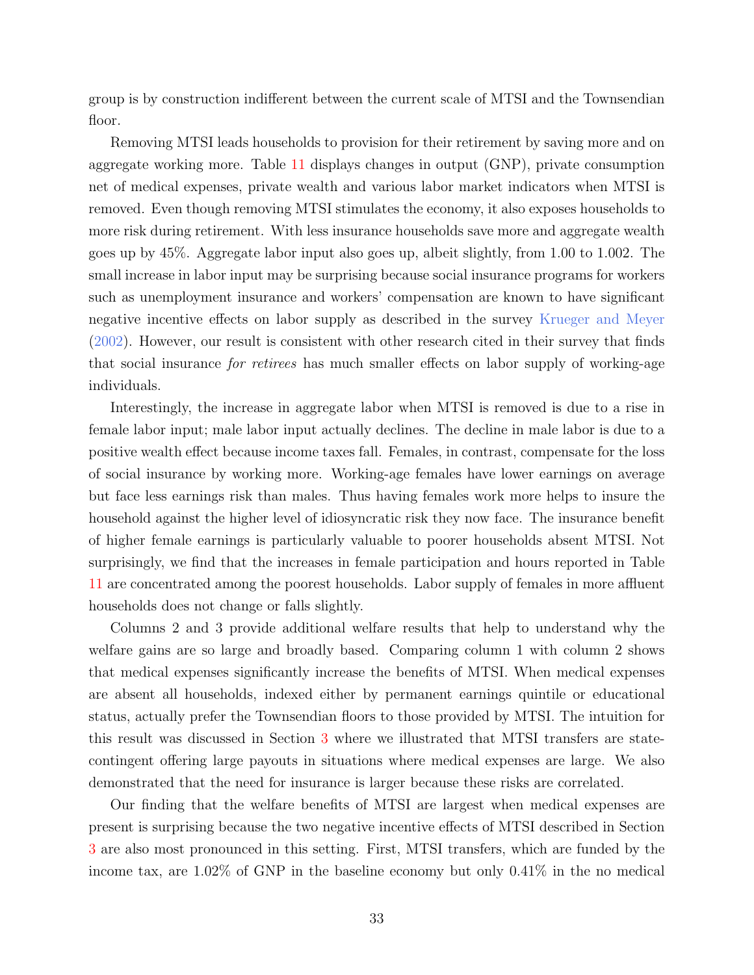group is by construction indifferent between the current scale of MTSI and the Townsendian floor.

Removing MTSI leads households to provision for their retirement by saving more and on aggregate working more. Table [11](#page-39-0) displays changes in output (GNP), private consumption net of medical expenses, private wealth and various labor market indicators when MTSI is removed. Even though removing MTSI stimulates the economy, it also exposes households to more risk during retirement. With less insurance households save more and aggregate wealth goes up by 45%. Aggregate labor input also goes up, albeit slightly, from 1.00 to 1.002. The small increase in labor input may be surprising because social insurance programs for workers such as unemployment insurance and workers' compensation are known to have significant negative incentive effects on labor supply as described in the survey [Krueger and Meyer](#page-42-2) [\(2002\)](#page-42-2). However, our result is consistent with other research cited in their survey that finds that social insurance for retirees has much smaller effects on labor supply of working-age individuals.

Interestingly, the increase in aggregate labor when MTSI is removed is due to a rise in female labor input; male labor input actually declines. The decline in male labor is due to a positive wealth effect because income taxes fall. Females, in contrast, compensate for the loss of social insurance by working more. Working-age females have lower earnings on average but face less earnings risk than males. Thus having females work more helps to insure the household against the higher level of idiosyncratic risk they now face. The insurance benefit of higher female earnings is particularly valuable to poorer households absent MTSI. Not surprisingly, we find that the increases in female participation and hours reported in Table [11](#page-39-0) are concentrated among the poorest households. Labor supply of females in more affluent households does not change or falls slightly.

Columns 2 and 3 provide additional welfare results that help to understand why the welfare gains are so large and broadly based. Comparing column 1 with column 2 shows that medical expenses significantly increase the benefits of MTSI. When medical expenses are absent all households, indexed either by permanent earnings quintile or educational status, actually prefer the Townsendian floors to those provided by MTSI. The intuition for this result was discussed in Section [3](#page-7-1) where we illustrated that MTSI transfers are statecontingent offering large payouts in situations where medical expenses are large. We also demonstrated that the need for insurance is larger because these risks are correlated.

Our finding that the welfare benefits of MTSI are largest when medical expenses are present is surprising because the two negative incentive effects of MTSI described in Section [3](#page-7-1) are also most pronounced in this setting. First, MTSI transfers, which are funded by the income tax, are 1.02% of GNP in the baseline economy but only 0.41% in the no medical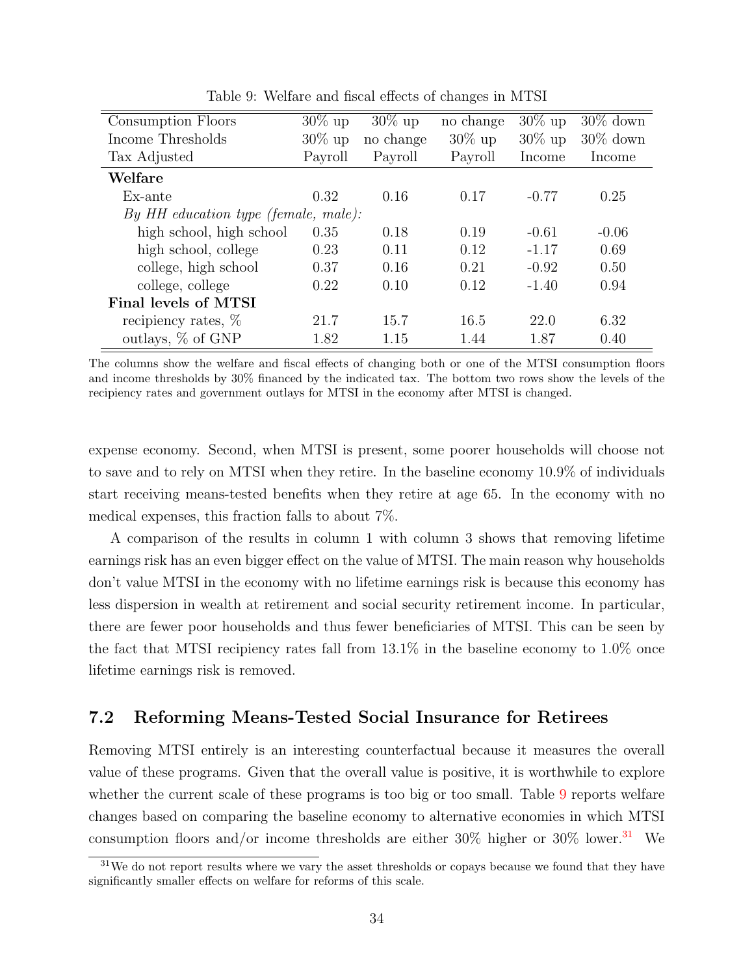<span id="page-33-0"></span>

| Consumption Floors                   | $30\%$ up | $30\%$ up | no change | $30\%$ up | $30\%$ down |
|--------------------------------------|-----------|-----------|-----------|-----------|-------------|
| Income Thresholds                    | $30\%$ up | no change | $30\%$ up | $30\%$ up | $30\%$ down |
| Tax Adjusted                         | Payroll   | Payroll   | Payroll   | Income    | Income      |
| Welfare                              |           |           |           |           |             |
| Ex-ante                              | 0.32      | 0.16      | 0.17      | $-0.77$   | 0.25        |
| By HH education type (female, male): |           |           |           |           |             |
| high school, high school             | 0.35      | 0.18      | 0.19      | $-0.61$   | $-0.06$     |
| high school, college                 | 0.23      | 0.11      | 0.12      | $-1.17$   | 0.69        |
| college, high school                 | 0.37      | 0.16      | 0.21      | $-0.92$   | 0.50        |
| college, college                     | 0.22      | 0.10      | 0.12      | $-1.40$   | 0.94        |
| Final levels of MTSI                 |           |           |           |           |             |
| recipiency rates, $%$                | 21.7      | 15.7      | 16.5      | 22.0      | 6.32        |
| outlays, % of GNP                    | 1.82      | 1.15      | 1.44      | 1.87      | 0.40        |

Table 9: Welfare and fiscal effects of changes in MTSI

The columns show the welfare and fiscal effects of changing both or one of the MTSI consumption floors and income thresholds by 30% financed by the indicated tax. The bottom two rows show the levels of the recipiency rates and government outlays for MTSI in the economy after MTSI is changed.

expense economy. Second, when MTSI is present, some poorer households will choose not to save and to rely on MTSI when they retire. In the baseline economy 10.9% of individuals start receiving means-tested benefits when they retire at age 65. In the economy with no medical expenses, this fraction falls to about 7%.

A comparison of the results in column 1 with column 3 shows that removing lifetime earnings risk has an even bigger effect on the value of MTSI. The main reason why households don't value MTSI in the economy with no lifetime earnings risk is because this economy has less dispersion in wealth at retirement and social security retirement income. In particular, there are fewer poor households and thus fewer beneficiaries of MTSI. This can be seen by the fact that MTSI recipiency rates fall from 13.1% in the baseline economy to 1.0% once lifetime earnings risk is removed.

## 7.2 Reforming Means-Tested Social Insurance for Retirees

Removing MTSI entirely is an interesting counterfactual because it measures the overall value of these programs. Given that the overall value is positive, it is worthwhile to explore whether the current scale of these programs is too big or too small. Table [9](#page-33-0) reports welfare changes based on comparing the baseline economy to alternative economies in which MTSI consumption floors and/or income thresholds are either  $30\%$  higher or  $30\%$  lower.<sup>[31](#page-33-1)</sup> We

<span id="page-33-1"></span><sup>&</sup>lt;sup>31</sup>We do not report results where we vary the asset thresholds or copays because we found that they have significantly smaller effects on welfare for reforms of this scale.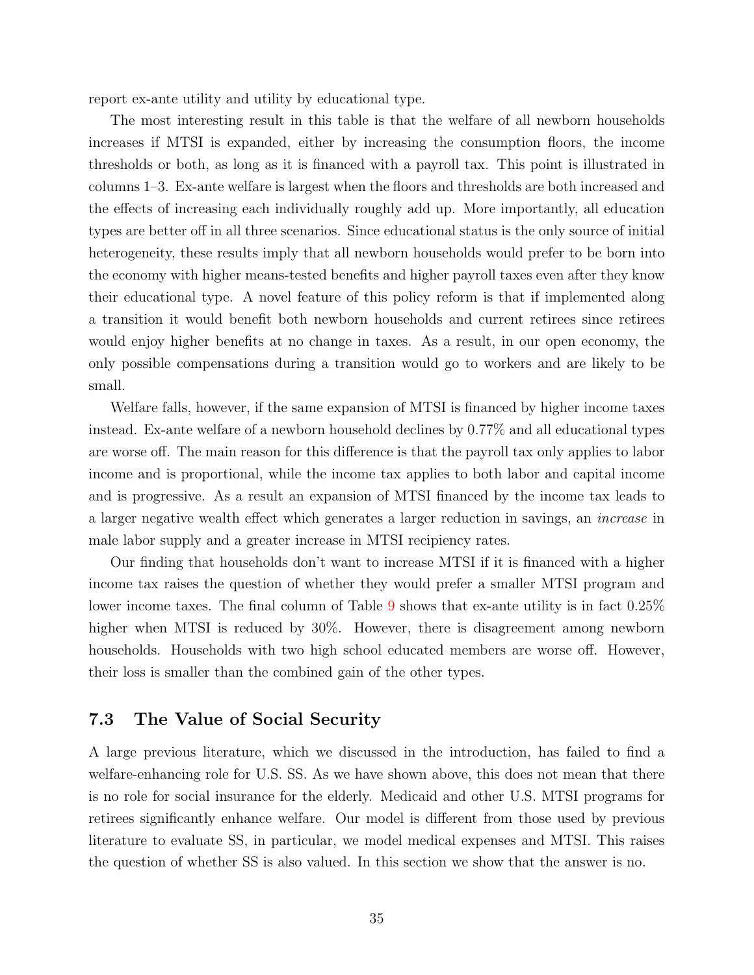report ex-ante utility and utility by educational type.

The most interesting result in this table is that the welfare of all newborn households increases if MTSI is expanded, either by increasing the consumption floors, the income thresholds or both, as long as it is financed with a payroll tax. This point is illustrated in columns 1–3. Ex-ante welfare is largest when the floors and thresholds are both increased and the effects of increasing each individually roughly add up. More importantly, all education types are better off in all three scenarios. Since educational status is the only source of initial heterogeneity, these results imply that all newborn households would prefer to be born into the economy with higher means-tested benefits and higher payroll taxes even after they know their educational type. A novel feature of this policy reform is that if implemented along a transition it would benefit both newborn households and current retirees since retirees would enjoy higher benefits at no change in taxes. As a result, in our open economy, the only possible compensations during a transition would go to workers and are likely to be small.

Welfare falls, however, if the same expansion of MTSI is financed by higher income taxes instead. Ex-ante welfare of a newborn household declines by 0.77% and all educational types are worse off. The main reason for this difference is that the payroll tax only applies to labor income and is proportional, while the income tax applies to both labor and capital income and is progressive. As a result an expansion of MTSI financed by the income tax leads to a larger negative wealth effect which generates a larger reduction in savings, an increase in male labor supply and a greater increase in MTSI recipiency rates.

Our finding that households don't want to increase MTSI if it is financed with a higher income tax raises the question of whether they would prefer a smaller MTSI program and lower income taxes. The final column of Table [9](#page-33-0) shows that ex-ante utility is in fact 0.25% higher when MTSI is reduced by 30%. However, there is disagreement among newborn households. Households with two high school educated members are worse off. However, their loss is smaller than the combined gain of the other types.

## 7.3 The Value of Social Security

A large previous literature, which we discussed in the introduction, has failed to find a welfare-enhancing role for U.S. SS. As we have shown above, this does not mean that there is no role for social insurance for the elderly. Medicaid and other U.S. MTSI programs for retirees significantly enhance welfare. Our model is different from those used by previous literature to evaluate SS, in particular, we model medical expenses and MTSI. This raises the question of whether SS is also valued. In this section we show that the answer is no.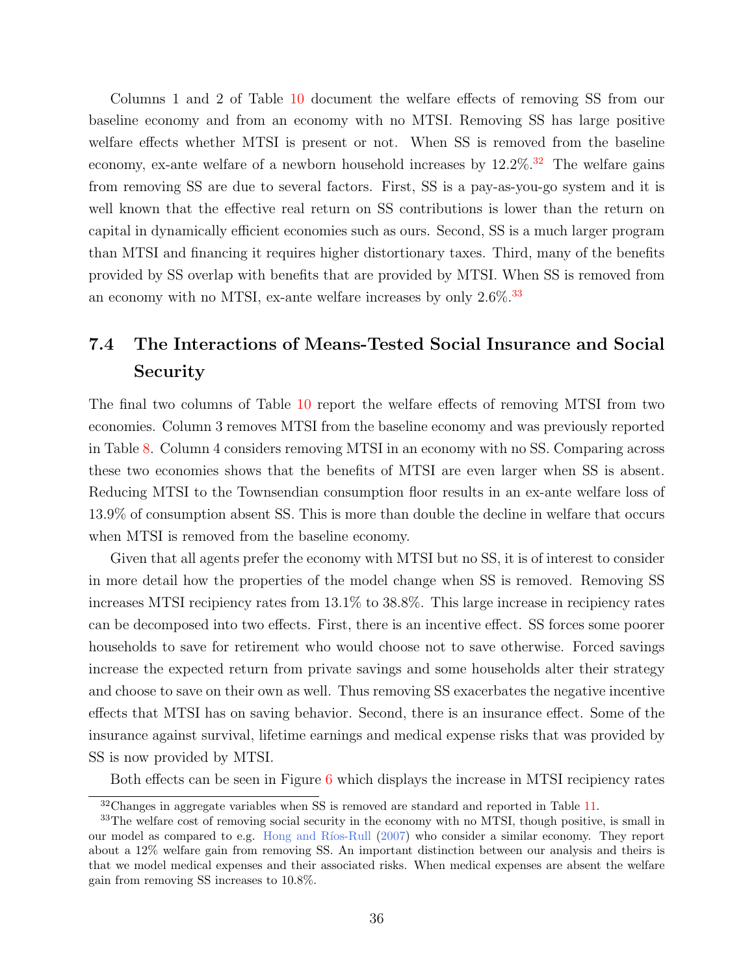Columns 1 and 2 of Table [10](#page-36-0) document the welfare effects of removing SS from our baseline economy and from an economy with no MTSI. Removing SS has large positive welfare effects whether MTSI is present or not. When SS is removed from the baseline economy, ex-ante welfare of a newborn household increases by  $12.2\%$ .<sup>[32](#page-35-0)</sup> The welfare gains from removing SS are due to several factors. First, SS is a pay-as-you-go system and it is well known that the effective real return on SS contributions is lower than the return on capital in dynamically efficient economies such as ours. Second, SS is a much larger program than MTSI and financing it requires higher distortionary taxes. Third, many of the benefits provided by SS overlap with benefits that are provided by MTSI. When SS is removed from an economy with no MTSI, ex-ante welfare increases by only  $2.6\%$ .<sup>[33](#page-35-1)</sup>

# 7.4 The Interactions of Means-Tested Social Insurance and Social Security

The final two columns of Table [10](#page-36-0) report the welfare effects of removing MTSI from two economies. Column 3 removes MTSI from the baseline economy and was previously reported in Table [8.](#page-31-0) Column 4 considers removing MTSI in an economy with no SS. Comparing across these two economies shows that the benefits of MTSI are even larger when SS is absent. Reducing MTSI to the Townsendian consumption floor results in an ex-ante welfare loss of 13.9% of consumption absent SS. This is more than double the decline in welfare that occurs when MTSI is removed from the baseline economy.

Given that all agents prefer the economy with MTSI but no SS, it is of interest to consider in more detail how the properties of the model change when SS is removed. Removing SS increases MTSI recipiency rates from 13.1% to 38.8%. This large increase in recipiency rates can be decomposed into two effects. First, there is an incentive effect. SS forces some poorer households to save for retirement who would choose not to save otherwise. Forced savings increase the expected return from private savings and some households alter their strategy and choose to save on their own as well. Thus removing SS exacerbates the negative incentive effects that MTSI has on saving behavior. Second, there is an insurance effect. Some of the insurance against survival, lifetime earnings and medical expense risks that was provided by SS is now provided by MTSI.

Both effects can be seen in Figure [6](#page-37-1) which displays the increase in MTSI recipiency rates

<span id="page-35-1"></span><span id="page-35-0"></span><sup>32</sup>Changes in aggregate variables when SS is removed are standard and reported in Table [11.](#page-39-0)

<sup>&</sup>lt;sup>33</sup>The welfare cost of removing social security in the economy with no MTSI, though positive, is small in our model as compared to e.g. Hong and Ríos-Rull [\(2007\)](#page-41-1) who consider a similar economy. They report about a 12% welfare gain from removing SS. An important distinction between our analysis and theirs is that we model medical expenses and their associated risks. When medical expenses are absent the welfare gain from removing SS increases to 10.8%.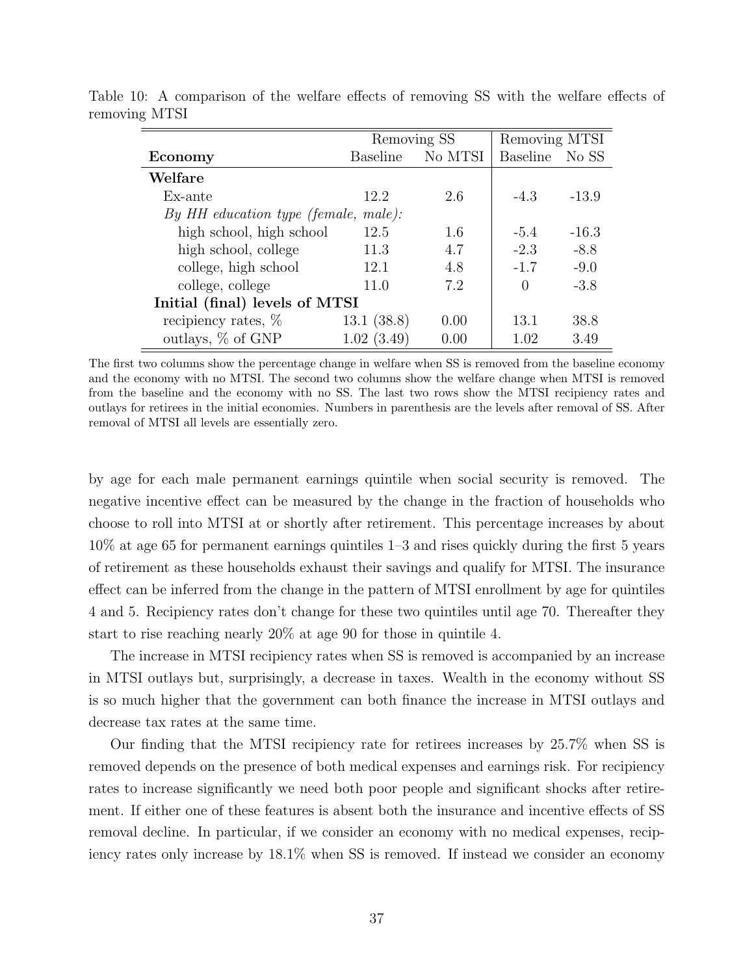|                                      | Removing SS     |         | Removing MTSI    |         |
|--------------------------------------|-----------------|---------|------------------|---------|
| Economy                              | <b>Baseline</b> | No MTSI | Baseline No SS   |         |
| Welfare                              |                 |         |                  |         |
| Ex-ante                              | 12.2            | 2.6     | $-4.3$           | $-13.9$ |
| By HH education type (female, male): |                 |         |                  |         |
| high school, high school             | 12.5            | 1.6     | $-5.4$           | $-16.3$ |
| high school, college                 | 11.3            | 4.7     | $-2.3$           | $-8.8$  |
| college, high school                 | 12.1            | 4.8     | $-1.7$           | $-9.0$  |
| college, college                     | 11.0            | 7.2     | $\left( \right)$ | $-3.8$  |
| Initial (final) levels of MTSI       |                 |         |                  |         |
| recipiency rates, $%$                | 13.1(38.8)      | 0.00    | 13.1             | 38.8    |
| outlays, % of GNP                    | 1.02(3.49)      | 0.00    | 1.02             | 3.49    |

<span id="page-36-0"></span>Table 10: A comparison of the welfare effects of removing SS with the welfare effects of removing MTSI

The first two columns show the percentage change in welfare when SS is removed from the baseline economy and the economy with no MTSI. The second two columns show the welfare change when MTSI is removed from the baseline and the economy with no SS. The last two rows show the MTSI recipiency rates and outlays for retirees in the initial economies. Numbers in parenthesis are the levels after removal of SS. After removal of MTSI all levels are essentially zero.

by age for each male permanent earnings quintile when social security is removed. The negative incentive effect can be measured by the change in the fraction of households who choose to roll into MTSI at or shortly after retirement. This percentage increases by about 10% at age 65 for permanent earnings quintiles 1–3 and rises quickly during the first 5 years of retirement as these households exhaust their savings and qualify for MTSI. The insurance effect can be inferred from the change in the pattern of MTSI enrollment by age for quintiles 4 and 5. Recipiency rates don't change for these two quintiles until age 70. Thereafter they start to rise reaching nearly 20% at age 90 for those in quintile 4.

The increase in MTSI recipiency rates when SS is removed is accompanied by an increase in MTSI outlays but, surprisingly, a decrease in taxes. Wealth in the economy without SS is so much higher that the government can both finance the increase in MTSI outlays and decrease tax rates at the same time.

Our finding that the MTSI recipiency rate for retirees increases by 25.7% when SS is removed depends on the presence of both medical expenses and earnings risk. For recipiency rates to increase significantly we need both poor people and significant shocks after retirement. If either one of these features is absent both the insurance and incentive effects of SS removal decline. In particular, if we consider an economy with no medical expenses, recipiency rates only increase by 18.1% when SS is removed. If instead we consider an economy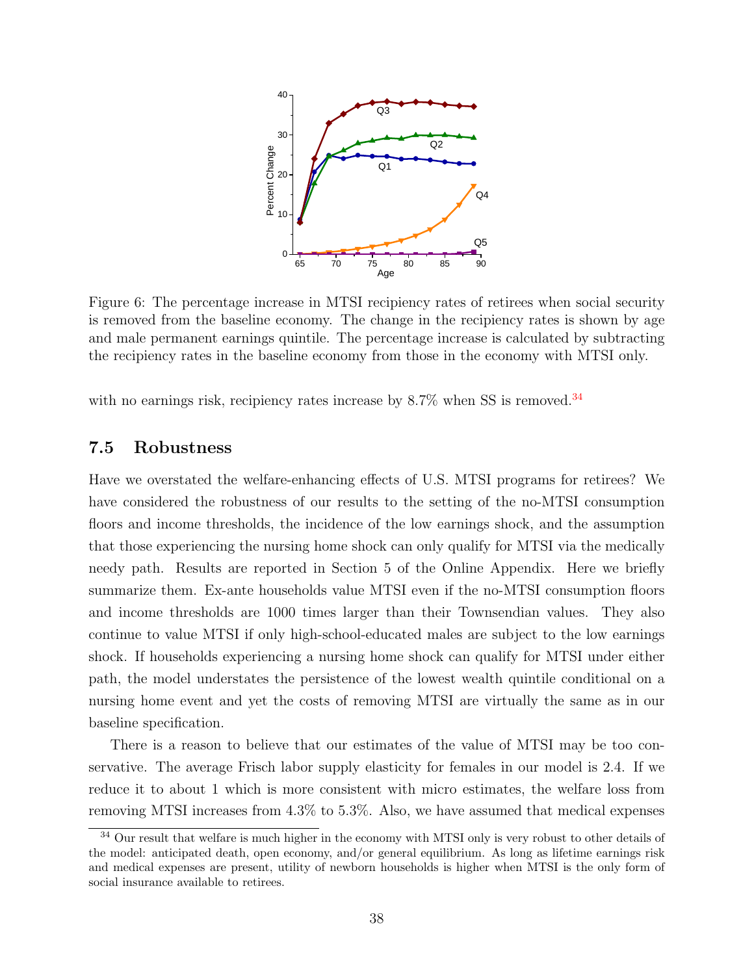<span id="page-37-1"></span>

Figure 6: The percentage increase in MTSI recipiency rates of retirees when social security is removed from the baseline economy. The change in the recipiency rates is shown by age and male permanent earnings quintile. The percentage increase is calculated by subtracting the recipiency rates in the baseline economy from those in the economy with MTSI only.

with no earnings risk, recipiency rates increase by  $8.7\%$  when SS is removed.<sup>[34](#page-37-2)</sup>

#### <span id="page-37-0"></span>7.5 Robustness

Have we overstated the welfare-enhancing effects of U.S. MTSI programs for retirees? We have considered the robustness of our results to the setting of the no-MTSI consumption floors and income thresholds, the incidence of the low earnings shock, and the assumption that those experiencing the nursing home shock can only qualify for MTSI via the medically needy path. Results are reported in Section 5 of the Online Appendix. Here we briefly summarize them. Ex-ante households value MTSI even if the no-MTSI consumption floors and income thresholds are 1000 times larger than their Townsendian values. They also continue to value MTSI if only high-school-educated males are subject to the low earnings shock. If households experiencing a nursing home shock can qualify for MTSI under either path, the model understates the persistence of the lowest wealth quintile conditional on a nursing home event and yet the costs of removing MTSI are virtually the same as in our baseline specification.

There is a reason to believe that our estimates of the value of MTSI may be too conservative. The average Frisch labor supply elasticity for females in our model is 2.4. If we reduce it to about 1 which is more consistent with micro estimates, the welfare loss from removing MTSI increases from 4.3% to 5.3%. Also, we have assumed that medical expenses

<span id="page-37-2"></span><sup>&</sup>lt;sup>34</sup> Our result that welfare is much higher in the economy with MTSI only is very robust to other details of the model: anticipated death, open economy, and/or general equilibrium. As long as lifetime earnings risk and medical expenses are present, utility of newborn households is higher when MTSI is the only form of social insurance available to retirees.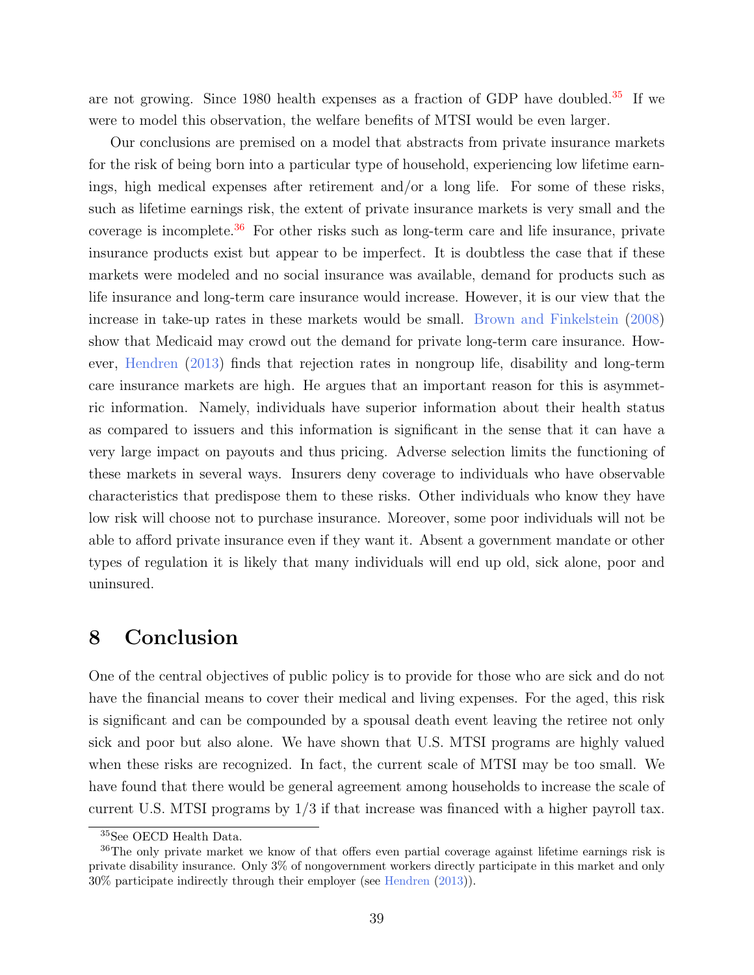are not growing. Since 1980 health expenses as a fraction of GDP have doubled.[35](#page-38-0) If we were to model this observation, the welfare benefits of MTSI would be even larger.

Our conclusions are premised on a model that abstracts from private insurance markets for the risk of being born into a particular type of household, experiencing low lifetime earnings, high medical expenses after retirement and/or a long life. For some of these risks, such as lifetime earnings risk, the extent of private insurance markets is very small and the coverage is incomplete.<sup>[36](#page-38-1)</sup> For other risks such as long-term care and life insurance, private insurance products exist but appear to be imperfect. It is doubtless the case that if these markets were modeled and no social insurance was available, demand for products such as life insurance and long-term care insurance would increase. However, it is our view that the increase in take-up rates in these markets would be small. [Brown and Finkelstein](#page-40-9) [\(2008\)](#page-40-9) show that Medicaid may crowd out the demand for private long-term care insurance. However, [Hendren](#page-41-12) [\(2013\)](#page-41-12) finds that rejection rates in nongroup life, disability and long-term care insurance markets are high. He argues that an important reason for this is asymmetric information. Namely, individuals have superior information about their health status as compared to issuers and this information is significant in the sense that it can have a very large impact on payouts and thus pricing. Adverse selection limits the functioning of these markets in several ways. Insurers deny coverage to individuals who have observable characteristics that predispose them to these risks. Other individuals who know they have low risk will choose not to purchase insurance. Moreover, some poor individuals will not be able to afford private insurance even if they want it. Absent a government mandate or other types of regulation it is likely that many individuals will end up old, sick alone, poor and uninsured.

## 8 Conclusion

One of the central objectives of public policy is to provide for those who are sick and do not have the financial means to cover their medical and living expenses. For the aged, this risk is significant and can be compounded by a spousal death event leaving the retiree not only sick and poor but also alone. We have shown that U.S. MTSI programs are highly valued when these risks are recognized. In fact, the current scale of MTSI may be too small. We have found that there would be general agreement among households to increase the scale of current U.S. MTSI programs by 1/3 if that increase was financed with a higher payroll tax.

<span id="page-38-1"></span><span id="page-38-0"></span><sup>35</sup>See OECD Health Data.

<sup>&</sup>lt;sup>36</sup>The only private market we know of that offers even partial coverage against lifetime earnings risk is private disability insurance. Only 3% of nongovernment workers directly participate in this market and only 30% participate indirectly through their employer (see [Hendren](#page-41-12) [\(2013\)](#page-41-12)).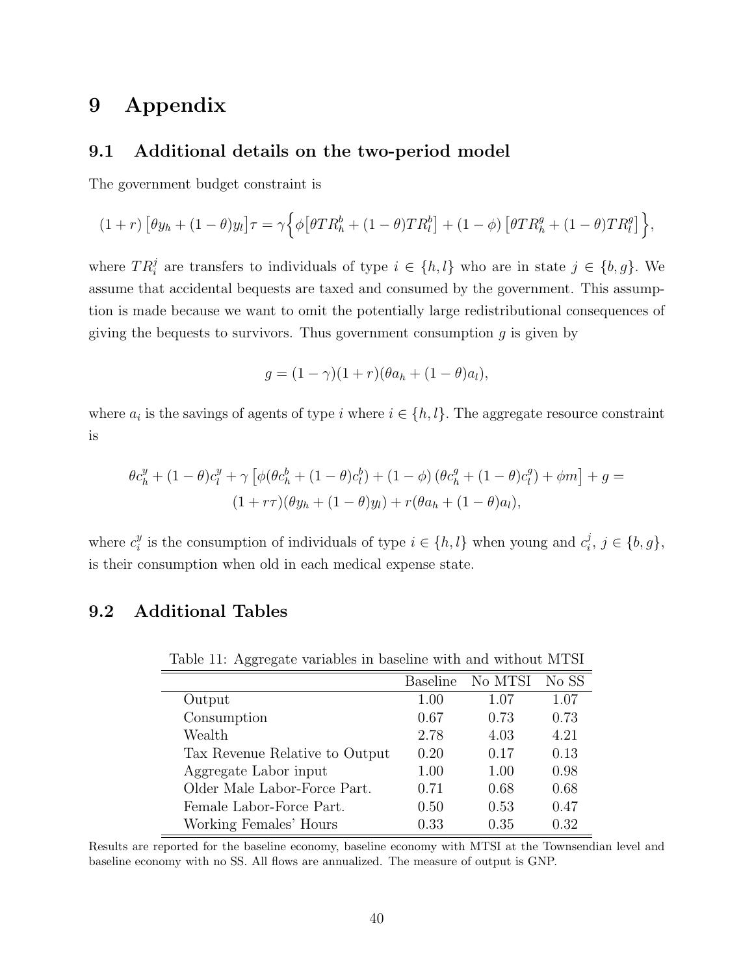# 9 Appendix

#### 9.1 Additional details on the two-period model

The government budget constraint is

$$
(1+r)\left[\theta y_h + (1-\theta)y_l\right]\tau = \gamma \Big\{\phi\big[\theta TR_h^b + (1-\theta)TR_l^b\big] + (1-\phi)\big[\theta TR_h^g + (1-\theta)TR_l^g\big]\Big\},\
$$

where TR<sup>j</sup> are transfers to individuals of type  $i \in \{h, l\}$  who are in state  $j \in \{b, g\}$ . We assume that accidental bequests are taxed and consumed by the government. This assumption is made because we want to omit the potentially large redistributional consequences of giving the bequests to survivors. Thus government consumption  $g$  is given by

$$
g = (1 - \gamma)(1 + r)(\theta a_h + (1 - \theta)a_l),
$$

where  $a_i$  is the savings of agents of type i where  $i \in \{h, l\}$ . The aggregate resource constraint is

$$
\theta c_h^y + (1 - \theta)c_l^y + \gamma \left[ \phi(\theta c_h^b + (1 - \theta)c_l^b) + (1 - \phi)(\theta c_h^g + (1 - \theta)c_l^g) + \phi m \right] + g =
$$
  

$$
(1 + r\tau)(\theta y_h + (1 - \theta)y_l) + r(\theta a_h + (1 - \theta)a_l),
$$

where  $c_i^y$ <sup>y</sup> is the consumption of individuals of type  $i \in \{h, l\}$  when young and  $c_i^j$  $j, j \in \{b, g\},\$ is their consumption when old in each medical expense state.

## <span id="page-39-0"></span>9.2 Additional Tables

Table 11: Aggregate variables in baseline with and without MTSI

|                                | Baseline | No MTSI | No SS |
|--------------------------------|----------|---------|-------|
| Output                         | 1.00     | 1.07    | 1.07  |
| Consumption                    | 0.67     | 0.73    | 0.73  |
| Wealth                         | 2.78     | 4.03    | 4.21  |
| Tax Revenue Relative to Output | 0.20     | 0.17    | 0.13  |
| Aggregate Labor input          | 1.00     | 1.00    | 0.98  |
| Older Male Labor-Force Part.   | 0.71     | 0.68    | 0.68  |
| Female Labor-Force Part.       | 0.50     | 0.53    | 0.47  |
| Working Females' Hours         | 0.33     | 0.35    | 0.32  |

Results are reported for the baseline economy, baseline economy with MTSI at the Townsendian level and baseline economy with no SS. All flows are annualized. The measure of output is GNP.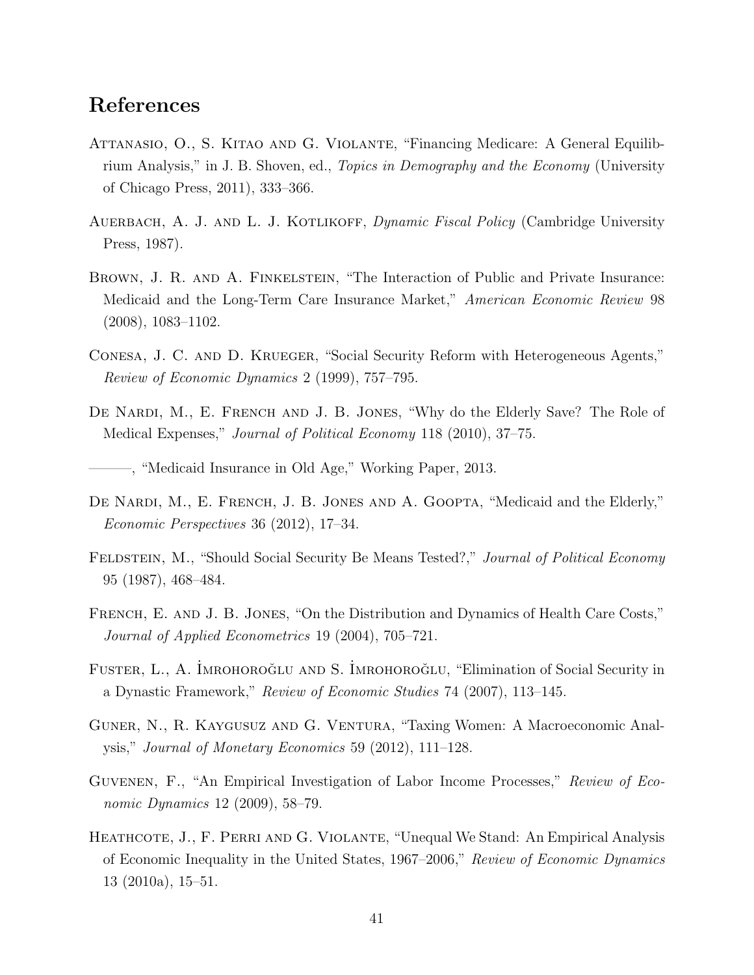# References

- <span id="page-40-8"></span>Attanasio, O., S. Kitao and G. Violante, "Financing Medicare: A General Equilibrium Analysis," in J. B. Shoven, ed., Topics in Demography and the Economy (University of Chicago Press, 2011), 333–366.
- <span id="page-40-1"></span>AUERBACH, A. J. AND L. J. KOTLIKOFF, *Dynamic Fiscal Policy* (Cambridge University Press, 1987).
- <span id="page-40-9"></span>BROWN, J. R. AND A. FINKELSTEIN, "The Interaction of Public and Private Insurance: Medicaid and the Long-Term Care Insurance Market," American Economic Review 98 (2008), 1083–1102.
- <span id="page-40-2"></span>Conesa, J. C. and D. Krueger, "Social Security Reform with Heterogeneous Agents," Review of Economic Dynamics 2 (1999), 757–795.
- <span id="page-40-4"></span>DE NARDI, M., E. FRENCH AND J. B. JONES, "Why do the Elderly Save? The Role of Medical Expenses," Journal of Political Economy 118 (2010), 37–75.

<span id="page-40-7"></span>———, "Medicaid Insurance in Old Age," Working Paper, 2013.

- <span id="page-40-10"></span>DE NARDI, M., E. FRENCH, J. B. JONES AND A. GOOPTA, "Medicaid and the Elderly," Economic Perspectives 36 (2012), 17–34.
- <span id="page-40-3"></span>FELDSTEIN, M., "Should Social Security Be Means Tested?," Journal of Political Economy 95 (1987), 468–484.
- <span id="page-40-11"></span>FRENCH, E. AND J. B. JONES, "On the Distribution and Dynamics of Health Care Costs," Journal of Applied Econometrics 19 (2004), 705–721.
- <span id="page-40-0"></span>FUSTER, L., A. IMROHOROĞLU AND S. IMROHOROĞLU, "Elimination of Social Security in a Dynastic Framework," Review of Economic Studies 74 (2007), 113–145.
- <span id="page-40-12"></span>Guner, N., R. Kaygusuz and G. Ventura, "Taxing Women: A Macroeconomic Analysis," Journal of Monetary Economics 59 (2012), 111–128.
- <span id="page-40-5"></span>Guvenen, F., "An Empirical Investigation of Labor Income Processes," Review of Economic Dynamics 12 (2009), 58–79.
- <span id="page-40-6"></span>HEATHCOTE, J., F. PERRI AND G. VIOLANTE, "Unequal We Stand: An Empirical Analysis of Economic Inequality in the United States, 1967–2006," Review of Economic Dynamics 13 (2010a), 15–51.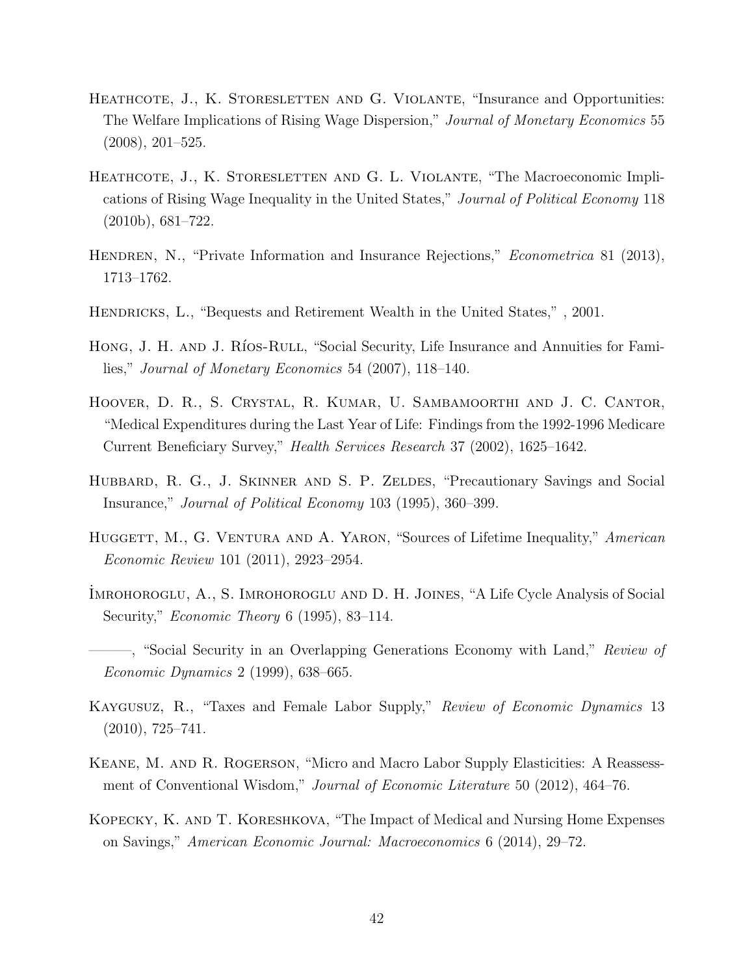- <span id="page-41-5"></span>HEATHCOTE, J., K. STORESLETTEN AND G. VIOLANTE, "Insurance and Opportunities: The Welfare Implications of Rising Wage Dispersion," Journal of Monetary Economics 55 (2008), 201–525.
- <span id="page-41-10"></span>HEATHCOTE, J., K. STORESLETTEN AND G. L. VIOLANTE, "The Macroeconomic Implications of Rising Wage Inequality in the United States," Journal of Political Economy 118 (2010b), 681–722.
- <span id="page-41-12"></span>HENDREN, N., "Private Information and Insurance Rejections," *Econometrica* 81 (2013), 1713–1762.
- <span id="page-41-8"></span>Hendricks, L., "Bequests and Retirement Wealth in the United States," , 2001.
- <span id="page-41-1"></span>HONG, J. H. AND J. RíOS-RULL, "Social Security, Life Insurance and Annuities for Families," Journal of Monetary Economics 54 (2007), 118–140.
- <span id="page-41-9"></span>Hoover, D. R., S. Crystal, R. Kumar, U. Sambamoorthi and J. C. Cantor, "Medical Expenditures during the Last Year of Life: Findings from the 1992-1996 Medicare Current Beneficiary Survey," Health Services Research 37 (2002), 1625–1642.
- <span id="page-41-3"></span>HUBBARD, R. G., J. SKINNER AND S. P. ZELDES, "Precautionary Savings and Social Insurance," Journal of Political Economy 103 (1995), 360–399.
- <span id="page-41-6"></span>HUGGETT, M., G. VENTURA AND A. YARON, "Sources of Lifetime Inequality," American Economic Review 101 (2011), 2923–2954.
- <span id="page-41-2"></span>˙Imrohoroglu, A., S. Imrohoroglu and D. H. Joines, "A Life Cycle Analysis of Social Security," Economic Theory 6 (1995), 83–114.
- <span id="page-41-0"></span>———, "Social Security in an Overlapping Generations Economy with Land," Review of Economic Dynamics 2 (1999), 638–665.
- <span id="page-41-11"></span>Kaygusuz, R., "Taxes and Female Labor Supply," Review of Economic Dynamics 13 (2010), 725–741.
- <span id="page-41-7"></span>Keane, M. and R. Rogerson, "Micro and Macro Labor Supply Elasticities: A Reassessment of Conventional Wisdom," Journal of Economic Literature 50 (2012), 464–76.
- <span id="page-41-4"></span>Kopecky, K. and T. Koreshkova, "The Impact of Medical and Nursing Home Expenses on Savings," American Economic Journal: Macroeconomics 6 (2014), 29–72.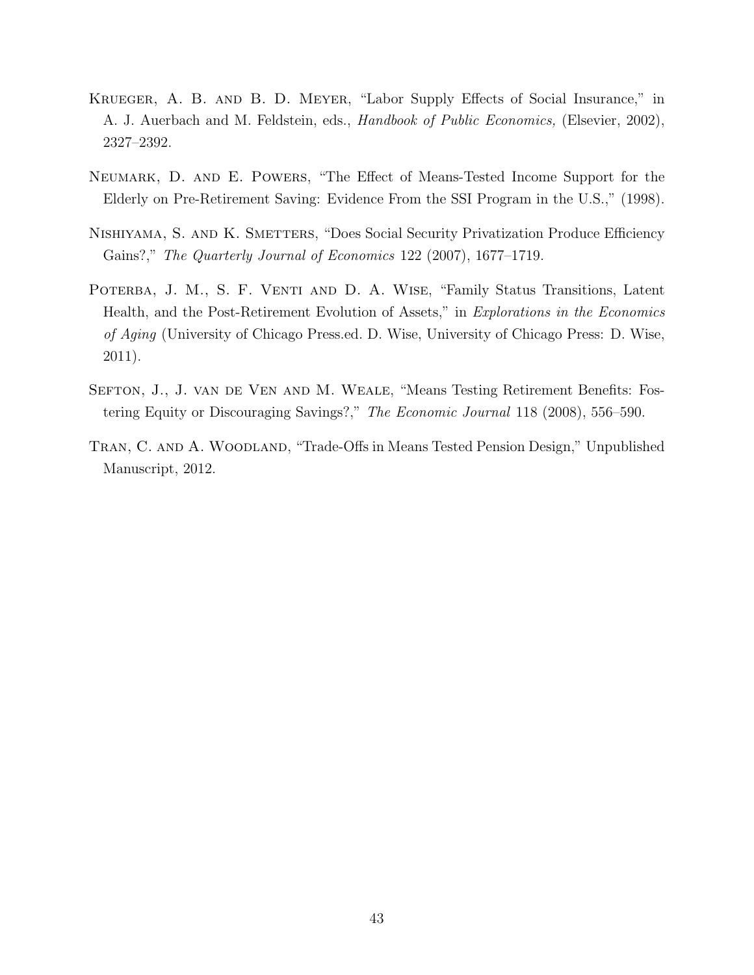- <span id="page-42-2"></span>Krueger, A. B. and B. D. Meyer, "Labor Supply Effects of Social Insurance," in A. J. Auerbach and M. Feldstein, eds., Handbook of Public Economics, (Elsevier, 2002), 2327–2392.
- <span id="page-42-1"></span>Neumark, D. and E. Powers, "The Effect of Means-Tested Income Support for the Elderly on Pre-Retirement Saving: Evidence From the SSI Program in the U.S.," (1998).
- <span id="page-42-0"></span>NISHIYAMA, S. AND K. SMETTERS, "Does Social Security Privatization Produce Efficiency Gains?," The Quarterly Journal of Economics 122 (2007), 1677–1719.
- <span id="page-42-5"></span>POTERBA, J. M., S. F. VENTI AND D. A. WISE, "Family Status Transitions, Latent Health, and the Post-Retirement Evolution of Assets," in Explorations in the Economics of Aging (University of Chicago Press.ed. D. Wise, University of Chicago Press: D. Wise, 2011).
- <span id="page-42-4"></span>SEFTON, J., J. VAN DE VEN AND M. WEALE, "Means Testing Retirement Benefits: Fostering Equity or Discouraging Savings?," The Economic Journal 118 (2008), 556–590.
- <span id="page-42-3"></span>Tran, C. and A. Woodland, "Trade-Offs in Means Tested Pension Design," Unpublished Manuscript, 2012.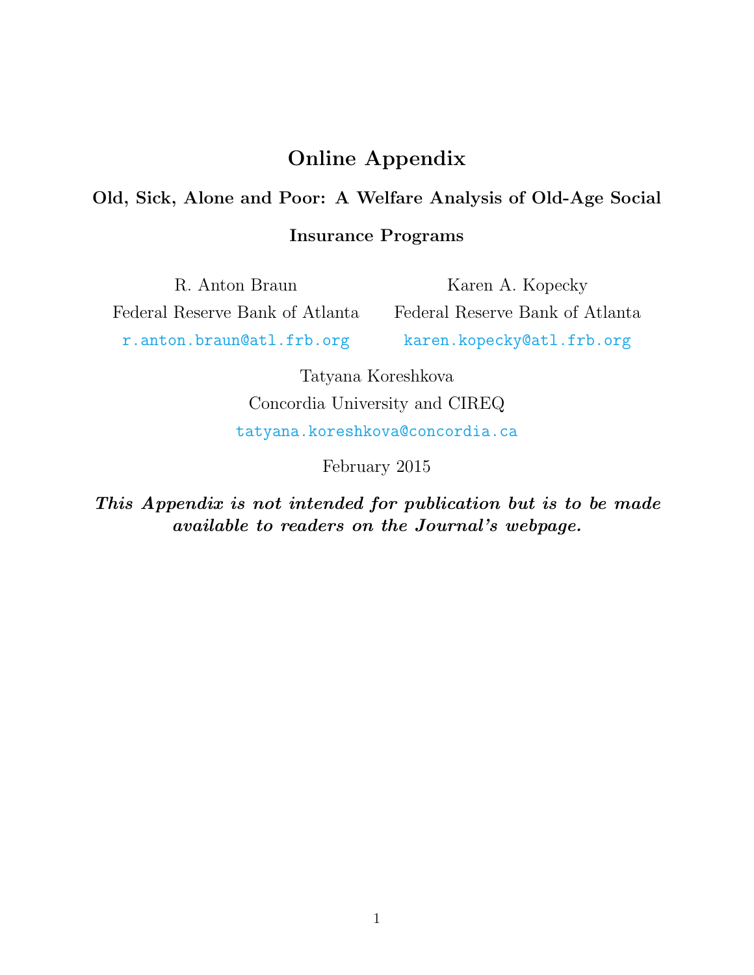# Online Appendix

# Old, Sick, Alone and Poor: A Welfare Analysis of Old-Age Social Insurance Programs

R. Anton Braun Federal Reserve Bank of Atlanta <r.anton.braun@atl.frb.org>

Karen A. Kopecky Federal Reserve Bank of Atlanta <karen.kopecky@atl.frb.org>

Tatyana Koreshkova Concordia University and CIREQ <tatyana.koreshkova@concordia.ca>

February 2015

This Appendix is not intended for publication but is to be made available to readers on the Journal's webpage.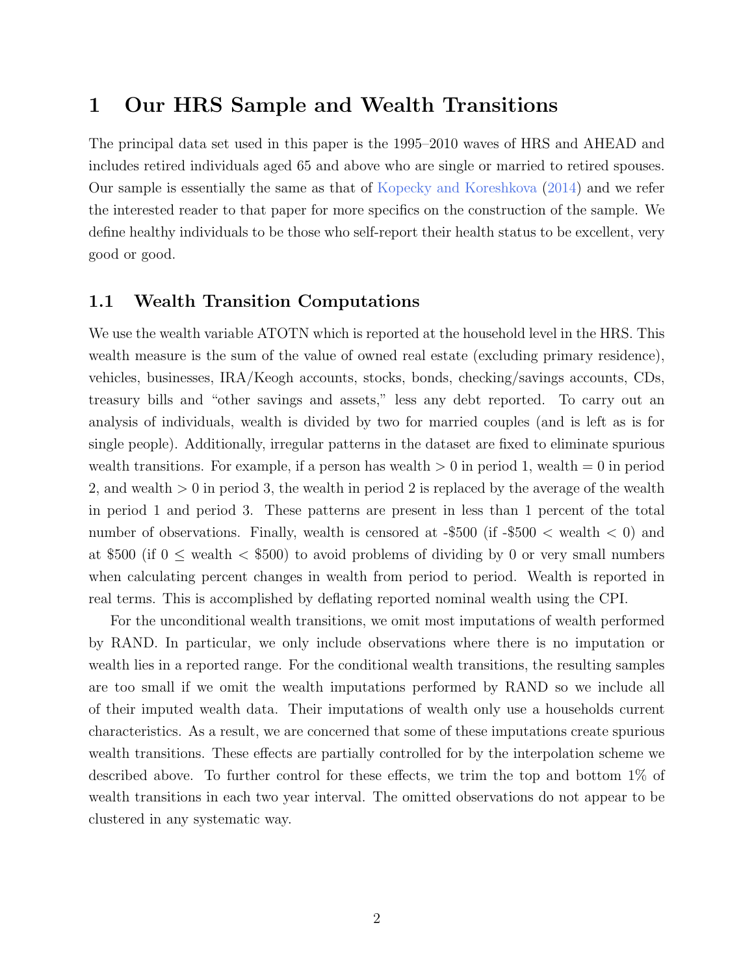# 1 Our HRS Sample and Wealth Transitions

The principal data set used in this paper is the 1995–2010 waves of HRS and AHEAD and includes retired individuals aged 65 and above who are single or married to retired spouses. Our sample is essentially the same as that of [Kopecky and Koreshkova](#page-63-0) [\(2014\)](#page-63-0) and we refer the interested reader to that paper for more specifics on the construction of the sample. We define healthy individuals to be those who self-report their health status to be excellent, very good or good.

### 1.1 Wealth Transition Computations

We use the wealth variable ATOTN which is reported at the household level in the HRS. This wealth measure is the sum of the value of owned real estate (excluding primary residence), vehicles, businesses, IRA/Keogh accounts, stocks, bonds, checking/savings accounts, CDs, treasury bills and "other savings and assets," less any debt reported. To carry out an analysis of individuals, wealth is divided by two for married couples (and is left as is for single people). Additionally, irregular patterns in the dataset are fixed to eliminate spurious wealth transitions. For example, if a person has wealth  $> 0$  in period 1, wealth  $= 0$  in period 2, and wealth  $> 0$  in period 3, the wealth in period 2 is replaced by the average of the wealth in period 1 and period 3. These patterns are present in less than 1 percent of the total number of observations. Finally, wealth is censored at  $-$ \$500 (if  $-$ \$500  $\lt$  wealth  $\lt$  0) and at \$500 (if  $0 \le$  wealth  $\lt$  \$500) to avoid problems of dividing by 0 or very small numbers when calculating percent changes in wealth from period to period. Wealth is reported in real terms. This is accomplished by deflating reported nominal wealth using the CPI.

For the unconditional wealth transitions, we omit most imputations of wealth performed by RAND. In particular, we only include observations where there is no imputation or wealth lies in a reported range. For the conditional wealth transitions, the resulting samples are too small if we omit the wealth imputations performed by RAND so we include all of their imputed wealth data. Their imputations of wealth only use a households current characteristics. As a result, we are concerned that some of these imputations create spurious wealth transitions. These effects are partially controlled for by the interpolation scheme we described above. To further control for these effects, we trim the top and bottom 1% of wealth transitions in each two year interval. The omitted observations do not appear to be clustered in any systematic way.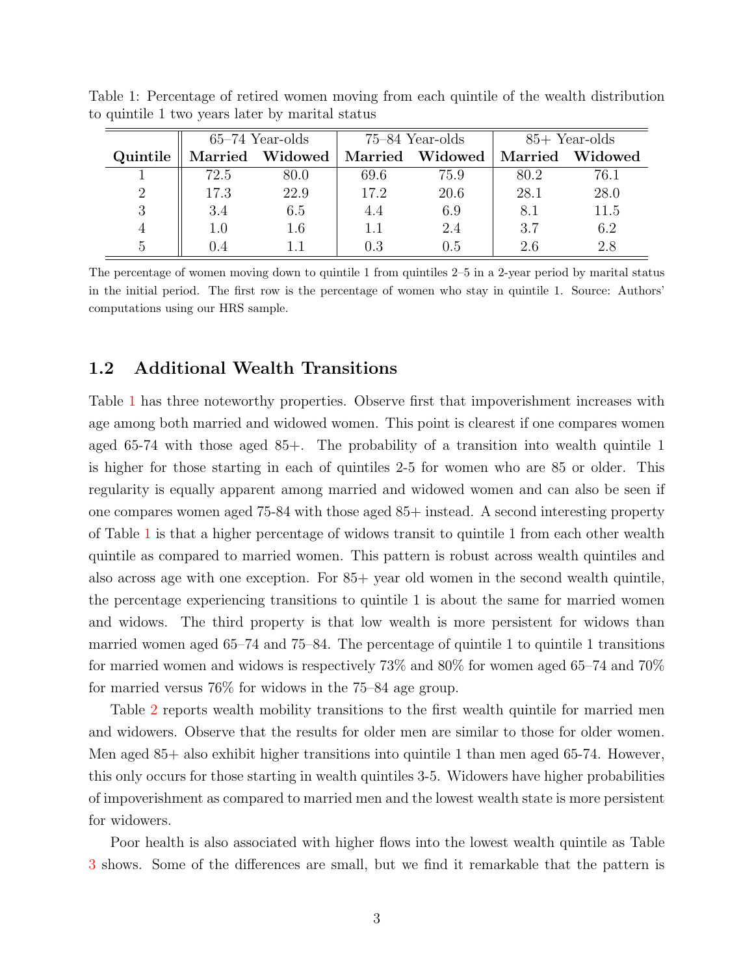|                 | $65-74$ Year-olds |      |      | $75 - 84$ Year-olds             | $85+$ Year-olds |         |  |
|-----------------|-------------------|------|------|---------------------------------|-----------------|---------|--|
| Quintile        |                   |      |      | Married Widowed Married Widowed | Married         | Widowed |  |
|                 | 72.5              | 80.0 | 69.6 | 75.9                            | 80.2            | 76.1    |  |
| $\overline{2}$  | 17.3              | 22.9 | 17.2 | 20.6                            | 28.1            | 28.0    |  |
| 3               | 3.4               | 6.5  | 4.4  | 6.9                             | 8.1             | 11.5    |  |
| 4               | 1.0               | 1.6  | 1.1  | 2.4                             | 3.7             | 6.2     |  |
| $\ddot{\Omega}$ |                   | 11   | 0.3  | 0.5                             | 26              | 2.8     |  |

<span id="page-45-0"></span>Table 1: Percentage of retired women moving from each quintile of the wealth distribution to quintile 1 two years later by marital status

The percentage of women moving down to quintile 1 from quintiles 2–5 in a 2-year period by marital status in the initial period. The first row is the percentage of women who stay in quintile 1. Source: Authors' computations using our HRS sample.

### 1.2 Additional Wealth Transitions

Table [1](#page-45-0) has three noteworthy properties. Observe first that impoverishment increases with age among both married and widowed women. This point is clearest if one compares women aged 65-74 with those aged 85+. The probability of a transition into wealth quintile 1 is higher for those starting in each of quintiles 2-5 for women who are 85 or older. This regularity is equally apparent among married and widowed women and can also be seen if one compares women aged 75-84 with those aged 85+ instead. A second interesting property of Table [1](#page-45-0) is that a higher percentage of widows transit to quintile 1 from each other wealth quintile as compared to married women. This pattern is robust across wealth quintiles and also across age with one exception. For 85+ year old women in the second wealth quintile, the percentage experiencing transitions to quintile 1 is about the same for married women and widows. The third property is that low wealth is more persistent for widows than married women aged 65–74 and 75–84. The percentage of quintile 1 to quintile 1 transitions for married women and widows is respectively 73% and 80% for women aged 65–74 and 70% for married versus 76% for widows in the 75–84 age group.

Table [2](#page-46-0) reports wealth mobility transitions to the first wealth quintile for married men and widowers. Observe that the results for older men are similar to those for older women. Men aged 85+ also exhibit higher transitions into quintile 1 than men aged 65-74. However, this only occurs for those starting in wealth quintiles 3-5. Widowers have higher probabilities of impoverishment as compared to married men and the lowest wealth state is more persistent for widowers.

Poor health is also associated with higher flows into the lowest wealth quintile as Table [3](#page-46-1) shows. Some of the differences are small, but we find it remarkable that the pattern is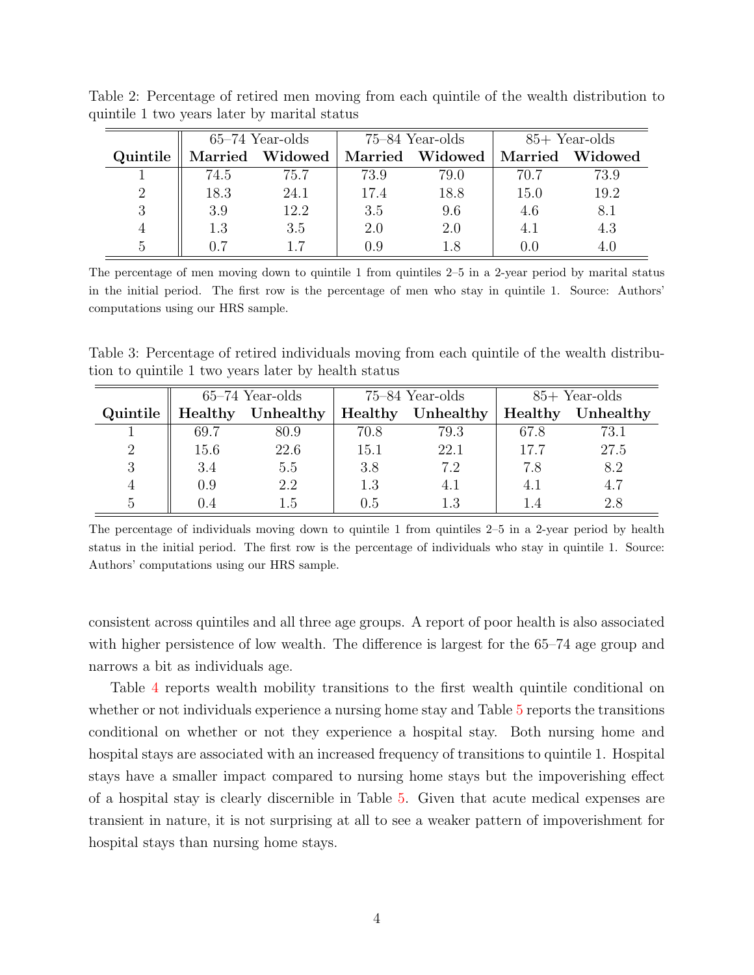|                |      | $65-74$ Year-olds |      | $75 - 84$ Year-olds | $85+$ Year-olds |         |  |
|----------------|------|-------------------|------|---------------------|-----------------|---------|--|
| Quintile       |      | Married Widowed   |      | Married Widowed     | Married         | Widowed |  |
|                | 74.5 | 75.7              | 73.9 | 79.0                | 70.7            | 73.9    |  |
| $\overline{2}$ | 18.3 | 24.1              | 17.4 | 18.8                | 15.0            | 19.2    |  |
| 3              | 3.9  | 12.2              | 3.5  | 9.6                 | 4.6             | 8.1     |  |
| 4              | 1.3  | 3.5               | 2.0  | 2.0                 | 4.1             | 4.3     |  |
| $\overline{5}$ |      | 17                | 0 9  | 1.8                 | (1.0)           |         |  |

<span id="page-46-0"></span>Table 2: Percentage of retired men moving from each quintile of the wealth distribution to quintile 1 two years later by marital status

The percentage of men moving down to quintile 1 from quintiles 2–5 in a 2-year period by marital status in the initial period. The first row is the percentage of men who stay in quintile 1. Source: Authors' computations using our HRS sample.

<span id="page-46-1"></span>Table 3: Percentage of retired individuals moving from each quintile of the wealth distribution to quintile 1 two years later by health status

|                | $65-74$ Year-olds |           |      | $75 - 84$ Year-olds | $85+$ Year-olds |           |  |
|----------------|-------------------|-----------|------|---------------------|-----------------|-----------|--|
| Quintile       | Healthy           | Unhealthy |      | Healthy Unhealthy   | Healthy         | Unhealthy |  |
|                | 69.7              | 80.9      | 70.8 | 79.3                | 67.8            | 73.1      |  |
| 2              | 15.6              | 22.6      | 15.1 | 22.1                | 17.7            | 27.5      |  |
| 3              | 3.4               | 5.5       | 3.8  | 7.2                 | 7.8             | 8.2       |  |
| $\overline{4}$ | 0.9               | 2.2       | 1.3  |                     | 4.1             | 4.7       |  |
| 5              | (0.4)             | 1.5       | 0.5  | 1.3                 | 1.4             | 2.8       |  |

The percentage of individuals moving down to quintile 1 from quintiles 2–5 in a 2-year period by health status in the initial period. The first row is the percentage of individuals who stay in quintile 1. Source: Authors' computations using our HRS sample.

consistent across quintiles and all three age groups. A report of poor health is also associated with higher persistence of low wealth. The difference is largest for the  $65-74$  age group and narrows a bit as individuals age.

Table [4](#page-47-0) reports wealth mobility transitions to the first wealth quintile conditional on whether or not individuals experience a nursing home stay and Table [5](#page-47-1) reports the transitions conditional on whether or not they experience a hospital stay. Both nursing home and hospital stays are associated with an increased frequency of transitions to quintile 1. Hospital stays have a smaller impact compared to nursing home stays but the impoverishing effect of a hospital stay is clearly discernible in Table [5.](#page-47-1) Given that acute medical expenses are transient in nature, it is not surprising at all to see a weaker pattern of impoverishment for hospital stays than nursing home stays.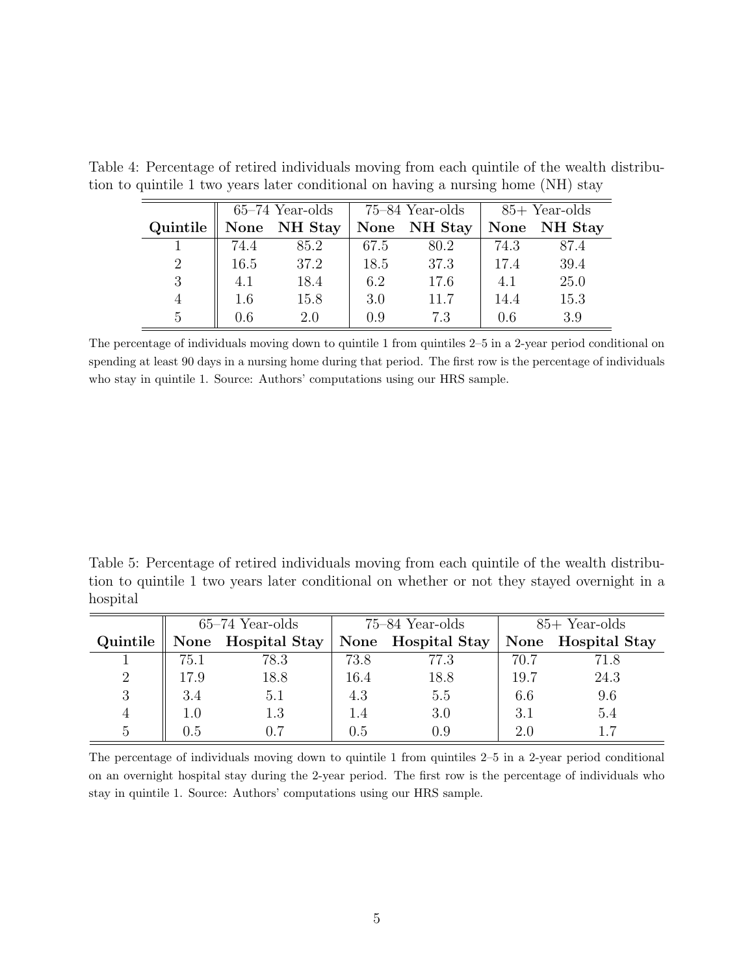|                |      | $65-74$ Year-olds |      | 75–84 Year-olds | $85+$ Year-olds |              |  |
|----------------|------|-------------------|------|-----------------|-----------------|--------------|--|
| Quintile       |      | None NH Stay      |      | None NH Stay    |                 | None NH Stay |  |
|                | 74.4 | 85.2              | 67.5 | 80.2            | 74.3            | 87.4         |  |
| $\overline{2}$ | 16.5 | 37.2              | 18.5 | 37.3            | 17.4            | 39.4         |  |
| 3              | 4.1  | 18.4              | 6.2  | 17.6            | 4.1             | 25.0         |  |
| $\overline{4}$ | 1.6  | 15.8              | 3.0  | 11.7            | 14.4            | 15.3         |  |
| $\overline{5}$ | 0.6  | 2.0               | 0.9  | 7.3             | 0.6             | 3.9          |  |

<span id="page-47-0"></span>Table 4: Percentage of retired individuals moving from each quintile of the wealth distribution to quintile 1 two years later conditional on having a nursing home (NH) stay

The percentage of individuals moving down to quintile 1 from quintiles 2–5 in a 2-year period conditional on spending at least 90 days in a nursing home during that period. The first row is the percentage of individuals who stay in quintile 1. Source: Authors' computations using our HRS sample.

<span id="page-47-1"></span>Table 5: Percentage of retired individuals moving from each quintile of the wealth distribution to quintile 1 two years later conditional on whether or not they stayed overnight in a hospital

|                | $65-74$ Year-olds |                    |      | 75–84 Year-olds    | $85+$ Year-olds |                    |  |
|----------------|-------------------|--------------------|------|--------------------|-----------------|--------------------|--|
| Quintile       |                   | None Hospital Stay |      | None Hospital Stay |                 | None Hospital Stay |  |
|                | 75.1              | 78.3               | 73.8 | 77.3               | 70.7            | 71.8               |  |
| $\overline{2}$ | 17.9              | 18.8               | 16.4 | 18.8               | 19.7            | 24.3               |  |
| 3              | 3.4               | 5.1                | 4.3  | 5.5                | 6.6             | 9.6                |  |
| 4              |                   | 1.3                | 1.4  | 3.0                | 3.1             | 5.4                |  |
| $\overline{5}$ | 0.5               |                    | 0.5  | $\rm 0.9$          | 2.0             |                    |  |

The percentage of individuals moving down to quintile 1 from quintiles 2–5 in a 2-year period conditional on an overnight hospital stay during the 2-year period. The first row is the percentage of individuals who stay in quintile 1. Source: Authors' computations using our HRS sample.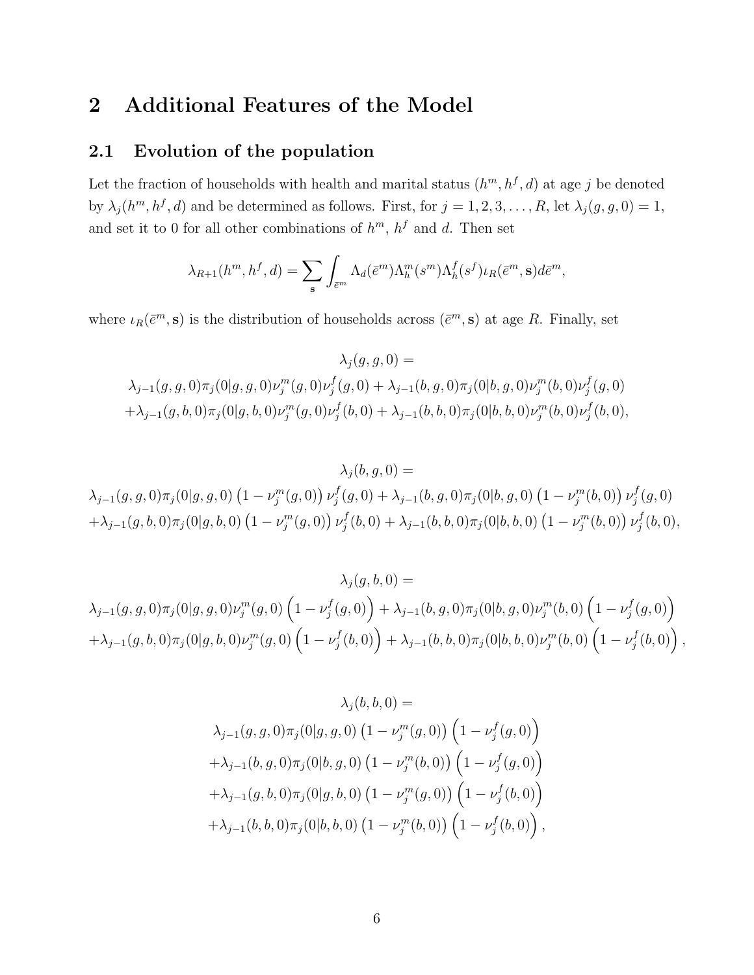# 2 Additional Features of the Model

## 2.1 Evolution of the population

Let the fraction of households with health and marital status  $(h^m, h^f, d)$  at age j be denoted by  $\lambda_j(h^m, h^f, d)$  and be determined as follows. First, for  $j = 1, 2, 3, ..., R$ , let  $\lambda_j(g, g, 0) = 1$ , and set it to 0 for all other combinations of  $h^m$ ,  $h^f$  and d. Then set

$$
\lambda_{R+1}(h^m, h^f, d) = \sum_{\mathbf{s}} \int_{\bar{e}^m} \Lambda_d(\bar{e}^m) \Lambda_h^m(s^m) \Lambda_h^f(s^f) \iota_R(\bar{e}^m, \mathbf{s}) d\bar{e}^m,
$$

where  $\iota_R(\bar{e}^m, \mathbf{s})$  is the distribution of households across  $(\bar{e}^m, \mathbf{s})$  at age R. Finally, set

$$
\lambda_j(g, g, 0) =
$$
\n
$$
\lambda_{j-1}(g, g, 0)\pi_j(0|g, g, 0)\nu_j^m(g, 0)\nu_j^f(g, 0) + \lambda_{j-1}(b, g, 0)\pi_j(0|b, g, 0)\nu_j^m(b, 0)\nu_j^f(g, 0) + \lambda_{j-1}(g, b, 0)\pi_j(0|g, b, 0)\nu_j^m(g, 0)\nu_j^f(b, 0) + \lambda_{j-1}(b, b, 0)\pi_j(0|b, b, 0)\nu_j^m(b, 0)\nu_j^f(b, 0),
$$

 $\lambda_i(b,q,0) =$  $\lambda_{j-1}(g,g,0)\pi_j(0|g,g,0)\left(1-\nu_j^m(g,0)\right)\nu_j^f$  $\psi_j^f(g,0) + \lambda_{j-1}(b,g,0)\pi_j(0|b,g,0) \left(1-\nu_j^m(b,0)\right)\nu_j^f$  $j^f(g,0)$  $+\lambda_{j-1}(g,b,0)\pi_j(0|g,b,0)\left(1-\nu_j^m(g,0)\right)\nu_j^f$  $\lambda_{j}^{f}(b,0)+\lambda_{j-1}(b,b,0)\pi_{j}(0|b,b,0)\left(1-\nu_{j}^{m}(b,0)\right)\nu_{j}^{f}$  $j^I(b,0),$ 

$$
\lambda_j(g, b, 0) =
$$
\n
$$
\lambda_{j-1}(g, g, 0)\pi_j(0|g, g, 0)\nu_j^m(g, 0) \left(1 - \nu_j^f(g, 0)\right) + \lambda_{j-1}(b, g, 0)\pi_j(0|b, g, 0)\nu_j^m(b, 0) \left(1 - \nu_j^f(g, 0)\right)
$$
\n
$$
+ \lambda_{j-1}(g, b, 0)\pi_j(0|g, b, 0)\nu_j^m(g, 0) \left(1 - \nu_j^f(b, 0)\right) + \lambda_{j-1}(b, b, 0)\pi_j(0|b, b, 0)\nu_j^m(b, 0) \left(1 - \nu_j^f(b, 0)\right),
$$

$$
\lambda_j(b, b, 0) =
$$
  
\n
$$
\lambda_{j-1}(g, g, 0)\pi_j(0|g, g, 0) (1 - \nu_j^m(g, 0)) (1 - \nu_j^f(g, 0))
$$
  
\n
$$
+ \lambda_{j-1}(b, g, 0)\pi_j(0|b, g, 0) (1 - \nu_j^m(b, 0)) (1 - \nu_j^f(g, 0))
$$
  
\n
$$
+ \lambda_{j-1}(g, b, 0)\pi_j(0|g, b, 0) (1 - \nu_j^m(g, 0)) (1 - \nu_j^f(b, 0))
$$
  
\n
$$
+ \lambda_{j-1}(b, b, 0)\pi_j(0|b, b, 0) (1 - \nu_j^m(b, 0)) (1 - \nu_j^f(b, 0)),
$$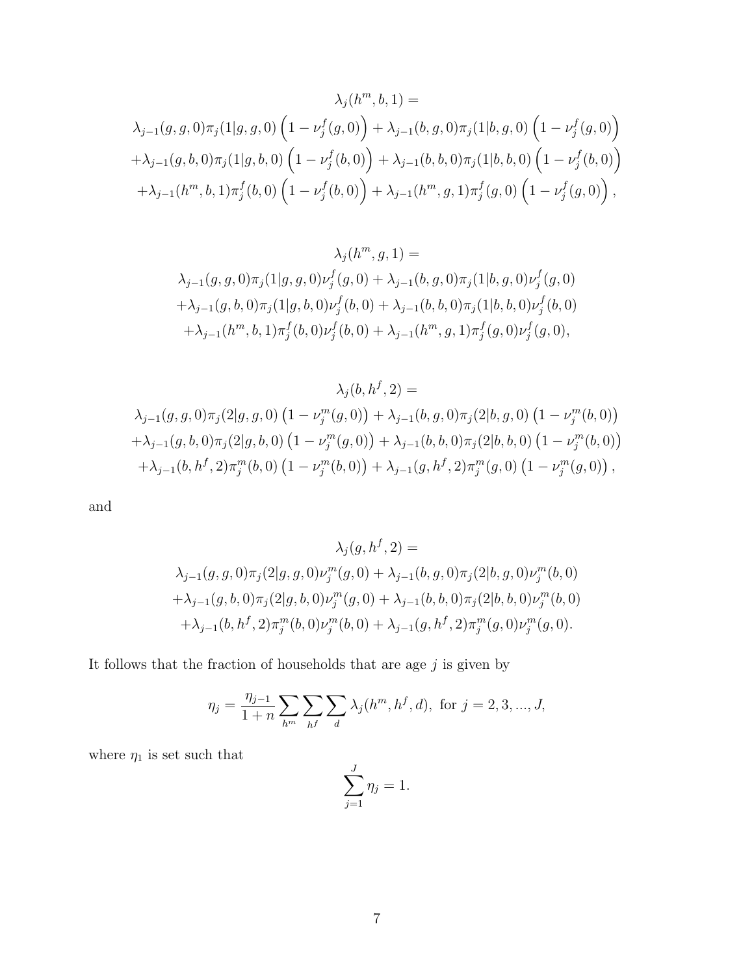$$
\lambda_j(h^m, b, 1) =
$$
\n
$$
\lambda_{j-1}(g, g, 0)\pi_j(1|g, g, 0) \left(1 - \nu_j^f(g, 0)\right) + \lambda_{j-1}(b, g, 0)\pi_j(1|b, g, 0) \left(1 - \nu_j^f(g, 0)\right)
$$
\n
$$
+ \lambda_{j-1}(g, b, 0)\pi_j(1|g, b, 0) \left(1 - \nu_j^f(b, 0)\right) + \lambda_{j-1}(b, b, 0)\pi_j(1|b, b, 0) \left(1 - \nu_j^f(b, 0)\right)
$$
\n
$$
+ \lambda_{j-1}(h^m, b, 1)\pi_j^f(b, 0) \left(1 - \nu_j^f(b, 0)\right) + \lambda_{j-1}(h^m, g, 1)\pi_j^f(g, 0) \left(1 - \nu_j^f(g, 0)\right),
$$

$$
\lambda_j(h^m, g, 1) =
$$
  
\n
$$
\lambda_{j-1}(g, g, 0)\pi_j(1|g, g, 0)\nu_j^f(g, 0) + \lambda_{j-1}(b, g, 0)\pi_j(1|b, g, 0)\nu_j^f(g, 0)
$$
  
\n
$$
+ \lambda_{j-1}(g, b, 0)\pi_j(1|g, b, 0)\nu_j^f(b, 0) + \lambda_{j-1}(b, b, 0)\pi_j(1|b, b, 0)\nu_j^f(b, 0)
$$
  
\n
$$
+ \lambda_{j-1}(h^m, b, 1)\pi_j^f(b, 0)\nu_j^f(b, 0) + \lambda_{j-1}(h^m, g, 1)\pi_j^f(g, 0)\nu_j^f(g, 0),
$$

$$
\lambda_j(b, h^f, 2) =
$$
\n
$$
\lambda_{j-1}(g, g, 0)\pi_j(2|g, g, 0) (1 - \nu_j^m(g, 0)) + \lambda_{j-1}(b, g, 0)\pi_j(2|b, g, 0) (1 - \nu_j^m(b, 0))
$$
\n
$$
+ \lambda_{j-1}(g, b, 0)\pi_j(2|g, b, 0) (1 - \nu_j^m(g, 0)) + \lambda_{j-1}(b, b, 0)\pi_j(2|b, b, 0) (1 - \nu_j^m(b, 0))
$$
\n
$$
+ \lambda_{j-1}(b, h^f, 2)\pi_j^m(b, 0) (1 - \nu_j^m(b, 0)) + \lambda_{j-1}(g, h^f, 2)\pi_j^m(g, 0) (1 - \nu_j^m(g, 0)),
$$

and

$$
\lambda_j(g, h^f, 2) =
$$
  
\n
$$
\lambda_{j-1}(g, g, 0)\pi_j(2|g, g, 0)\nu_j^m(g, 0) + \lambda_{j-1}(b, g, 0)\pi_j(2|b, g, 0)\nu_j^m(b, 0)
$$
  
\n
$$
+ \lambda_{j-1}(g, b, 0)\pi_j(2|g, b, 0)\nu_j^m(g, 0) + \lambda_{j-1}(b, b, 0)\pi_j(2|b, b, 0)\nu_j^m(b, 0)
$$
  
\n
$$
+ \lambda_{j-1}(b, h^f, 2)\pi_j^m(b, 0)\nu_j^m(b, 0) + \lambda_{j-1}(g, h^f, 2)\pi_j^m(g, 0)\nu_j^m(g, 0).
$$

It follows that the fraction of households that are age  $j$  is given by

$$
\eta_j = \frac{\eta_{j-1}}{1+n} \sum_{h^m} \sum_{h^f} \sum_{d} \lambda_j(h^m, h^f, d), \text{ for } j = 2, 3, ..., J,
$$

where  $\eta_1$  is set such that

$$
\sum_{j=1}^J \eta_j = 1.
$$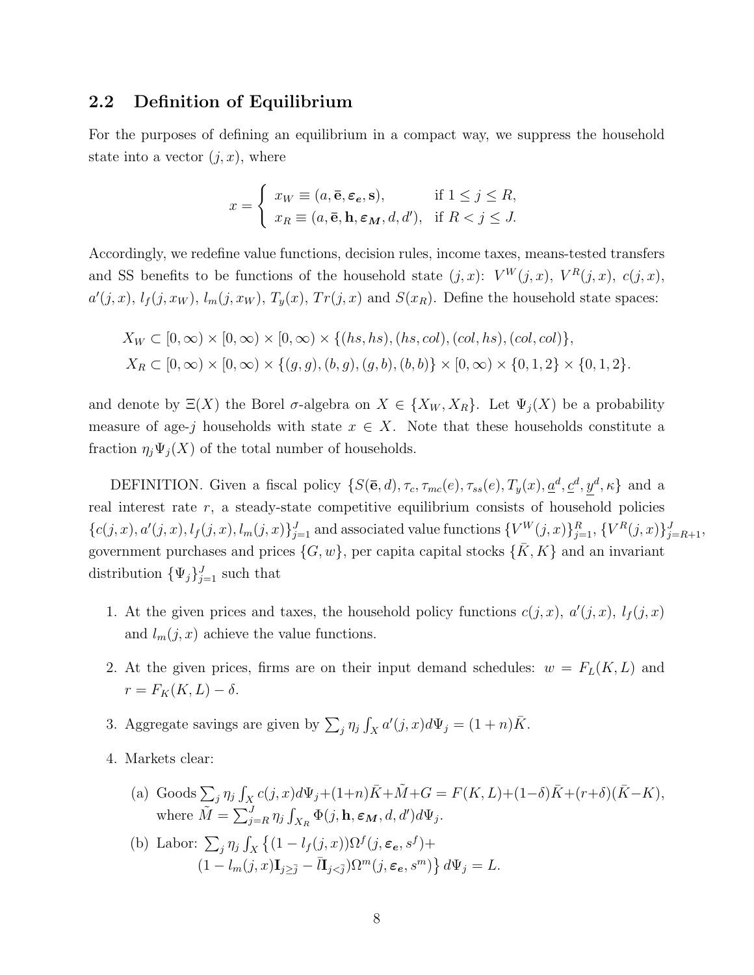### 2.2 Definition of Equilibrium

For the purposes of defining an equilibrium in a compact way, we suppress the household state into a vector  $(j, x)$ , where

$$
x = \begin{cases} x_W \equiv (a, \bar{\mathbf{e}}, \varepsilon_e, \mathbf{s}), & \text{if } 1 \le j \le R, \\ x_R \equiv (a, \bar{\mathbf{e}}, \mathbf{h}, \varepsilon_M, d, d'), & \text{if } R < j \le J. \end{cases}
$$

Accordingly, we redefine value functions, decision rules, income taxes, means-tested transfers and SS benefits to be functions of the household state  $(j, x)$ :  $V^W(j, x)$ ,  $V^R(j, x)$ ,  $c(j, x)$ ,  $a'(j, x), l_f(j, x_W), l_m(j, x_W), T_y(x), T_r(j, x)$  and  $S(x_R)$ . Define the household state spaces:

$$
X_W \subset [0, \infty) \times [0, \infty) \times [0, \infty) \times \{(hs, hs), (hs, col), (col, hs), (col, col)\},
$$
  

$$
X_R \subset [0, \infty) \times [0, \infty) \times \{(g, g), (b, g), (g, b), (b, b)\} \times [0, \infty) \times \{0, 1, 2\} \times \{0, 1, 2\}.
$$

and denote by  $\Xi(X)$  the Borel  $\sigma$ -algebra on  $X \in \{X_W, X_R\}$ . Let  $\Psi_j(X)$  be a probability measure of age-j households with state  $x \in X$ . Note that these households constitute a fraction  $\eta_i \Psi_i(X)$  of the total number of households.

DEFINITION. Given a fiscal policy  $\{S(\bar{\mathbf{e}}, d), \tau_c, \tau_{mc}(e), \tau_{ss}(e), T_y(x), \underline{a}^d, \underline{c}^d, y^d, \kappa\}$  and a real interest rate  $r$ , a steady-state competitive equilibrium consists of household policies  ${c(j,x), a'(j,x), l_f(j,x), l_m(j,x)}_{j=1}^J$  and associated value functions  ${V^W(j,x)}_{j=1}^R$ ,  ${V^R(j,x)}_{j=R+1}^J$ , government purchases and prices  $\{G, w\}$ , per capital stocks  $\{\bar{K}, K\}$  and an invariant distribution  $\{\Psi_j\}_{j=1}^J$  such that

- 1. At the given prices and taxes, the household policy functions  $c(j, x)$ ,  $a'(j, x)$ ,  $l_f(j, x)$ and  $l_m(j, x)$  achieve the value functions.
- 2. At the given prices, firms are on their input demand schedules:  $w = F_L(K, L)$  and  $r = F_K(K, L) - \delta.$
- 3. Aggregate savings are given by  $\sum_j \eta_j \int_X a'(j, x) d\Psi_j = (1 + n)\overline{K}$ .
- 4. Markets clear:

(a) Goods 
$$
\sum_{j} \eta_{j} \int_{X} c(j, x) d\Psi_{j} + (1+n) \bar{K} + \tilde{M} + G = F(K, L) + (1-\delta) \bar{K} + (r+\delta)(\bar{K} - K),
$$
  
\nwhere  $\tilde{M} = \sum_{j=R}^{J} \eta_{j} \int_{X_{R}} \Phi(j, \mathbf{h}, \varepsilon_{M}, d, d') d\Psi_{j}.$   
\n(b) Labor:  $\sum_{j} \eta_{j} \int_{X} \{ (1 - l_{f}(j, x)) \Omega^{f}(j, \varepsilon_{e}, s^{f}) + (1 - l_{m}(j, x) \mathbf{I}_{j \geq \bar{j}} - \bar{l} \mathbf{I}_{j < \bar{j}}) \Omega^{m}(j, \varepsilon_{e}, s^{m}) \} d\Psi_{j} = L.$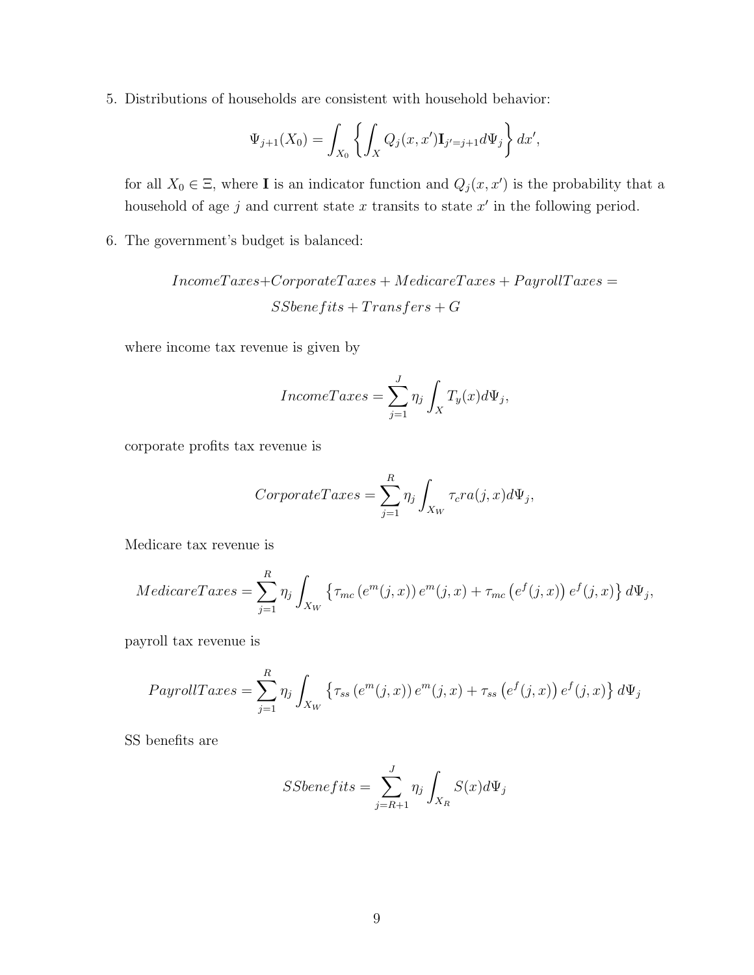5. Distributions of households are consistent with household behavior:

$$
\Psi_{j+1}(X_0) = \int_{X_0} \left\{ \int_X Q_j(x, x') \mathbf{I}_{j'=j+1} d\Psi_j \right\} dx',
$$

for all  $X_0 \in \Xi$ , where **I** is an indicator function and  $Q_j(x, x')$  is the probability that a household of age j and current state x transits to state  $x'$  in the following period.

6. The government's budget is balanced:

 $Income Taxes+Corporte Taxes + Medicine Taxes + PayrollTaxes =$  $SS benefits + Transfers + G$ 

where income tax revenue is given by

$$
IncomeTaxes = \sum_{j=1}^{J} \eta_j \int_X T_y(x) d\Psi_j,
$$

corporate profits tax revenue is

$$
CorporateTaxes = \sum_{j=1}^{R} \eta_j \int_{X_W} \tau_c r a(j, x) d\Psi_j,
$$

Medicare tax revenue is

$$
MedicareTaxes = \sum_{j=1}^{R} \eta_j \int_{X_W} \left\{ \tau_{mc} \left( e^m(j,x) \right) e^m(j,x) + \tau_{mc} \left( e^f(j,x) \right) e^f(j,x) \right\} d\Psi_j,
$$

payroll tax revenue is

$$
PayrollTaxes = \sum_{j=1}^{R} \eta_j \int_{X_W} \left\{ \tau_{ss} \left( e^m(j,x) \right) e^m(j,x) + \tau_{ss} \left( e^f(j,x) \right) e^f(j,x) \right\} d\Psi_j
$$

SS benefits are

$$
SSbenefits = \sum_{j=R+1}^{J} \eta_j \int_{X_R} S(x) d\Psi_j
$$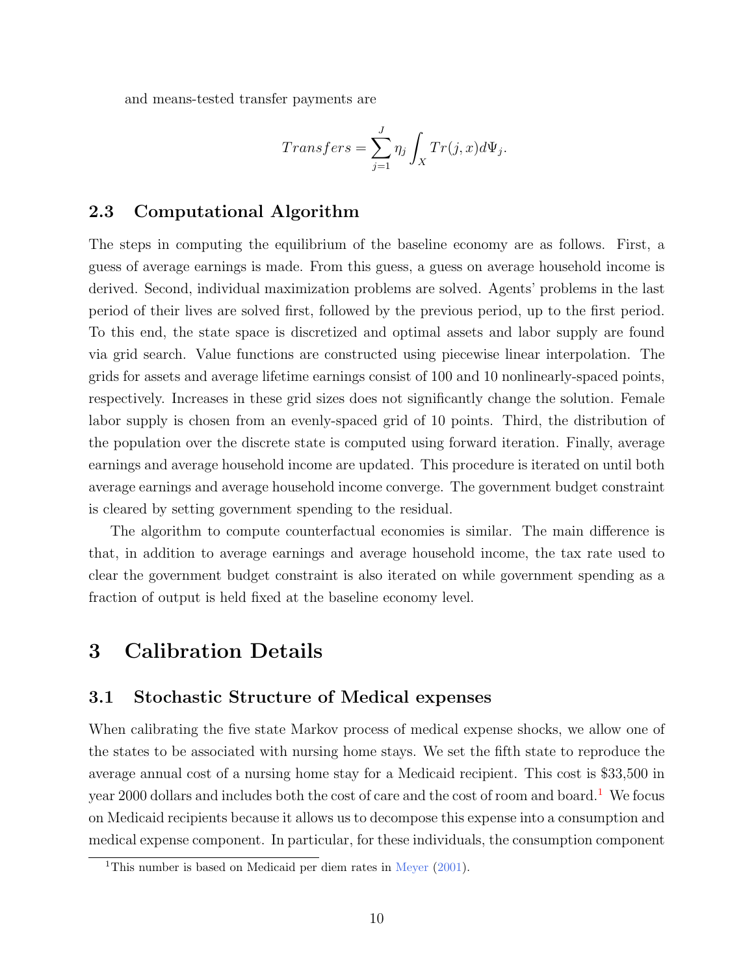and means-tested transfer payments are

$$
Transfers = \sum_{j=1}^{J} \eta_j \int_X Tr(j, x) d\Psi_j.
$$

## 2.3 Computational Algorithm

The steps in computing the equilibrium of the baseline economy are as follows. First, a guess of average earnings is made. From this guess, a guess on average household income is derived. Second, individual maximization problems are solved. Agents' problems in the last period of their lives are solved first, followed by the previous period, up to the first period. To this end, the state space is discretized and optimal assets and labor supply are found via grid search. Value functions are constructed using piecewise linear interpolation. The grids for assets and average lifetime earnings consist of 100 and 10 nonlinearly-spaced points, respectively. Increases in these grid sizes does not significantly change the solution. Female labor supply is chosen from an evenly-spaced grid of 10 points. Third, the distribution of the population over the discrete state is computed using forward iteration. Finally, average earnings and average household income are updated. This procedure is iterated on until both average earnings and average household income converge. The government budget constraint is cleared by setting government spending to the residual.

The algorithm to compute counterfactual economies is similar. The main difference is that, in addition to average earnings and average household income, the tax rate used to clear the government budget constraint is also iterated on while government spending as a fraction of output is held fixed at the baseline economy level.

# 3 Calibration Details

## 3.1 Stochastic Structure of Medical expenses

When calibrating the five state Markov process of medical expense shocks, we allow one of the states to be associated with nursing home stays. We set the fifth state to reproduce the average annual cost of a nursing home stay for a Medicaid recipient. This cost is \$33,500 in year 2000 dollars and includes both the cost of care and the cost of room and board.<sup>[1](#page-52-0)</sup> We focus on Medicaid recipients because it allows us to decompose this expense into a consumption and medical expense component. In particular, for these individuals, the consumption component

<span id="page-52-0"></span><sup>1</sup>This number is based on Medicaid per diem rates in [Meyer](#page-64-0) [\(2001\)](#page-64-0).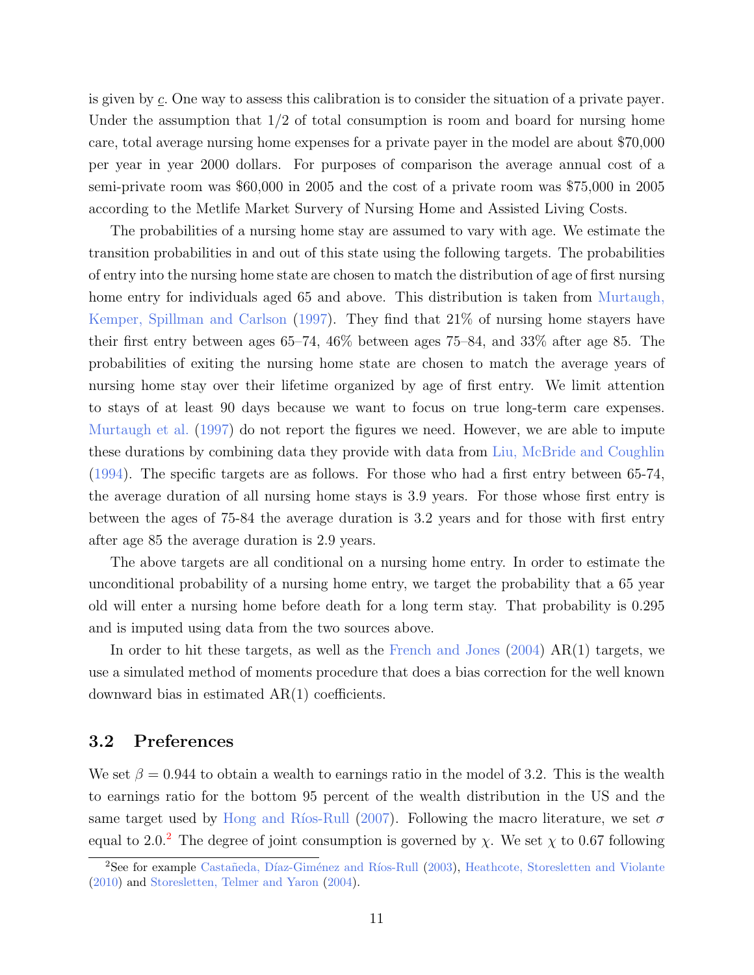is given by c. One way to assess this calibration is to consider the situation of a private payer. Under the assumption that  $1/2$  of total consumption is room and board for nursing home care, total average nursing home expenses for a private payer in the model are about \$70,000 per year in year 2000 dollars. For purposes of comparison the average annual cost of a semi-private room was \$60,000 in 2005 and the cost of a private room was \$75,000 in 2005 according to the Metlife Market Survery of Nursing Home and Assisted Living Costs.

The probabilities of a nursing home stay are assumed to vary with age. We estimate the transition probabilities in and out of this state using the following targets. The probabilities of entry into the nursing home state are chosen to match the distribution of age of first nursing home entry for individuals aged 65 and above. This distribution is taken from [Murtaugh,](#page-64-1) [Kemper, Spillman and Carlson](#page-64-1) [\(1997\)](#page-64-1). They find that 21% of nursing home stayers have their first entry between ages 65–74, 46% between ages 75–84, and 33% after age 85. The probabilities of exiting the nursing home state are chosen to match the average years of nursing home stay over their lifetime organized by age of first entry. We limit attention to stays of at least 90 days because we want to focus on true long-term care expenses. [Murtaugh et al.](#page-64-1) [\(1997\)](#page-64-1) do not report the figures we need. However, we are able to impute these durations by combining data they provide with data from [Liu, McBride and Coughlin](#page-63-1) [\(1994\)](#page-63-1). The specific targets are as follows. For those who had a first entry between 65-74, the average duration of all nursing home stays is 3.9 years. For those whose first entry is between the ages of 75-84 the average duration is 3.2 years and for those with first entry after age 85 the average duration is 2.9 years.

The above targets are all conditional on a nursing home entry. In order to estimate the unconditional probability of a nursing home entry, we target the probability that a 65 year old will enter a nursing home before death for a long term stay. That probability is 0.295 and is imputed using data from the two sources above.

In order to hit these targets, as well as the [French and Jones](#page-63-2) [\(2004\)](#page-63-2) AR(1) targets, we use a simulated method of moments procedure that does a bias correction for the well known downward bias in estimated AR(1) coefficients.

## 3.2 Preferences

We set  $\beta = 0.944$  to obtain a wealth to earnings ratio in the model of 3.2. This is the wealth to earnings ratio for the bottom 95 percent of the wealth distribution in the US and the same target used by Hong and Ríos-Rull [\(2007\)](#page-63-3). Following the macro literature, we set  $\sigma$ equal to [2](#page-53-0).0.<sup>2</sup> The degree of joint consumption is governed by  $\chi$ . We set  $\chi$  to 0.67 following

<span id="page-53-0"></span><sup>&</sup>lt;sup>2</sup>See for example Castañeda, Díaz-Giménez and Ríos-Rull [\(2003\)](#page-63-4), [Heathcote, Storesletten and Violante](#page-63-5) [\(2010\)](#page-63-5) and [Storesletten, Telmer and Yaron](#page-64-2) [\(2004\)](#page-64-2).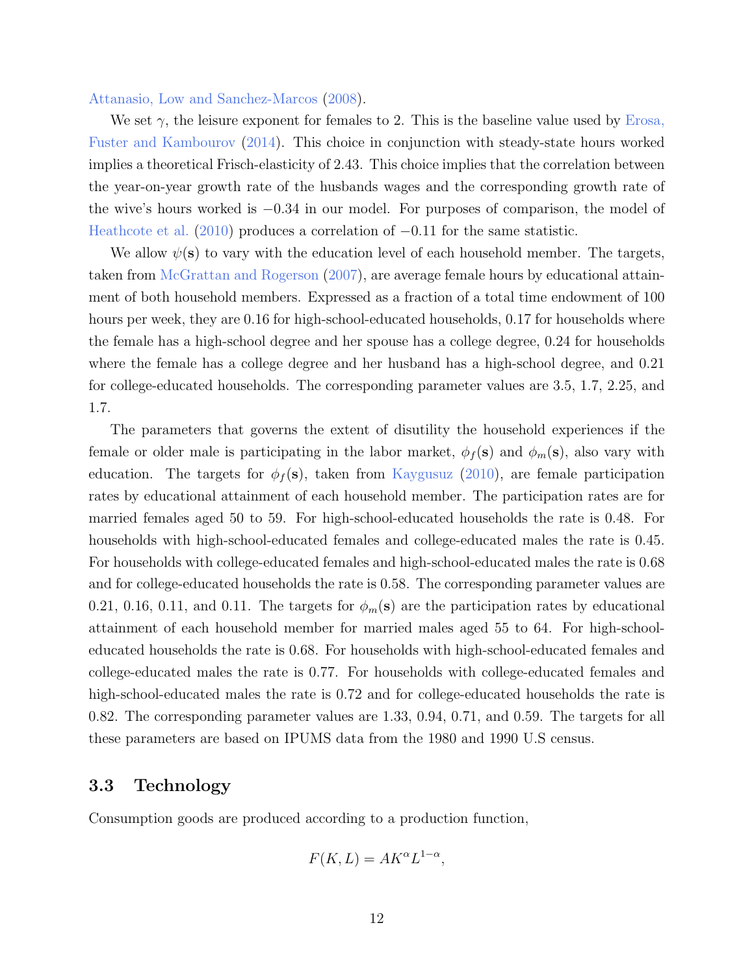[Attanasio, Low and Sanchez-Marcos](#page-63-6) [\(2008\)](#page-63-6).

We set  $\gamma$ , the leisure exponent for females to 2. This is the baseline value used by [Erosa,](#page-63-7) [Fuster and Kambourov](#page-63-7) [\(2014\)](#page-63-7). This choice in conjunction with steady-state hours worked implies a theoretical Frisch-elasticity of 2.43. This choice implies that the correlation between the year-on-year growth rate of the husbands wages and the corresponding growth rate of the wive's hours worked is −0.34 in our model. For purposes of comparison, the model of [Heathcote et al.](#page-63-5) [\(2010\)](#page-63-5) produces a correlation of  $-0.11$  for the same statistic.

We allow  $\psi(\mathbf{s})$  to vary with the education level of each household member. The targets, taken from [McGrattan and Rogerson](#page-64-3) [\(2007\)](#page-64-3), are average female hours by educational attainment of both household members. Expressed as a fraction of a total time endowment of 100 hours per week, they are 0.16 for high-school-educated households, 0.17 for households where the female has a high-school degree and her spouse has a college degree, 0.24 for households where the female has a college degree and her husband has a high-school degree, and 0.21 for college-educated households. The corresponding parameter values are 3.5, 1.7, 2.25, and 1.7.

The parameters that governs the extent of disutility the household experiences if the female or older male is participating in the labor market,  $\phi_f(s)$  and  $\phi_m(s)$ , also vary with education. The targets for  $\phi_f(s)$ , taken from [Kaygusuz](#page-63-8) [\(2010\)](#page-63-8), are female participation rates by educational attainment of each household member. The participation rates are for married females aged 50 to 59. For high-school-educated households the rate is 0.48. For households with high-school-educated females and college-educated males the rate is 0.45. For households with college-educated females and high-school-educated males the rate is 0.68 and for college-educated households the rate is 0.58. The corresponding parameter values are 0.21, 0.16, 0.11, and 0.11. The targets for  $\phi_m(s)$  are the participation rates by educational attainment of each household member for married males aged 55 to 64. For high-schooleducated households the rate is 0.68. For households with high-school-educated females and college-educated males the rate is 0.77. For households with college-educated females and high-school-educated males the rate is 0.72 and for college-educated households the rate is 0.82. The corresponding parameter values are 1.33, 0.94, 0.71, and 0.59. The targets for all these parameters are based on IPUMS data from the 1980 and 1990 U.S census.

#### 3.3 Technology

Consumption goods are produced according to a production function,

$$
F(K, L) = AK^{\alpha}L^{1-\alpha},
$$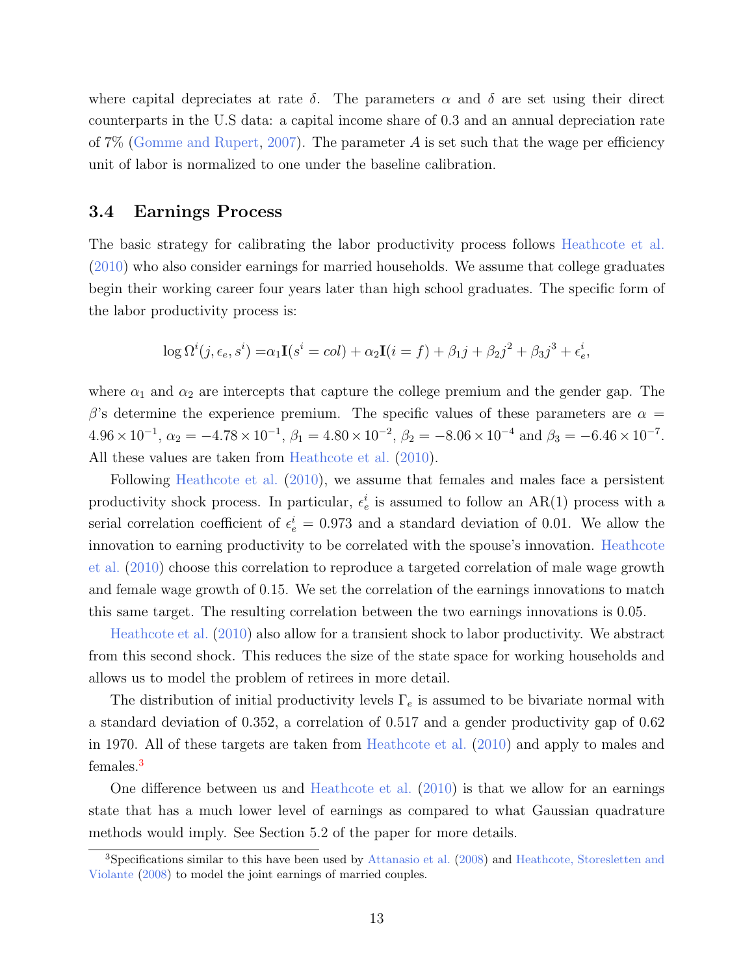where capital depreciates at rate  $\delta$ . The parameters  $\alpha$  and  $\delta$  are set using their direct counterparts in the U.S data: a capital income share of 0.3 and an annual depreciation rate of 7% [\(Gomme and Rupert,](#page-63-9) [2007\)](#page-63-9). The parameter A is set such that the wage per efficiency unit of labor is normalized to one under the baseline calibration.

### 3.4 Earnings Process

The basic strategy for calibrating the labor productivity process follows [Heathcote et al.](#page-63-5) [\(2010\)](#page-63-5) who also consider earnings for married households. We assume that college graduates begin their working career four years later than high school graduates. The specific form of the labor productivity process is:

$$
\log \Omega^{i}(j, \epsilon_e, s^i) = \alpha_1 \mathbf{I}(s^i = col) + \alpha_2 \mathbf{I}(i = f) + \beta_1 j + \beta_2 j^2 + \beta_3 j^3 + \epsilon_e^{i},
$$

where  $\alpha_1$  and  $\alpha_2$  are intercepts that capture the college premium and the gender gap. The β's determine the experience premium. The specific values of these parameters are  $\alpha =$  $4.96 \times 10^{-1}$ ,  $\alpha_2 = -4.78 \times 10^{-1}$ ,  $\beta_1 = 4.80 \times 10^{-2}$ ,  $\beta_2 = -8.06 \times 10^{-4}$  and  $\beta_3 = -6.46 \times 10^{-7}$ . All these values are taken from [Heathcote et al.](#page-63-5) [\(2010\)](#page-63-5).

Following [Heathcote et al.](#page-63-5) [\(2010\)](#page-63-5), we assume that females and males face a persistent productivity shock process. In particular,  $\epsilon_e^i$  is assumed to follow an AR(1) process with a serial correlation coefficient of  $\epsilon_e^i = 0.973$  and a standard deviation of 0.01. We allow the innovation to earning productivity to be correlated with the spouse's innovation. [Heathcote](#page-63-5) [et al.](#page-63-5) [\(2010\)](#page-63-5) choose this correlation to reproduce a targeted correlation of male wage growth and female wage growth of 0.15. We set the correlation of the earnings innovations to match this same target. The resulting correlation between the two earnings innovations is 0.05.

[Heathcote et al.](#page-63-5) [\(2010\)](#page-63-5) also allow for a transient shock to labor productivity. We abstract from this second shock. This reduces the size of the state space for working households and allows us to model the problem of retirees in more detail.

The distribution of initial productivity levels  $\Gamma_e$  is assumed to be bivariate normal with a standard deviation of 0.352, a correlation of 0.517 and a gender productivity gap of 0.62 in 1970. All of these targets are taken from [Heathcote et al.](#page-63-5) [\(2010\)](#page-63-5) and apply to males and females.[3](#page-55-0)

One difference between us and [Heathcote et al.](#page-63-5) [\(2010\)](#page-63-5) is that we allow for an earnings state that has a much lower level of earnings as compared to what Gaussian quadrature methods would imply. See Section 5.2 of the paper for more details.

<span id="page-55-0"></span><sup>3</sup>Specifications similar to this have been used by [Attanasio et al.](#page-63-6) [\(2008\)](#page-63-6) and [Heathcote, Storesletten and](#page-63-10) [Violante](#page-63-10) [\(2008\)](#page-63-10) to model the joint earnings of married couples.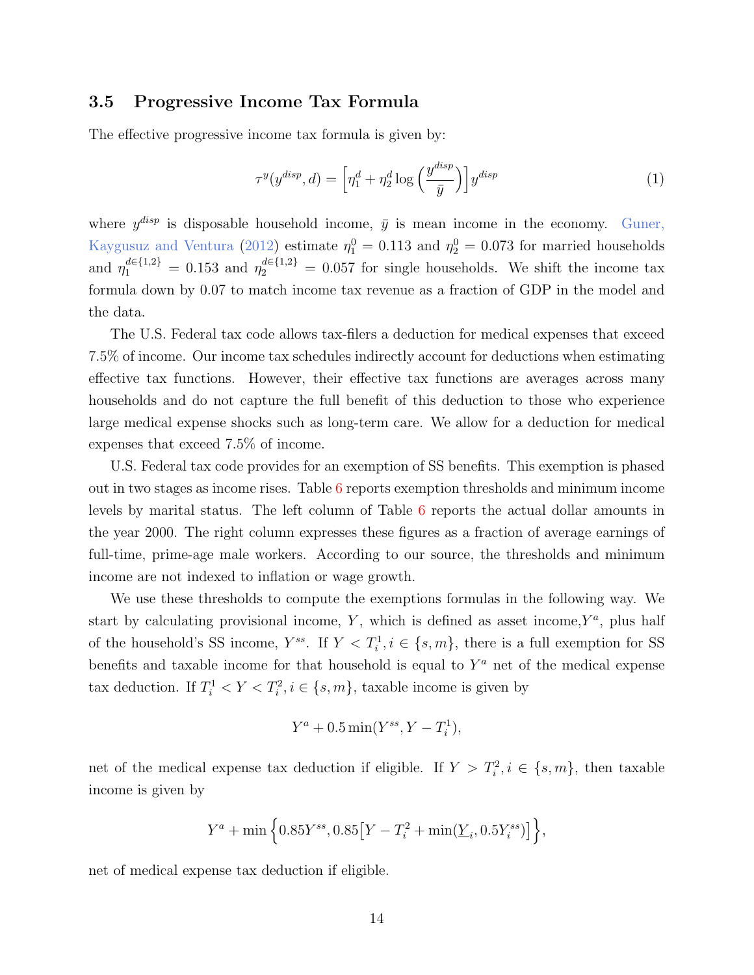#### 3.5 Progressive Income Tax Formula

The effective progressive income tax formula is given by:

$$
\tau^{y}(y^{disp}, d) = \left[\eta_1^d + \eta_2^d \log\left(\frac{y^{disp}}{\bar{y}}\right)\right] y^{disp} \tag{1}
$$

where  $y^{disp}$  is disposable household income,  $\bar{y}$  is mean income in the economy. [Guner,](#page-63-11) [Kaygusuz and Ventura](#page-63-11) [\(2012\)](#page-63-11) estimate  $\eta_1^0 = 0.113$  and  $\eta_2^0 = 0.073$  for married households and  $\eta_1^{d \in \{1,2\}} = 0.153$  and  $\eta_2^{d \in \{1,2\}} = 0.057$  for single households. We shift the income tax formula down by 0.07 to match income tax revenue as a fraction of GDP in the model and the data.

The U.S. Federal tax code allows tax-filers a deduction for medical expenses that exceed 7.5% of income. Our income tax schedules indirectly account for deductions when estimating effective tax functions. However, their effective tax functions are averages across many households and do not capture the full benefit of this deduction to those who experience large medical expense shocks such as long-term care. We allow for a deduction for medical expenses that exceed 7.5% of income.

U.S. Federal tax code provides for an exemption of SS benefits. This exemption is phased out in two stages as income rises. Table [6](#page-57-0) reports exemption thresholds and minimum income levels by marital status. The left column of Table [6](#page-57-0) reports the actual dollar amounts in the year 2000. The right column expresses these figures as a fraction of average earnings of full-time, prime-age male workers. According to our source, the thresholds and minimum income are not indexed to inflation or wage growth.

We use these thresholds to compute the exemptions formulas in the following way. We start by calculating provisional income, Y, which is defined as asset income,  $Y^a$ , plus half of the household's SS income,  $Y^{ss}$ . If  $Y < T_i^1, i \in \{s, m\}$ , there is a full exemption for SS benefits and taxable income for that household is equal to  $Y^a$  net of the medical expense tax deduction. If  $T_i^1 < Y < T_i^2$ ,  $i \in \{s, m\}$ , taxable income is given by

$$
Y^a + 0.5 \min(Y^{ss}, Y - T_i^1),
$$

net of the medical expense tax deduction if eligible. If  $Y > T_i^2, i \in \{s, m\}$ , then taxable income is given by

$$
Y^a + \min\Big\{ 0.85Y^{ss}, 0.85\big[Y - T_i^2 + \min(\underline{Y}_i, 0.5Y_i^{ss})\big]\Big\},\,
$$

net of medical expense tax deduction if eligible.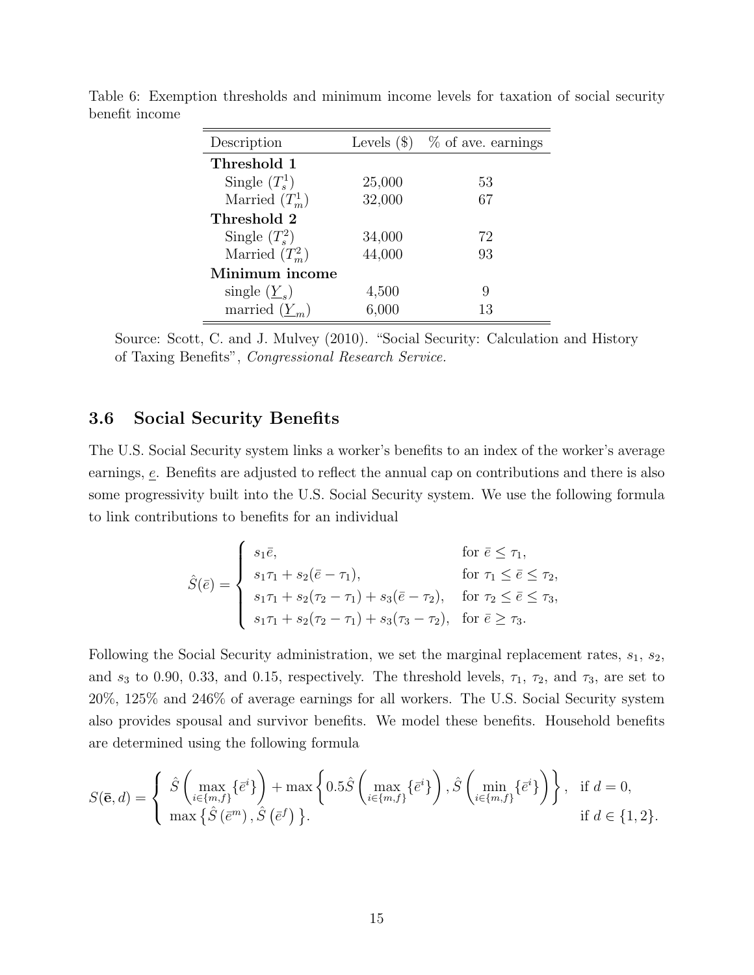| Description                |        | Levels $(\$)$ % of ave. earnings |
|----------------------------|--------|----------------------------------|
| Threshold 1                |        |                                  |
| Single $(T_s^1)$           | 25,000 | 53                               |
| Married $(T_m^1)$          | 32,000 | 67                               |
| Threshold 2                |        |                                  |
| Single $(T_{\rm s}^2)$     | 34,000 | 72                               |
| Married $(T_m^2)$          | 44,000 | 93                               |
| Minimum income             |        |                                  |
| single $(\underline{Y}_s)$ | 4,500  | 9                                |
| married $(Y_m)$            | 6,000  | 13                               |

<span id="page-57-0"></span>Table 6: Exemption thresholds and minimum income levels for taxation of social security benefit income

Source: Scott, C. and J. Mulvey (2010). "Social Security: Calculation and History of Taxing Benefits", Congressional Research Service.

## 3.6 Social Security Benefits

The U.S. Social Security system links a worker's benefits to an index of the worker's average earnings,  $e$ . Benefits are adjusted to reflect the annual cap on contributions and there is also some progressivity built into the U.S. Social Security system. We use the following formula to link contributions to benefits for an individual

$$
\hat{S}(\bar{e}) = \begin{cases}\ns_1 \bar{e}, & \text{for } \bar{e} \leq \tau_1, \\
s_1 \tau_1 + s_2 (\bar{e} - \tau_1), & \text{for } \tau_1 \leq \bar{e} \leq \tau_2, \\
s_1 \tau_1 + s_2 (\tau_2 - \tau_1) + s_3 (\bar{e} - \tau_2), & \text{for } \tau_2 \leq \bar{e} \leq \tau_3, \\
s_1 \tau_1 + s_2 (\tau_2 - \tau_1) + s_3 (\tau_3 - \tau_2), & \text{for } \bar{e} \geq \tau_3.\n\end{cases}
$$

Following the Social Security administration, we set the marginal replacement rates,  $s_1$ ,  $s_2$ , and  $s_3$  to 0.90, 0.33, and 0.15, respectively. The threshold levels,  $\tau_1$ ,  $\tau_2$ , and  $\tau_3$ , are set to 20%, 125% and 246% of average earnings for all workers. The U.S. Social Security system also provides spousal and survivor benefits. We model these benefits. Household benefits are determined using the following formula

$$
S(\bar{\mathbf{e}}, d) = \begin{cases} \hat{S} \left( \max_{i \in \{m, f\}} \{\bar{e}^i\} \right) + \max \left\{ 0.5 \hat{S} \left( \max_{i \in \{m, f\}} \{\bar{e}^i\} \right), \hat{S} \left( \min_{i \in \{m, f\}} \{\bar{e}^i\} \right) \right\}, & \text{if } d = 0, \\ \max \left\{ \hat{S} \left( \bar{e}^m \right), \hat{S} \left( \bar{e}^f \right) \right\}. & \text{if } d \in \{1, 2\}. \end{cases}
$$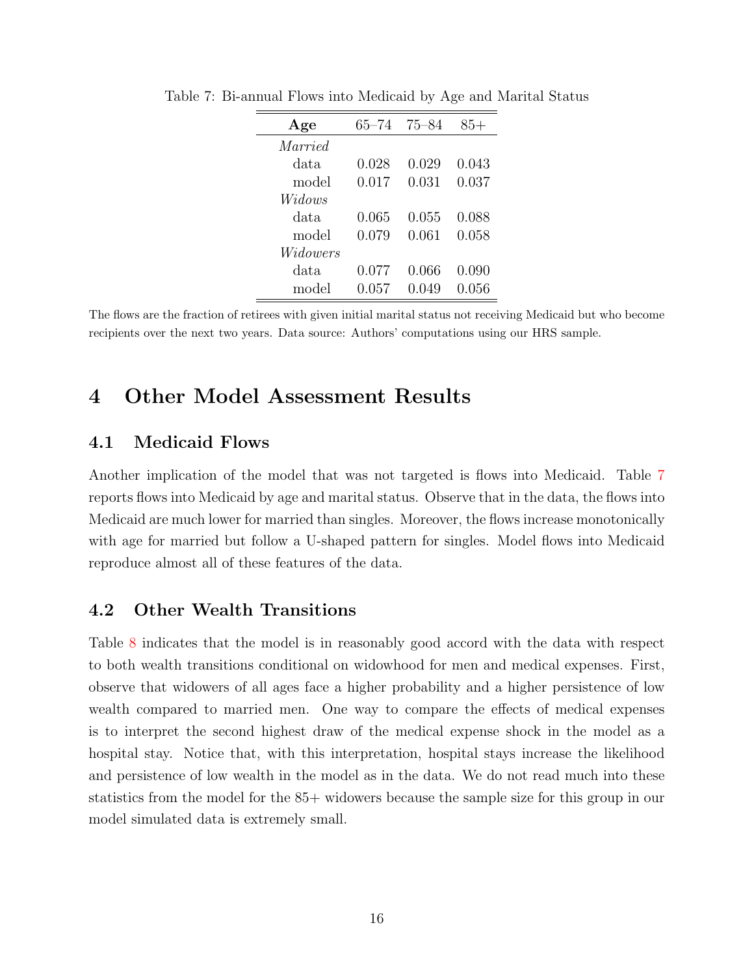| Age      | 65–74 | 75–84 | $85+$ |
|----------|-------|-------|-------|
| Married  |       |       |       |
| data     | 0.028 | 0.029 | 0.043 |
| model    | 0.017 | 0.031 | 0.037 |
| Widows   |       |       |       |
| data     | 0.065 | 0.055 | 0.088 |
| model    | 0.079 | 0.061 | 0.058 |
| Widowers |       |       |       |
| data     | 0.077 | 0.066 | 0.090 |
| model    | 0.057 | 0.049 | 0.056 |

<span id="page-58-0"></span>Table 7: Bi-annual Flows into Medicaid by Age and Marital Status

The flows are the fraction of retirees with given initial marital status not receiving Medicaid but who become recipients over the next two years. Data source: Authors' computations using our HRS sample.

# 4 Other Model Assessment Results

## 4.1 Medicaid Flows

Another implication of the model that was not targeted is flows into Medicaid. Table [7](#page-58-0) reports flows into Medicaid by age and marital status. Observe that in the data, the flows into Medicaid are much lower for married than singles. Moreover, the flows increase monotonically with age for married but follow a U-shaped pattern for singles. Model flows into Medicaid reproduce almost all of these features of the data.

## 4.2 Other Wealth Transitions

Table [8](#page-59-0) indicates that the model is in reasonably good accord with the data with respect to both wealth transitions conditional on widowhood for men and medical expenses. First, observe that widowers of all ages face a higher probability and a higher persistence of low wealth compared to married men. One way to compare the effects of medical expenses is to interpret the second highest draw of the medical expense shock in the model as a hospital stay. Notice that, with this interpretation, hospital stays increase the likelihood and persistence of low wealth in the model as in the data. We do not read much into these statistics from the model for the 85+ widowers because the sample size for this group in our model simulated data is extremely small.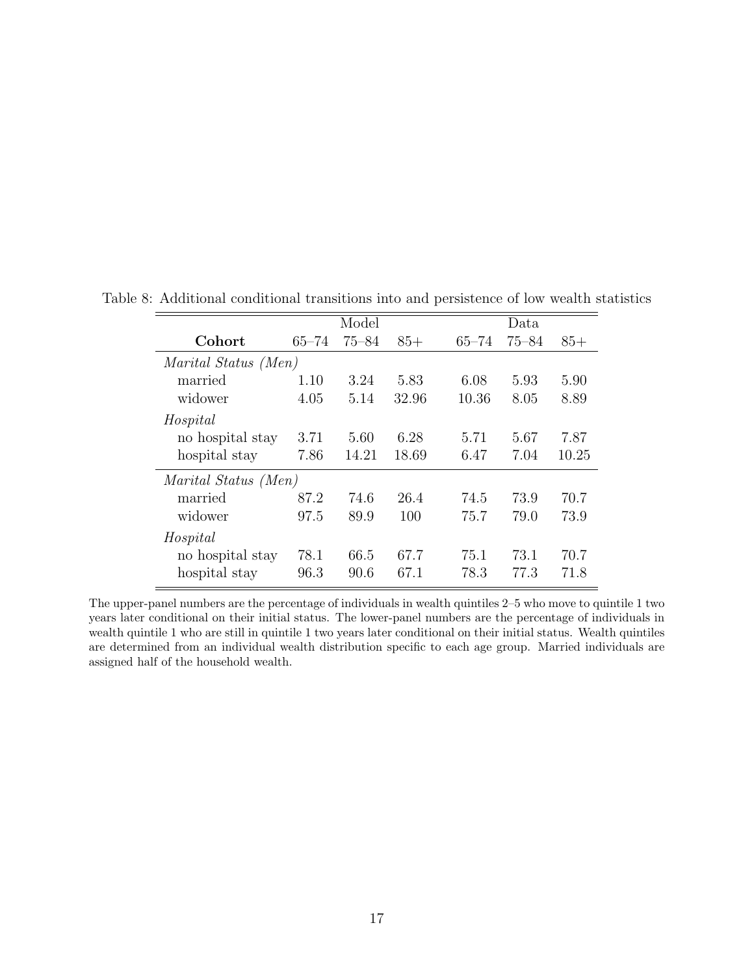|                      |           | Model     |       | Data      |       |       |  |
|----------------------|-----------|-----------|-------|-----------|-------|-------|--|
| Cohort               | $65 - 74$ | $75 - 84$ | $85+$ | $65 - 74$ | 75–84 | $85+$ |  |
| Marital Status (Men) |           |           |       |           |       |       |  |
| married              | 1.10      | 3.24      | 5.83  | 6.08      | 5.93  | 5.90  |  |
| widower              | 4.05      | 5.14      | 32.96 | 10.36     | 8.05  | 8.89  |  |
| Hospital             |           |           |       |           |       |       |  |
| no hospital stay     | 3.71      | 5.60      | 6.28  | 5.71      | 5.67  | 7.87  |  |
| hospital stay        | 7.86      | 14.21     | 18.69 | 6.47      | 7.04  | 10.25 |  |
| Marital Status (Men) |           |           |       |           |       |       |  |
| married              | 87.2      | 74.6      | 26.4  | 74.5      | 73.9  | 70.7  |  |
| widower              | 97.5      | 89.9      | 100   | 75.7      | 79.0  | 73.9  |  |
| Hospital             |           |           |       |           |       |       |  |
| no hospital stay     | 78.1      | 66.5      | 67.7  | 75.1      | 73.1  | 70.7  |  |
| hospital stay        | 96.3      | 90.6      | 67.1  | 78.3      | 77.3  | 71.8  |  |

<span id="page-59-0"></span>Table 8: Additional conditional transitions into and persistence of low wealth statistics

The upper-panel numbers are the percentage of individuals in wealth quintiles 2–5 who move to quintile 1 two years later conditional on their initial status. The lower-panel numbers are the percentage of individuals in wealth quintile 1 who are still in quintile 1 two years later conditional on their initial status. Wealth quintiles are determined from an individual wealth distribution specific to each age group. Married individuals are assigned half of the household wealth.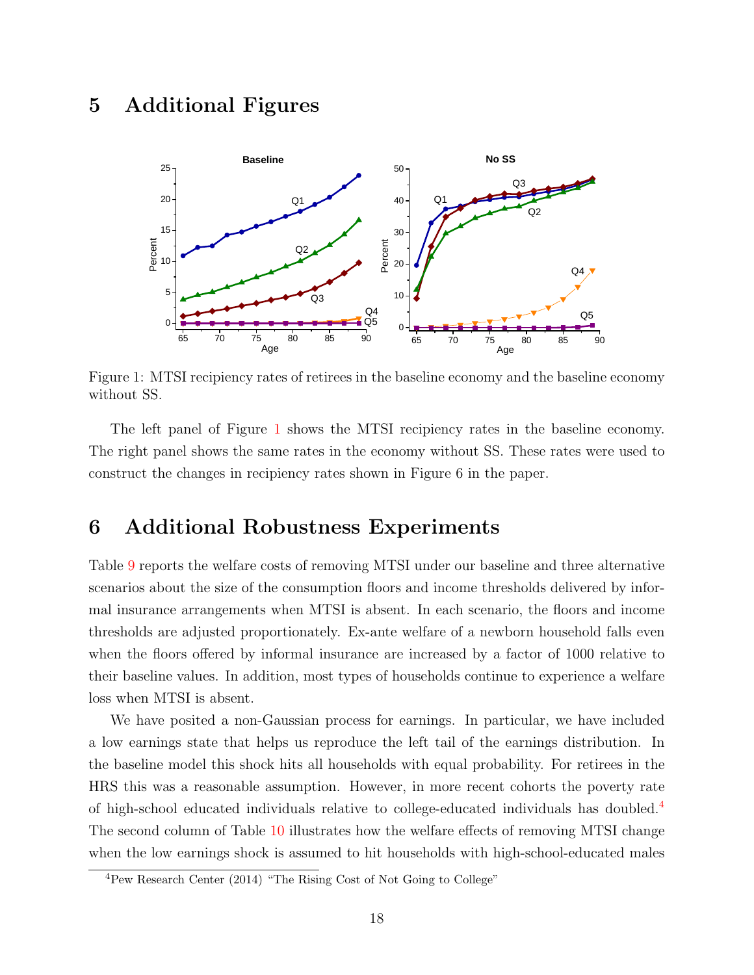# 5 Additional Figures

<span id="page-60-0"></span>

Figure 1: MTSI recipiency rates of retirees in the baseline economy and the baseline economy without SS.

The left panel of Figure [1](#page-60-0) shows the MTSI recipiency rates in the baseline economy. The right panel shows the same rates in the economy without SS. These rates were used to construct the changes in recipiency rates shown in Figure 6 in the paper.

# 6 Additional Robustness Experiments

Table [9](#page-61-0) reports the welfare costs of removing MTSI under our baseline and three alternative scenarios about the size of the consumption floors and income thresholds delivered by informal insurance arrangements when MTSI is absent. In each scenario, the floors and income thresholds are adjusted proportionately. Ex-ante welfare of a newborn household falls even when the floors offered by informal insurance are increased by a factor of 1000 relative to their baseline values. In addition, most types of households continue to experience a welfare loss when MTSI is absent.

We have posited a non-Gaussian process for earnings. In particular, we have included a low earnings state that helps us reproduce the left tail of the earnings distribution. In the baseline model this shock hits all households with equal probability. For retirees in the HRS this was a reasonable assumption. However, in more recent cohorts the poverty rate of high-school educated individuals relative to college-educated individuals has doubled.[4](#page-60-1) The second column of Table [10](#page-61-1) illustrates how the welfare effects of removing MTSI change when the low earnings shock is assumed to hit households with high-school-educated males

<span id="page-60-1"></span><sup>4</sup>Pew Research Center (2014) "The Rising Cost of Not Going to College"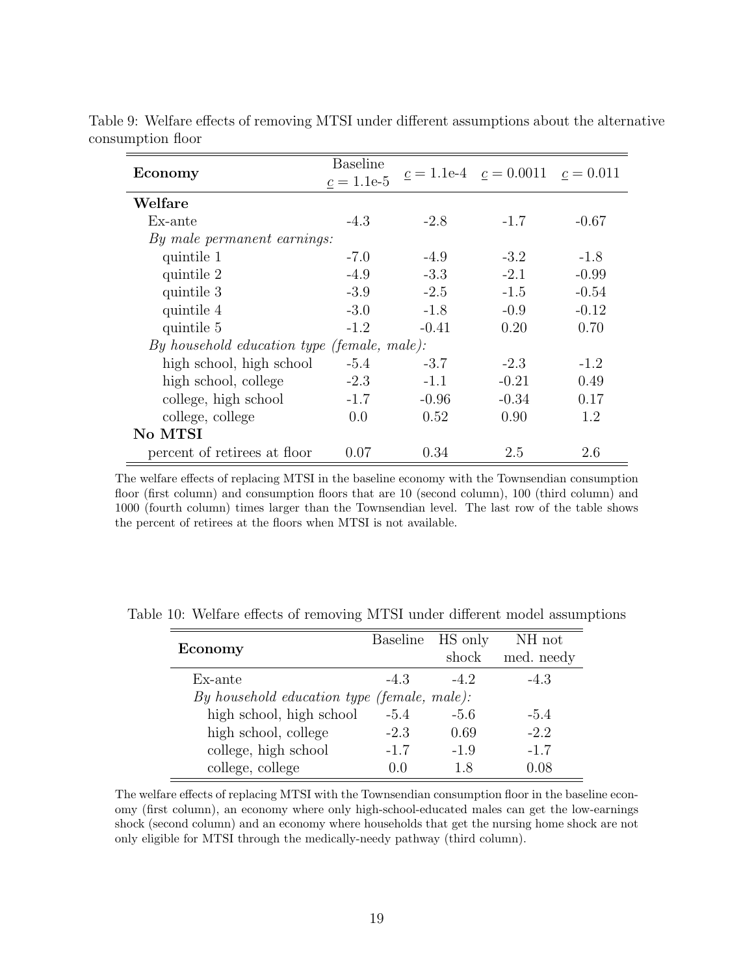| Economy                                     | <b>Baseline</b> |         | $c = 1.1e-4$ $c = 0.0011$ $c = 0.011$ |         |
|---------------------------------------------|-----------------|---------|---------------------------------------|---------|
|                                             | $c = 1.1e-5$    |         |                                       |         |
| Welfare                                     |                 |         |                                       |         |
| Ex-ante                                     | $-4.3$          | $-2.8$  | $-1.7$                                | $-0.67$ |
| By male permanent earnings:                 |                 |         |                                       |         |
| quintile 1                                  | $-7.0$          | $-4.9$  | $-3.2$                                | $-1.8$  |
| quintile 2                                  | $-4.9$          | $-3.3$  | $-2.1$                                | $-0.99$ |
| quintile 3                                  | $-3.9$          | $-2.5$  | $-1.5$                                | $-0.54$ |
| quintile 4                                  | $-3.0$          | $-1.8$  | $-0.9$                                | $-0.12$ |
| quintile 5                                  | $-1.2$          | $-0.41$ | 0.20                                  | 0.70    |
| By household education type (female, male): |                 |         |                                       |         |
| high school, high school                    | $-5.4$          | $-3.7$  | $-2.3$                                | $-1.2$  |
| high school, college                        | $-2.3$          | $-1.1$  | $-0.21$                               | 0.49    |
| college, high school                        | $-1.7$          | $-0.96$ | $-0.34$                               | 0.17    |
| college, college                            | 0.0             | 0.52    | 0.90                                  | 1.2     |
| No MTSI                                     |                 |         |                                       |         |
| percent of retirees at floor                | 0.07            | 0.34    | 2.5                                   | 2.6     |

<span id="page-61-0"></span>Table 9: Welfare effects of removing MTSI under different assumptions about the alternative consumption floor

The welfare effects of replacing MTSI in the baseline economy with the Townsendian consumption floor (first column) and consumption floors that are 10 (second column), 100 (third column) and 1000 (fourth column) times larger than the Townsendian level. The last row of the table shows the percent of retirees at the floors when MTSI is not available.

| Economy                                     | Baseline | HS only | NH not     |
|---------------------------------------------|----------|---------|------------|
|                                             |          | shock   | med. needy |
| Ex-ante                                     | $-4.3$   | $-4.2$  | $-4.3$     |
| By household education type (female, male): |          |         |            |
| high school, high school                    | $-5.4$   | $-5.6$  | $-5.4$     |
| high school, college                        | $-2.3$   | 0.69    | $-2.2$     |
| college, high school                        | $-1.7$   | $-1.9$  | $-1.7$     |
| college, college                            |          | 1.8     | 0.08       |

<span id="page-61-1"></span>Table 10: Welfare effects of removing MTSI under different model assumptions

The welfare effects of replacing MTSI with the Townsendian consumption floor in the baseline economy (first column), an economy where only high-school-educated males can get the low-earnings shock (second column) and an economy where households that get the nursing home shock are not only eligible for MTSI through the medically-needy pathway (third column).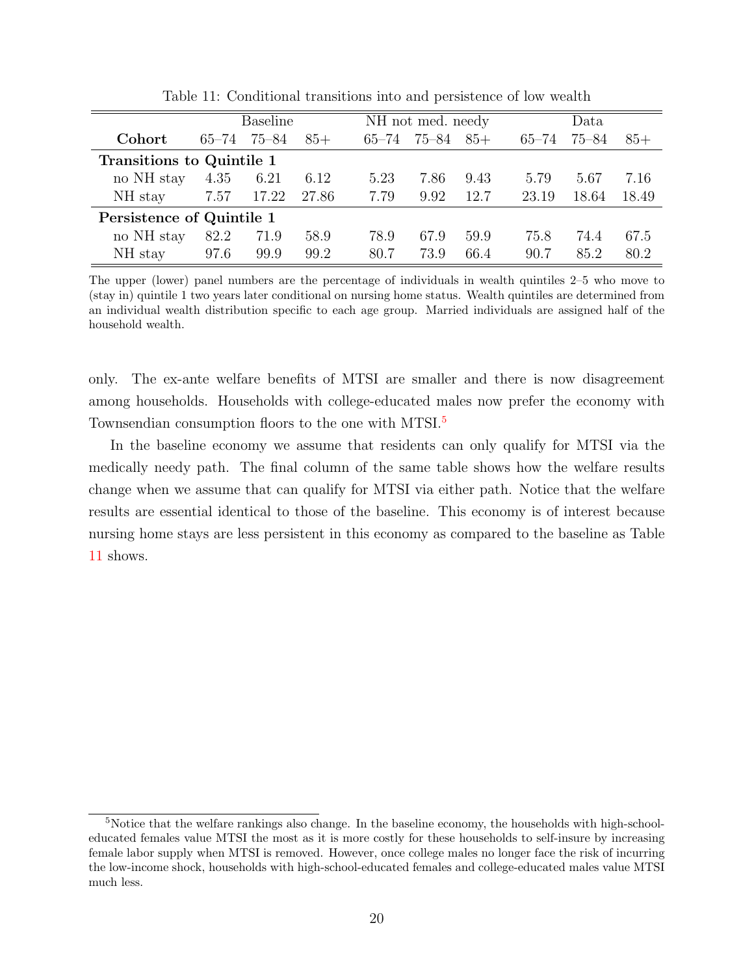<span id="page-62-1"></span>

|                           | <b>Baseline</b> |       |       |           | NH not med. needy |       |       | Data      |       |  |
|---------------------------|-----------------|-------|-------|-----------|-------------------|-------|-------|-----------|-------|--|
| Cohort                    | $65 - 74$       | 75–84 | $85+$ | $65 - 74$ | $75 - 84$         | $85+$ | 65–74 | $75 - 84$ | $85+$ |  |
| Transitions to Quintile 1 |                 |       |       |           |                   |       |       |           |       |  |
| no NH stay                | 4.35            | 6.21  | 6.12  | 5.23      | 7.86              | 9.43  | 5.79  | 5.67      | 7.16  |  |
| NH stay                   | 7.57            | 17.22 | 27.86 | 7.79      | 9.92              | 12.7  | 23.19 | 18.64     | 18.49 |  |
| Persistence of Quintile 1 |                 |       |       |           |                   |       |       |           |       |  |
| no NH stay                | 82.2            | 71.9  | 58.9  | 78.9      | 67.9              | 59.9  | 75.8  | 74.4      | 67.5  |  |
| NH stay                   | 97.6            | 99.9  | 99.2  | 80.7      | 73.9              | 66.4  | 90.7  | 85.2      | 80.2  |  |

Table 11: Conditional transitions into and persistence of low wealth

The upper (lower) panel numbers are the percentage of individuals in wealth quintiles 2–5 who move to (stay in) quintile 1 two years later conditional on nursing home status. Wealth quintiles are determined from an individual wealth distribution specific to each age group. Married individuals are assigned half of the household wealth.

only. The ex-ante welfare benefits of MTSI are smaller and there is now disagreement among households. Households with college-educated males now prefer the economy with Townsendian consumption floors to the one with MTSI.<sup>[5](#page-62-0)</sup>

In the baseline economy we assume that residents can only qualify for MTSI via the medically needy path. The final column of the same table shows how the welfare results change when we assume that can qualify for MTSI via either path. Notice that the welfare results are essential identical to those of the baseline. This economy is of interest because nursing home stays are less persistent in this economy as compared to the baseline as Table [11](#page-62-1) shows.

<span id="page-62-0"></span><sup>&</sup>lt;sup>5</sup>Notice that the welfare rankings also change. In the baseline economy, the households with high-schooleducated females value MTSI the most as it is more costly for these households to self-insure by increasing female labor supply when MTSI is removed. However, once college males no longer face the risk of incurring the low-income shock, households with high-school-educated females and college-educated males value MTSI much less.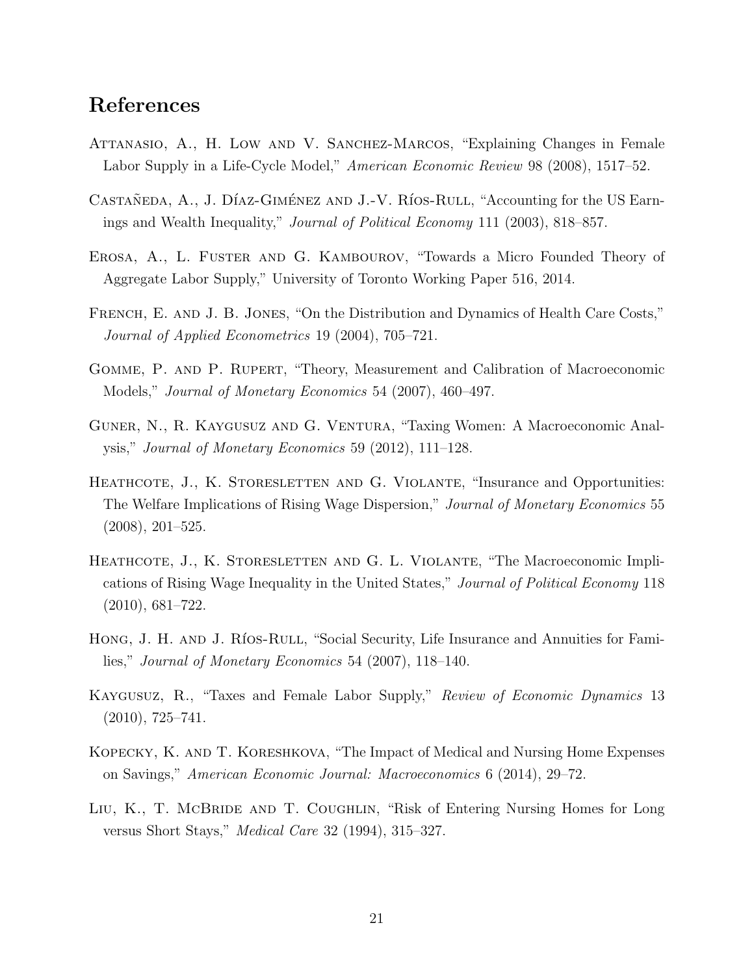# References

- <span id="page-63-6"></span>ATTANASIO, A., H. LOW AND V. SANCHEZ-MARCOS, "Explaining Changes in Female Labor Supply in a Life-Cycle Model," American Economic Review 98 (2008), 1517–52.
- <span id="page-63-4"></span>CASTAÑEDA, A., J. DÍAZ-GIMÉNEZ AND J.-V. RÍOS-RULL, "Accounting for the US Earnings and Wealth Inequality," Journal of Political Economy 111 (2003), 818–857.
- <span id="page-63-7"></span>Erosa, A., L. Fuster and G. Kambourov, "Towards a Micro Founded Theory of Aggregate Labor Supply," University of Toronto Working Paper 516, 2014.
- <span id="page-63-2"></span>French, E. and J. B. Jones, "On the Distribution and Dynamics of Health Care Costs," Journal of Applied Econometrics 19 (2004), 705–721.
- <span id="page-63-9"></span>Gomme, P. and P. Rupert, "Theory, Measurement and Calibration of Macroeconomic Models," Journal of Monetary Economics 54 (2007), 460–497.
- <span id="page-63-11"></span>Guner, N., R. Kaygusuz and G. Ventura, "Taxing Women: A Macroeconomic Analysis," Journal of Monetary Economics 59 (2012), 111–128.
- <span id="page-63-10"></span>HEATHCOTE, J., K. STORESLETTEN AND G. VIOLANTE, "Insurance and Opportunities: The Welfare Implications of Rising Wage Dispersion," Journal of Monetary Economics 55 (2008), 201–525.
- <span id="page-63-5"></span>HEATHCOTE, J., K. STORESLETTEN AND G. L. VIOLANTE, "The Macroeconomic Implications of Rising Wage Inequality in the United States," Journal of Political Economy 118 (2010), 681–722.
- <span id="page-63-3"></span>HONG, J. H. AND J. RíOS-RULL, "Social Security, Life Insurance and Annuities for Families," Journal of Monetary Economics 54 (2007), 118–140.
- <span id="page-63-8"></span>Kaygusuz, R., "Taxes and Female Labor Supply," Review of Economic Dynamics 13 (2010), 725–741.
- <span id="page-63-0"></span>Kopecky, K. and T. Koreshkova, "The Impact of Medical and Nursing Home Expenses on Savings," American Economic Journal: Macroeconomics 6 (2014), 29–72.
- <span id="page-63-1"></span>LIU, K., T. MCBRIDE AND T. COUGHLIN, "Risk of Entering Nursing Homes for Long versus Short Stays," Medical Care 32 (1994), 315–327.